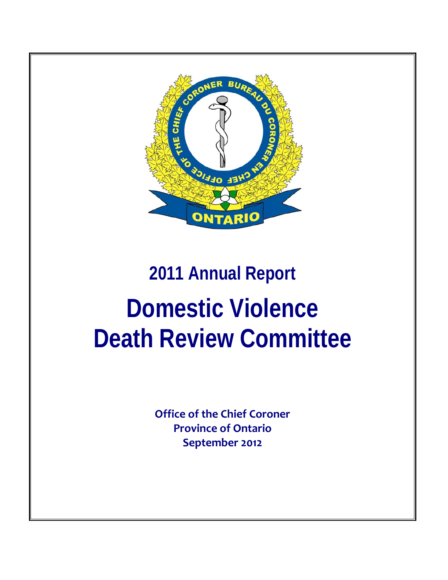

# **2011 Annual Report Domestic Violence Death Review Committee**

**Office of the Chief Coroner Province of Ontario September 2012**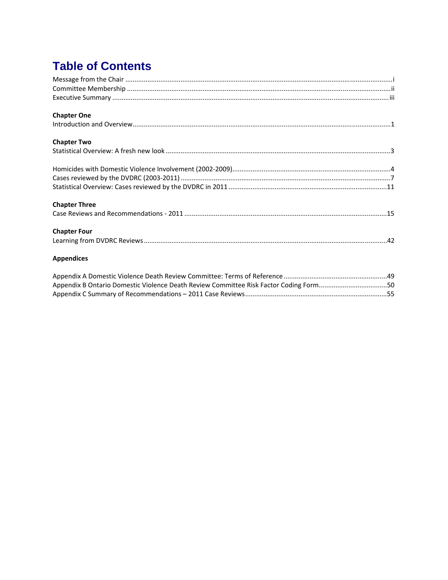# **Table of Contents**

| <b>Chapter One</b>                                                                    |  |
|---------------------------------------------------------------------------------------|--|
|                                                                                       |  |
| <b>Chapter Two</b>                                                                    |  |
|                                                                                       |  |
|                                                                                       |  |
|                                                                                       |  |
|                                                                                       |  |
| <b>Chapter Three</b>                                                                  |  |
|                                                                                       |  |
| <b>Chapter Four</b>                                                                   |  |
|                                                                                       |  |
| <b>Appendices</b>                                                                     |  |
|                                                                                       |  |
| Appendix B Ontario Domestic Violence Death Review Committee Risk Factor Coding Form50 |  |
|                                                                                       |  |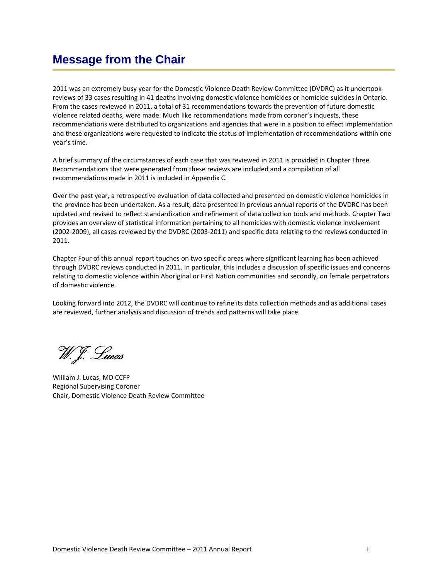# <span id="page-3-0"></span>**Message from the Chair**

2011 was an extremely busy year for the Domestic Violence Death Review Committee (DVDRC) as it undertook reviews of 33 cases resulting in 41 deaths involving domestic violence homicides or homicide‐suicides in Ontario. From the cases reviewed in 2011, a total of 31 recommendations towards the prevention of future domestic violence related deaths, were made. Much like recommendations made from coroner's inquests, these recommendations were distributed to organizations and agencies that were in a position to effect implementation and these organizations were requested to indicate the status of implementation of recommendations within one year's time.

A brief summary of the circumstances of each case that was reviewed in 2011 is provided in Chapter Three. Recommendations that were generated from these reviews are included and a compilation of all recommendations made in 2011 is included in Appendix C.

Over the past year, a retrospective evaluation of data collected and presented on domestic violence homicides in the province has been undertaken. As a result, data presented in previous annual reports of the DVDRC has been updated and revised to reflect standardization and refinement of data collection tools and methods. Chapter Two provides an overview of statistical information pertaining to all homicides with domestic violence involvement (2002‐2009), all cases reviewed by the DVDRC (2003‐2011) and specific data relating to the reviews conducted in 2011.

Chapter Four of this annual report touches on two specific areas where significant learning has been achieved through DVDRC reviews conducted in 2011. In particular, this includes a discussion of specific issues and concerns relating to domestic violence within Aboriginal or First Nation communities and secondly, on female perpetrators of domestic violence.

Looking forward into 2012, the DVDRC will continue to refine its data collection methods and as additional cases are reviewed, further analysis and discussion of trends and patterns will take place.

W.J. Lucas

William J. Lucas, MD CCFP Regional Supervising Coroner Chair, Domestic Violence Death Review Committee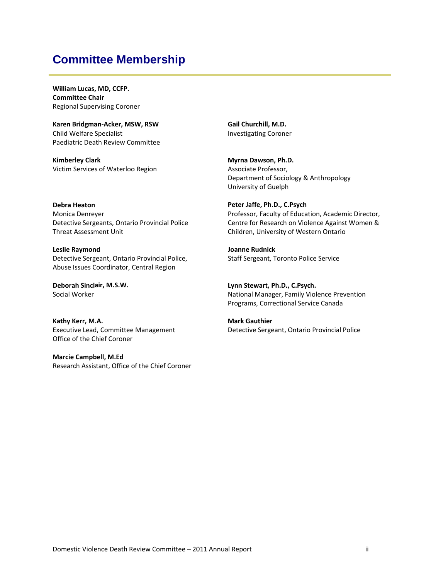# <span id="page-4-0"></span>**Committee Membership**

**William Lucas, MD, CCFP. Committee Chair** Regional Supervising Coroner

**Karen Bridgman‐Acker, MSW, RSW**  Child Welfare Specialist Paediatric Death Review Committee

**Kimberley Clark** Victim Services of Waterloo Region **Gail Churchill, M.D.**  Investigating Coroner

**Myrna Dawson, Ph.D.** Associate Professor, Department of Sociology & Anthropology University of Guelph

**Debra Heaton** Monica Denreyer Detective Sergeants, Ontario Provincial Police Threat Assessment Unit

**Leslie Raymond** Detective Sergeant, Ontario Provincial Police, Abuse Issues Coordinator, Central Region

**Deborah Sinclair, M.S.W.** Social Worker

**Kathy Kerr, M.A.**  Executive Lead, Committee Management Office of the Chief Coroner

**Marcie Campbell, M.Ed** Research Assistant, Office of the Chief Coroner **Peter Jaffe, Ph.D., C.Psych** Professor, Faculty of Education, Academic Director, Centre for Research on Violence Against Women & Children, University of Western Ontario

**Joanne Rudnick** Staff Sergeant, Toronto Police Service

**Lynn Stewart, Ph.D., C.Psych.** National Manager, Family Violence Prevention Programs, Correctional Service Canada

**Mark Gauthier**  Detective Sergeant, Ontario Provincial Police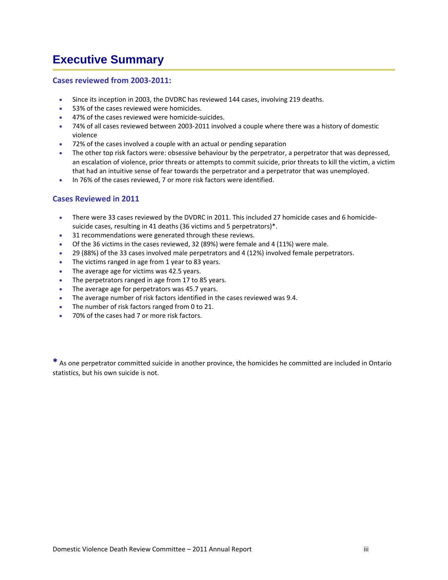# <span id="page-5-0"></span>**Executive Summary**

#### **Cases reviewed from 2003‐2011:**

- Since its inception in 2003, the DVDRC has reviewed 144 cases, involving 219 deaths.
- 53% of the cases reviewed were homicides.
- 47% of the cases reviewed were homicide-suicides.
- 74% of all cases reviewed between 2003‐2011 involved a couple where there was a history of domestic violence
- 72% of the cases involved a couple with an actual or pending separation
- The other top risk factors were: obsessive behaviour by the perpetrator, a perpetrator that was depressed, an escalation of violence, prior threats or attempts to commit suicide, prior threats to kill the victim, a victim that had an intuitive sense of fear towards the perpetrator and a perpetrator that was unemployed.
- In 76% of the cases reviewed, 7 or more risk factors were identified.

#### **Cases Reviewed in 2011**

- There were 33 cases reviewed by the DVDRC in 2011. This included 27 homicide cases and 6 homicide‐ suicide cases, resulting in 41 deaths (36 victims and 5 perpetrators)\*.
- 31 recommendations were generated through these reviews.
- Of the 36 victims in the cases reviewed, 32 (89%) were female and 4 (11%) were male.
- 29 (88%) of the 33 cases involved male perpetrators and 4 (12%) involved female perpetrators.
- The victims ranged in age from 1 year to 83 years.
- The average age for victims was 42.5 years.
- The perpetrators ranged in age from 17 to 85 years.
- The average age for perpetrators was 45.7 years.
- The average number of risk factors identified in the cases reviewed was 9.4.
- The number of risk factors ranged from 0 to 21.
- 70% of the cases had 7 or more risk factors.

**\*** As one perpetrator committed suicide in another province, the homicides he committed are included in Ontario statistics, but his own suicide is not.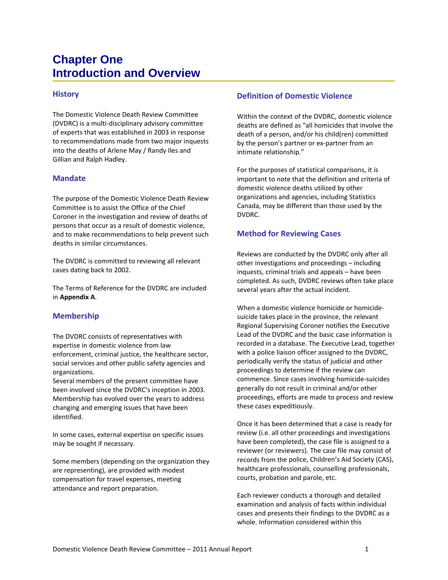# <span id="page-6-0"></span>**Chapter One Introduction and Overview**

#### **History**

The Domestic Violence Death Review Committee (DVDRC) is a multi‐disciplinary advisory committee of experts that was established in 2003 in response to recommendations made from two major inquests into the deaths of Arlene May / Randy Iles and Gillian and Ralph Hadley.

#### **Mandate**

The purpose of the Domestic Violence Death Review Committee is to assist the Office of the Chief Coroner in the investigation and review of deaths of persons that occur as a result of domestic violence, and to make recommendations to help prevent such deaths in similar circumstances.

The DVDRC is committed to reviewing all relevant cases dating back to 2002.

The Terms of Reference for the DVDRC are included in **Appendix A**.

#### **Membership**

The DVDRC consists of representatives with expertise in domestic violence from law enforcement, criminal justice, the healthcare sector, social services and other public safety agencies and organizations.

Several members of the present committee have been involved since the DVDRC's inception in 2003. Membership has evolved over the years to address changing and emerging issues that have been identified.

In some cases, external expertise on specific issues may be sought if necessary.

Some members (depending on the organization they are representing), are provided with modest compensation for travel expenses, meeting attendance and report preparation.

#### **Definition of Domestic Violence**

Within the context of the DVDRC, domestic violence deaths are defined as "all homicides that involve the death of a person, and/or his child(ren) committed by the person's partner or ex‐partner from an intimate relationship."

For the purposes of statistical comparisons, it is important to note that the definition and criteria of domestic violence deaths utilized by other organizations and agencies, including Statistics Canada, may be different than those used by the DVDRC.

#### **Method for Reviewing Cases**

Reviews are conducted by the DVDRC only after all other investigations and proceedings – including inquests, criminal trials and appeals – have been completed. As such, DVDRC reviews often take place several years after the actual incident.

When a domestic violence homicide or homicidesuicide takes place in the province, the relevant Regional Supervising Coroner notifies the Executive Lead of the DVDRC and the basic case information is recorded in a database. The Executive Lead, together with a police liaison officer assigned to the DVDRC, periodically verify the status of judicial and other proceedings to determine if the review can commence. Since cases involving homicide‐suicides generally do not result in criminal and/or other proceedings, efforts are made to process and review these cases expeditiously.

Once it has been determined that a case is ready for review (i.e. all other proceedings and investigations have been completed), the case file is assigned to a reviewer (or reviewers). The case file may consist of records from the police, Children's Aid Society (CAS), healthcare professionals, counselling professionals, courts, probation and parole, etc.

Each reviewer conducts a thorough and detailed examination and analysis of facts within individual cases and presents their findings to the DVDRC as a whole. Information considered within this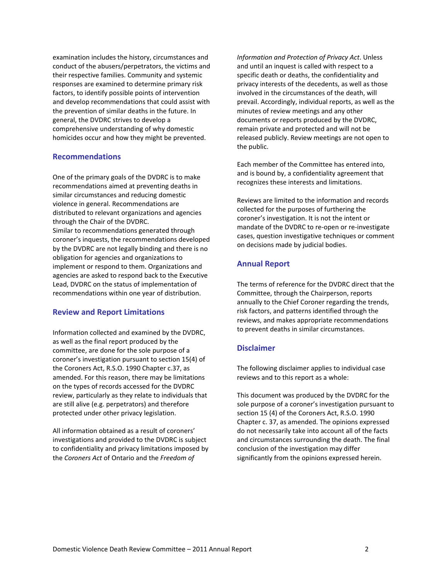examination includes the history, circumstances and conduct of the abusers/perpetrators, the victims and their respective families. Community and systemic responses are examined to determine primary risk factors, to identify possible points of intervention and develop recommendations that could assist with the prevention of similar deaths in the future. In general, the DVDRC strives to develop a comprehensive understanding of why domestic homicides occur and how they might be prevented.

#### **Recommendations**

One of the primary goals of the DVDRC is to make recommendations aimed at preventing deaths in similar circumstances and reducing domestic violence in general. Recommendations are distributed to relevant organizations and agencies through the Chair of the DVDRC. Similar to recommendations generated through coroner's inquests, the recommendations developed by the DVDRC are not legally binding and there is no obligation for agencies and organizations to implement or respond to them. Organizations and agencies are asked to respond back to the Executive Lead, DVDRC on the status of implementation of recommendations within one year of distribution.

#### **Review and Report Limitations**

Information collected and examined by the DVDRC, as well as the final report produced by the committee, are done for the sole purpose of a coroner's investigation pursuant to section 15(4) of the Coroners Act, R.S.O. 1990 Chapter c.37, as amended. For this reason, there may be limitations on the types of records accessed for the DVDRC review, particularly as they relate to individuals that are still alive (e.g. perpetrators) and therefore protected under other privacy legislation.

All information obtained as a result of coroners' investigations and provided to the DVDRC is subject to confidentiality and privacy limitations imposed by the *Coroners Act* of Ontario and the *Freedom of*

*Information and Protection of Privacy Act*. Unless and until an inquest is called with respect to a specific death or deaths, the confidentiality and privacy interests of the decedents, as well as those involved in the circumstances of the death, will prevail. Accordingly, individual reports, as well as the minutes of review meetings and any other documents or reports produced by the DVDRC, remain private and protected and will not be released publicly. Review meetings are not open to the public.

Each member of the Committee has entered into, and is bound by, a confidentiality agreement that recognizes these interests and limitations.

Reviews are limited to the information and records collected for the purposes of furthering the coroner's investigation. It is not the intent or mandate of the DVDRC to re‐open or re‐investigate cases, question investigative techniques or comment on decisions made by judicial bodies.

#### **Annual Report**

The terms of reference for the DVDRC direct that the Committee, through the Chairperson, reports annually to the Chief Coroner regarding the trends, risk factors, and patterns identified through the reviews, and makes appropriate recommendations to prevent deaths in similar circumstances.

#### **Disclaimer**

The following disclaimer applies to individual case reviews and to this report as a whole:

This document was produced by the DVDRC for the sole purpose of a coroner's investigation pursuant to section 15 (4) of the Coroners Act, R.S.O. 1990 Chapter c. 37, as amended. The opinions expressed do not necessarily take into account all of the facts and circumstances surrounding the death. The final conclusion of the investigation may differ significantly from the opinions expressed herein.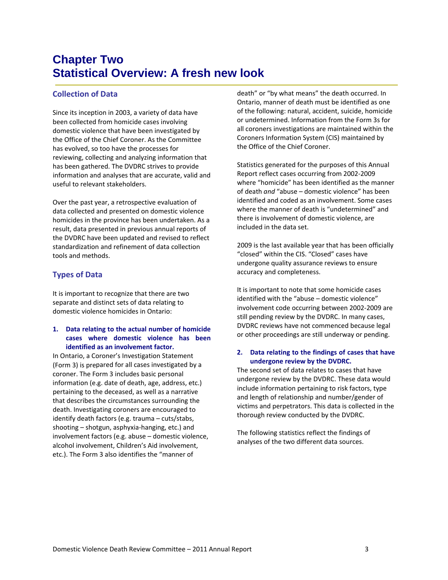# <span id="page-8-0"></span>**Chapter Two Statistical Overview: A fresh new look**

#### **Collection of Data**

Since its inception in 2003, a variety of data have been collected from homicide cases involving domestic violence that have been investigated by the Office of the Chief Coroner. As the Committee has evolved, so too have the processes for reviewing, collecting and analyzing information that has been gathered. The DVDRC strives to provide information and analyses that are accurate, valid and useful to relevant stakeholders.

Over the past year, a retrospective evaluation of data collected and presented on domestic violence homicides in the province has been undertaken. As a result, data presented in previous annual reports of the DVDRC have been updated and revised to reflect standardization and refinement of data collection tools and methods.

#### **Types of Data**

It is important to recognize that there are two separate and distinct sets of data relating to domestic violence homicides in Ontario:

#### **1. Data relating to the actual number of homicide cases where domestic violence has been identified as an involvement factor.**

In Ontario, a Coroner's Investigation Statement (Form 3) is prepared for all cases investigated by a coroner. The Form 3 includes basic personal information (e.g. date of death, age, address, etc.) pertaining to the deceased, as well as a narrative that describes the circumstances surrounding the death. Investigating coroners are encouraged to identify death factors (e.g. trauma – cuts/stabs, shooting – shotgun, asphyxia‐hanging, etc.) and involvement factors (e.g. abuse – domestic violence, alcohol involvement, Children's Aid involvement, etc.). The Form 3 also identifies the "manner of

death" or "by what means" the death occurred. In Ontario, manner of death must be identified as one of the following: natural, accident, suicide, homicide or undetermined. Information from the Form 3s for all coroners investigations are maintained within the Coroners Information System (CIS) maintained by the Office of the Chief Coroner.

Statistics generated for the purposes of this Annual Report reflect cases occurring from 2002‐2009 where "homicide" has been identified as the manner of death *and* "abuse – domestic violence" has been identified and coded as an involvement. Some cases where the manner of death is "undetermined" and there is involvement of domestic violence, are included in the data set.

2009 is the last available year that has been officially "closed" within the CIS. "Closed" cases have undergone quality assurance reviews to ensure accuracy and completeness.

It is important to note that some homicide cases identified with the "abuse – domestic violence" involvement code occurring between 2002‐2009 are still pending review by the DVDRC. In many cases, DVDRC reviews have not commenced because legal or other proceedings are still underway or pending.

#### **2. Data relating to the findings of cases that have undergone review by the DVDRC.**

The second set of data relates to cases that have undergone review by the DVDRC. These data would include information pertaining to risk factors, type and length of relationship and number/gender of victims and perpetrators. This data is collected in the thorough review conducted by the DVDRC.

The following statistics reflect the findings of analyses of the two different data sources.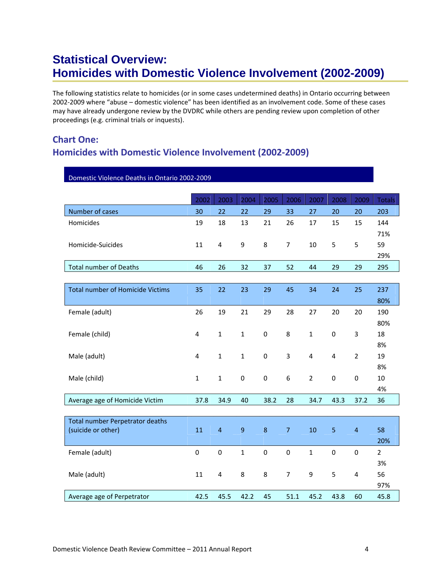# <span id="page-9-0"></span>**Statistical Overview: Homicides with Domestic Violence Involvement (2002-2009)**

The following statistics relate to homicides (or in some cases undetermined deaths) in Ontario occurring between 2002‐2009 where "abuse – domestic violence" has been identified as an involvement code. Some of these cases may have already undergone review by the DVDRC while others are pending review upon completion of other proceedings (e.g. criminal trials or inquests).

### **Chart One: Homicides with Domestic Violence Involvement (2002‐2009)**

| Domestic Violence Deaths in Ontario 2002-2009 |              |                |                |                  |                  |                |                  |                |                |
|-----------------------------------------------|--------------|----------------|----------------|------------------|------------------|----------------|------------------|----------------|----------------|
|                                               |              |                |                |                  |                  |                |                  |                |                |
|                                               | 2002         | 2003           | 2004           | 2005             | 2006             | 2007           | 2008             | 2009           | <b>Totals</b>  |
| Number of cases                               | 30           | 22             | 22             | 29               | 33               | 27             | 20               | 20             | 203            |
| Homicides                                     | 19           | 18             | 13             | 21               | 26               | 17             | 15               | 15             | 144            |
|                                               |              |                |                |                  |                  |                |                  |                | 71%            |
| Homicide-Suicides                             | 11           | $\pmb{4}$      | 9              | 8                | $\overline{7}$   | 10             | 5                | 5              | 59             |
|                                               |              |                |                |                  |                  |                |                  |                | 29%            |
| <b>Total number of Deaths</b>                 | 46           | 26             | 32             | 37               | 52               | 44             | 29               | 29             | 295            |
|                                               |              |                |                |                  |                  |                |                  |                |                |
| <b>Total number of Homicide Victims</b>       | 35           | 22             | 23             | 29               | 45               | 34             | 24               | 25             | 237            |
|                                               |              |                |                |                  |                  |                |                  |                | 80%            |
| Female (adult)                                | 26           | 19             | 21             | 29               | 28               | 27             | 20               | 20             | 190            |
|                                               |              |                |                |                  |                  |                |                  |                | 80%            |
| Female (child)                                | 4            | $\mathbf{1}$   | $\mathbf{1}$   | $\boldsymbol{0}$ | 8                | $\mathbf{1}$   | $\boldsymbol{0}$ | 3              | 18             |
|                                               |              |                |                |                  |                  |                |                  |                | 8%             |
| Male (adult)                                  | 4            | $\mathbf 1$    | $\mathbf{1}$   | 0                | 3                | 4              | $\pmb{4}$        | $\overline{2}$ | 19             |
|                                               |              |                |                |                  |                  |                |                  |                | 8%             |
| Male (child)                                  | $\mathbf{1}$ | $\mathbf{1}$   | $\pmb{0}$      | $\boldsymbol{0}$ | $\boldsymbol{6}$ | $\overline{2}$ | $\pmb{0}$        | $\pmb{0}$      | 10             |
|                                               |              |                |                |                  |                  |                |                  |                | 4%             |
| Average age of Homicide Victim                | 37.8         | 34.9           | 40             | 38.2             | 28               | 34.7           | 43.3             | 37.2           | 36             |
|                                               |              |                |                |                  |                  |                |                  |                |                |
| <b>Total number Perpetrator deaths</b>        |              |                |                |                  |                  |                |                  |                |                |
| (suicide or other)                            | 11           | $\overline{4}$ | $\overline{9}$ | $\bf 8$          | $\overline{7}$   | 10             | $\overline{5}$   | $\overline{4}$ | 58             |
|                                               |              |                |                |                  |                  |                |                  |                | 20%            |
| Female (adult)                                | $\mathbf 0$  | $\mathbf 0$    | $\mathbf{1}$   | $\pmb{0}$        | $\mathbf 0$      | $\mathbf{1}$   | $\mathbf 0$      | $\mathbf 0$    | $\overline{2}$ |
|                                               |              |                |                |                  |                  |                |                  |                | 3%             |
| Male (adult)                                  | 11           | $\overline{4}$ | 8              | 8                | $\overline{7}$   | 9              | 5                | $\overline{4}$ | 56             |
|                                               |              |                |                |                  |                  |                |                  |                | 97%            |
| Average age of Perpetrator                    | 42.5         | 45.5           | 42.2           | 45               | 51.1             | 45.2           | 43.8             | 60             | 45.8           |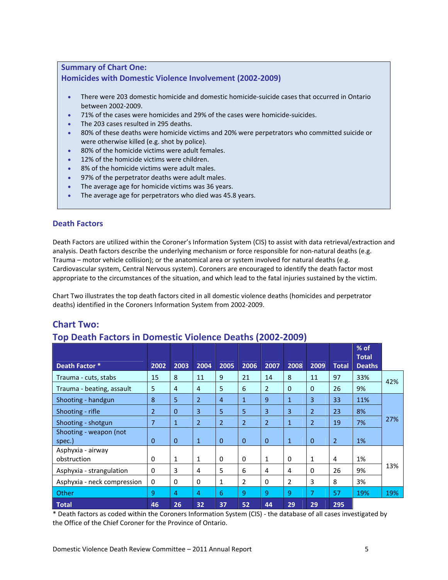#### **Summary of Chart One: Homicides with Domestic Violence Involvement (2002‐2009)**

- There were 203 domestic homicide and domestic homicide-suicide cases that occurred in Ontario between 2002‐2009.
- 71% of the cases were homicides and 29% of the cases were homicide‐suicides.
- The 203 cases resulted in 295 deaths.
- 80% of these deaths were homicide victims and 20% were perpetrators who committed suicide or were otherwise killed (e.g. shot by police).
- 80% of the homicide victims were adult females.
- 12% of the homicide victims were children.
- 8% of the homicide victims were adult males.
- 97% of the perpetrator deaths were adult males.
- The average age for homicide victims was 36 years.
- The average age for perpetrators who died was 45.8 years.

#### **Death Factors**

Death Factors are utilized within the Coroner's Information System (CIS) to assist with data retrieval/extraction and analysis. Death factors describe the underlying mechanism or force responsible for non-natural deaths (e.g. Trauma – motor vehicle collision); or the anatomical area or system involved for natural deaths (e.g. Cardiovascular system, Central Nervous system). Coroners are encouraged to identify the death factor most appropriate to the circumstances of the situation, and which lead to the fatal injuries sustained by the victim.

Chart Two illustrates the top death factors cited in all domestic violence deaths (homicides and perpetrator deaths) identified in the Coroners Information System from 2002‐2009.

#### **Chart Two:**

#### **Top Death Factors in Domestic Violence Deaths (2002‐2009)**

|                             |                |                |                |                |                |                |              |                |                | $%$ of<br><b>Total</b> |     |
|-----------------------------|----------------|----------------|----------------|----------------|----------------|----------------|--------------|----------------|----------------|------------------------|-----|
| Death Factor *              | 2002           | 2003           | 2004           | 2005           | 2006           | 2007           | 2008         | 2009           | <b>Total</b>   | <b>Deaths</b>          |     |
| Trauma - cuts, stabs        | 15             | 8              | 11             | 9              | 21             | 14             | 8            | 11             | 97             | 33%                    | 42% |
| Trauma - beating, assault   | 5              | $\overline{4}$ | 4              | 5              | 6              | $\overline{2}$ | $\Omega$     | $\Omega$       | 26             | 9%                     |     |
| Shooting - handgun          | 8              | 5              | $\overline{2}$ | $\overline{4}$ | $\mathbf{1}$   | 9              | $\mathbf{1}$ | 3              | 33             | 11%                    |     |
| Shooting - rifle            | $\overline{2}$ | $\Omega$       | 3              | 5              | 5              | 3              | 3            | $\overline{2}$ | 23             | 8%                     |     |
| Shooting - shotgun          | $\overline{7}$ | $\mathbf{1}$   | $\overline{2}$ | $\overline{2}$ | $\overline{2}$ | $\overline{2}$ | $\mathbf{1}$ | $\overline{2}$ | 19             | 7%                     | 27% |
| Shooting - weapon (not      |                |                |                |                |                |                |              |                |                |                        |     |
| spec.)                      | 0              | $\mathbf{0}$   | $\mathbf{1}$   | $\Omega$       | $\Omega$       | $\Omega$       | $\mathbf{1}$ | $\mathbf{0}$   | $\overline{2}$ | 1%                     |     |
| Asphyxia - airway           |                |                |                |                |                |                |              |                |                |                        |     |
| obstruction                 | 0              | 1              | 1              | $\mathbf{0}$   | $\Omega$       | $\mathbf{1}$   | $\mathbf 0$  | 1              | 4              | 1%                     |     |
| Asphyxia - strangulation    | $\Omega$       | 3              | 4              | 5              | 6              | 4              | 4            | $\Omega$       | 26             | 9%                     | 13% |
| Asphyxia - neck compression | $\mathbf 0$    | 0              | $\Omega$       | 1              | $\overline{2}$ | $\Omega$       | 2            | 3              | 8              | 3%                     |     |
| Other                       | 9              | 4              | 4              | 6              | 9              | 9              | 9            | 7              | 57             | 19%                    | 19% |
| <b>Total</b>                | 46             | 26             | 32             | 37             | 52             | 44             | 29           | 29             | 295            |                        |     |

\* Death factors as coded within the Coroners Information System (CIS) ‐ the database of all cases investigated by the Office of the Chief Coroner for the Province of Ontario.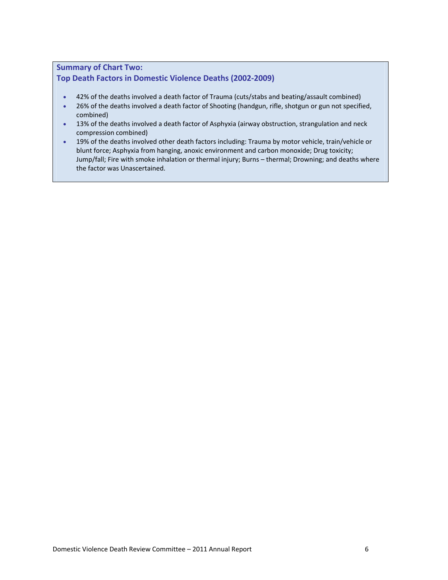#### **Summary of Chart Two: Top Death Factors in Domestic Violence Deaths (2002‐2009)**

- 42% of the deaths involved a death factor of Trauma (cuts/stabs and beating/assault combined)
- 26% of the deaths involved a death factor of Shooting (handgun, rifle, shotgun or gun not specified, combined)
- 13% of the deaths involved a death factor of Asphyxia (airway obstruction, strangulation and neck compression combined)
- 19% of the deaths involved other death factors including: Trauma by motor vehicle, train/vehicle or blunt force; Asphyxia from hanging, anoxic environment and carbon monoxide; Drug toxicity; Jump/fall; Fire with smoke inhalation or thermal injury; Burns – thermal; Drowning; and deaths where the factor was Unascertained.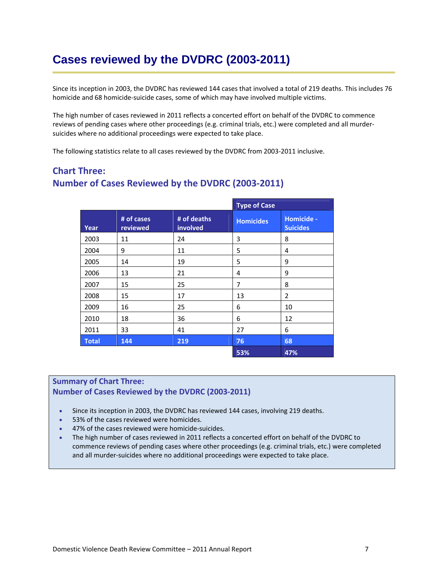# <span id="page-12-0"></span>**Cases reviewed by the DVDRC (2003-2011)**

Since its inception in 2003, the DVDRC has reviewed 144 cases that involved a total of 219 deaths. This includes 76 homicide and 68 homicide-suicide cases, some of which may have involved multiple victims.

The high number of cases reviewed in 2011 reflects a concerted effort on behalf of the DVDRC to commence reviews of pending cases where other proceedings (e.g. criminal trials, etc.) were completed and all murder‐ suicides where no additional proceedings were expected to take place.

The following statistics relate to all cases reviewed by the DVDRC from 2003‐2011 inclusive.

### **Chart Three: Number of Cases Reviewed by the DVDRC (2003‐2011)**

|              |                        |                         | <b>Type of Case</b> |                               |
|--------------|------------------------|-------------------------|---------------------|-------------------------------|
| Year         | # of cases<br>reviewed | # of deaths<br>involved | <b>Homicides</b>    | Homicide -<br><b>Suicides</b> |
| 2003         | 11                     | 24                      | 3                   | 8                             |
| 2004         | 9                      | 11                      | 5                   | 4                             |
| 2005         | 14                     | 19                      | 5                   | 9                             |
| 2006         | 13                     | 21                      | 4                   | 9                             |
| 2007         | 15                     | 25                      | 7                   | 8                             |
| 2008         | 15                     | 17                      | 13                  | 2                             |
| 2009         | 16                     | 25                      | 6                   | 10                            |
| 2010         | 18                     | 36                      | 6                   | 12                            |
| 2011         | 33                     | 41                      | 27                  | 6                             |
| <b>Total</b> | 144                    | 219                     | 76                  | 68                            |
|              |                        |                         | 53%                 | 47%                           |

#### **Summary of Chart Three:**

#### **Number of Cases Reviewed by the DVDRC (2003‐2011)**

- Since its inception in 2003, the DVDRC has reviewed 144 cases, involving 219 deaths.
- 53% of the cases reviewed were homicides.
- 47% of the cases reviewed were homicide-suicides.
- The high number of cases reviewed in 2011 reflects a concerted effort on behalf of the DVDRC to commence reviews of pending cases where other proceedings (e.g. criminal trials, etc.) were completed and all murder‐suicides where no additional proceedings were expected to take place.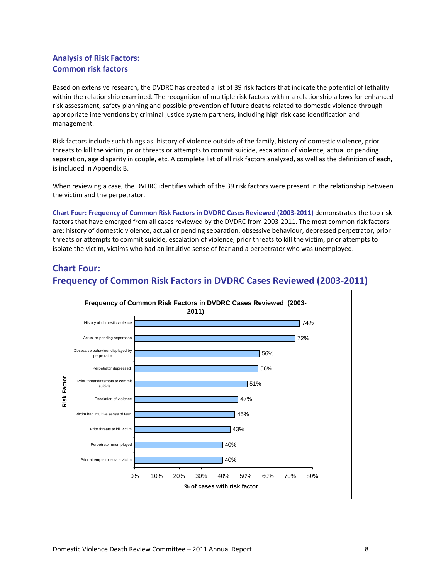#### **Analysis of Risk Factors: Common risk factors**

Based on extensive research, the DVDRC has created a list of 39 risk factors that indicate the potential of lethality within the relationship examined. The recognition of multiple risk factors within a relationship allows for enhanced risk assessment, safety planning and possible prevention of future deaths related to domestic violence through appropriate interventions by criminal justice system partners, including high risk case identification and management.

Risk factors include such things as: history of violence outside of the family, history of domestic violence, prior threats to kill the victim, prior threats or attempts to commit suicide, escalation of violence, actual or pending separation, age disparity in couple, etc. A complete list of all risk factors analyzed, as well as the definition of each, is included in Appendix B.

When reviewing a case, the DVDRC identifies which of the 39 risk factors were present in the relationship between the victim and the perpetrator.

**Chart Four: Frequency of Common Risk Factors in DVDRC Cases Reviewed (2003‐2011)** demonstrates the top risk factors that have emerged from all cases reviewed by the DVDRC from 2003‐2011. The most common risk factors are: history of domestic violence, actual or pending separation, obsessive behaviour, depressed perpetrator, prior threats or attempts to commit suicide, escalation of violence, prior threats to kill the victim, prior attempts to isolate the victim, victims who had an intuitive sense of fear and a perpetrator who was unemployed.

#### **Chart Four: Frequency of Common Risk Factors in DVDRC Cases Reviewed (2003‐2011)**

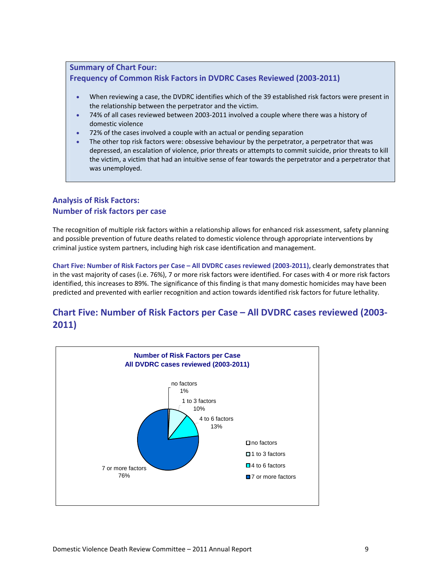#### **Summary of Chart Four: Frequency of Common Risk Factors in DVDRC Cases Reviewed (2003‐2011)**

- When reviewing a case, the DVDRC identifies which of the 39 established risk factors were present in the relationship between the perpetrator and the victim.
- 74% of all cases reviewed between 2003‐2011 involved a couple where there was a history of domestic violence
- 72% of the cases involved a couple with an actual or pending separation
- The other top risk factors were: obsessive behaviour by the perpetrator, a perpetrator that was depressed, an escalation of violence, prior threats or attempts to commit suicide, prior threats to kill the victim, a victim that had an intuitive sense of fear towards the perpetrator and a perpetrator that was unemployed.

#### **Analysis of Risk Factors: Number of risk factors per case**

The recognition of multiple risk factors within a relationship allows for enhanced risk assessment, safety planning and possible prevention of future deaths related to domestic violence through appropriate interventions by criminal justice system partners, including high risk case identification and management.

**Chart Five: Number of Risk Factors per Case – All DVDRC cases reviewed (2003‐2011),** clearly demonstrates that in the vast majority of cases (i.e. 76%), 7 or more risk factors were identified. For cases with 4 or more risk factors identified, this increases to 89%. The significance of this finding is that many domestic homicides may have been predicted and prevented with earlier recognition and action towards identified risk factors for future lethality.

#### **Chart Five: Number of Risk Factors per Case – All DVDRC cases reviewed (2003‐ 2011)**

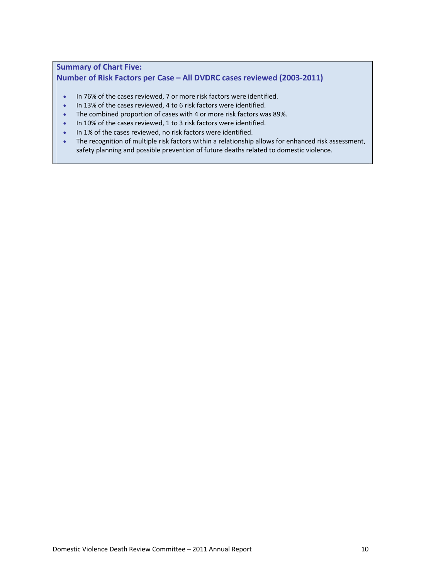#### **Summary of Chart Five: Number of Risk Factors per Case – All DVDRC cases reviewed (2003‐2011)**

- In 76% of the cases reviewed, 7 or more risk factors were identified.
- In 13% of the cases reviewed, 4 to 6 risk factors were identified.
- The combined proportion of cases with 4 or more risk factors was 89%.
- In 10% of the cases reviewed, 1 to 3 risk factors were identified.
- In 1% of the cases reviewed, no risk factors were identified.
- The recognition of multiple risk factors within a relationship allows for enhanced risk assessment, safety planning and possible prevention of future deaths related to domestic violence.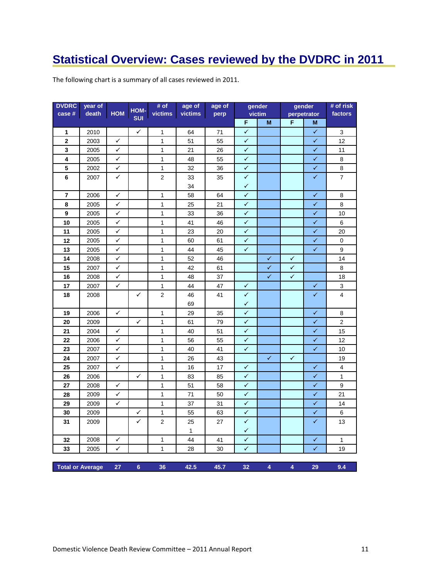# <span id="page-16-0"></span>**Statistical Overview: Cases reviewed by the DVDRC in 2011**

| The following chart is a summary of all cases reviewed in 2011. |  |
|-----------------------------------------------------------------|--|
|-----------------------------------------------------------------|--|

| <b>DVDRC</b><br>case #  | year of<br>death | <b>HOM</b> | HOM-           | $#$ of<br>victims | age of<br>victims | age of<br>perp |              | gender<br>victim |              | gender<br>perpetrator | # of risk<br>factors |
|-------------------------|------------------|------------|----------------|-------------------|-------------------|----------------|--------------|------------------|--------------|-----------------------|----------------------|
|                         |                  |            | <b>SUI</b>     |                   |                   |                | F            | M                | F            | M                     |                      |
| 1                       | 2010             |            | ✓              | 1                 | 64                | 71             | $\checkmark$ |                  |              | ✓                     | 3                    |
| $\mathbf 2$             | 2003             | ✓          |                | 1                 | 51                | 55             | ✓            |                  |              | ✓                     | 12                   |
| 3                       | 2005             | ✓          |                | $\mathbf{1}$      | 21                | 26             | ✓            |                  |              | ✓                     | 11                   |
| 4                       | 2005             | ✓          |                | 1                 | 48                | 55             | ✓            |                  |              | $\checkmark$          | 8                    |
| 5                       | 2002             | ✓          |                | $\mathbf{1}$      | 32                | 36             | ✓            |                  |              | $\checkmark$          | 8                    |
| 6                       | 2007             | ✓          |                | $\overline{2}$    | 33                | 35             | $\checkmark$ |                  |              | ✓                     | $\overline{7}$       |
|                         |                  |            |                |                   | 34                |                | ✔            |                  |              |                       |                      |
| 7                       | 2006             | ✓          |                | 1                 | 58                | 64             | $\checkmark$ |                  |              | ✓                     | 8                    |
| 8                       | 2005             | ✓          |                | $\mathbf{1}$      | 25                | 21             | ✓            |                  |              | $\checkmark$          | 8                    |
| 9                       | 2005             | ✓          |                | $\mathbf{1}$      | 33                | 36             | ✓            |                  |              | ✓                     | 10                   |
| 10                      | 2005             | ✓          |                | $\mathbf{1}$      | 41                | 46             | $\checkmark$ |                  |              | ✓                     | 6                    |
| 11                      | 2005             | ✓          |                | $\mathbf{1}$      | 23                | 20             | $\checkmark$ |                  |              | $\checkmark$          | 20                   |
| 12                      | 2005             | ✓          |                | $\mathbf{1}$      | 60                | 61             | ✓            |                  |              | ✓                     | 0                    |
| 13                      | 2005             | ✓          |                | 1                 | 44                | 45             | ✓            |                  |              | $\checkmark$          | 9                    |
| 14                      | 2008             | ✓          |                | $\mathbf{1}$      | 52                | 46             |              | ✓                | ✓            |                       | 14                   |
| 15                      | 2007             | ✓          |                | $\mathbf{1}$      | 42                | 61             |              | ✓                | $\checkmark$ |                       | 8                    |
| 16                      | 2008             | ✓          |                | $\mathbf{1}$      | 48                | 37             |              | ✓                | $\checkmark$ |                       | 18                   |
| 17                      | 2007             | ✓          |                | 1                 | 44                | 47             | ✓            |                  |              | ✓                     | 3                    |
| 18                      | 2008             |            | ✓              | $\overline{2}$    | 46                | 41             | ✓            |                  |              | $\checkmark$          | 4                    |
|                         |                  |            |                |                   | 69                |                | ✓            |                  |              |                       |                      |
| 19                      | 2006             | ✓          |                | 1                 | 29                | 35             | ✓            |                  |              | ✓                     | 8                    |
| 20                      | 2009             |            | ✓              | $\mathbf{1}$      | 61                | 79             | $\checkmark$ |                  |              | ✓                     | $\overline{2}$       |
| 21                      | 2004             | ✓          |                | $\mathbf{1}$      | 40                | 51             | $\checkmark$ |                  |              | ✓                     | 15                   |
| 22                      | 2006             | ✓          |                | $\mathbf{1}$      | 56                | 55             | ✓            |                  |              | ✓                     | 12                   |
| 23                      | 2007             | ✓          |                | $\mathbf{1}$      | 40                | 41             | $\checkmark$ |                  |              | $\checkmark$          | 10                   |
| 24                      | 2007             | ✓          |                | 1                 | 26                | 43             |              | ✓                | $\checkmark$ |                       | 19                   |
| 25                      | 2007             | ✓          |                | $\mathbf{1}$      | 16                | 17             | ✓            |                  |              | ✓                     | 4                    |
| 26                      | 2006             |            | ✓              | $\mathbf{1}$      | 83                | 85             | $\checkmark$ |                  |              | $\checkmark$          | $\mathbf{1}$         |
| 27                      | 2008             | ✓          |                | $\mathbf{1}$      | 51                | 58             | $\checkmark$ |                  |              | $\checkmark$          | 9                    |
| 28                      | 2009             | ✓          |                | 1                 | 71                | 50             | ✓            |                  |              | ✓                     | 21                   |
| 29                      | 2009             | ✓          |                | $\mathbf{1}$      | 37                | 31             | $\checkmark$ |                  |              | ✓                     | 14                   |
| 30                      | 2009             |            | ✓              | 1                 | 55                | 63             | $\checkmark$ |                  |              | ✓                     | 6                    |
| 31                      | 2009             |            | ✓              | $\overline{2}$    | 25                | 27             | ✓            |                  |              | ✓                     | 13                   |
|                         |                  |            |                |                   | $\mathbf{1}$      |                | $\checkmark$ |                  |              |                       |                      |
| 32                      | 2008             | ✓          |                | $\mathbf{1}$      | 44                | 41             | $\checkmark$ |                  |              | ✓                     | $\mathbf{1}$         |
| 33                      | 2005             | ✓          |                | $\mathbf{1}$      | 28                | 30             | $\checkmark$ |                  |              | $\checkmark$          | 19                   |
|                         |                  |            |                |                   |                   |                |              |                  |              |                       |                      |
| <b>Total or Average</b> |                  | 27         | $6\phantom{a}$ | 36                | 42.5              | 45.7           | 32           | 4                | 4            | 29                    | 9.4                  |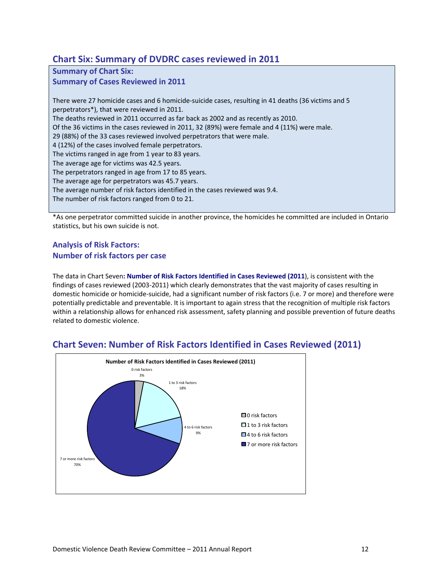#### **Chart Six: Summary of DVDRC cases reviewed in 2011**

**Summary of Chart Six: Summary of Cases Reviewed in 2011** There were 27 homicide cases and 6 homicide‐suicide cases, resulting in 41 deaths (36 victims and 5 perpetrators\*), that were reviewed in 2011. The deaths reviewed in 2011 occurred as far back as 2002 and as recently as 2010. Of the 36 victims in the cases reviewed in 2011, 32 (89%) were female and 4 (11%) were male. 29 (88%) of the 33 cases reviewed involved perpetrators that were male. 4 (12%) of the cases involved female perpetrators. The victims ranged in age from 1 year to 83 years. The average age for victims was 42.5 years. The perpetrators ranged in age from 17 to 85 years. The average age for perpetrators was 45.7 years. The average number of risk factors identified in the cases reviewed was 9.4. The number of risk factors ranged from 0 to 21.

\*As one perpetrator committed suicide in another province, the homicides he committed are included in Ontario statistics, but his own suicide is not.

#### **Analysis of Risk Factors: Number of risk factors per case**

The data in Chart Seven**: Number of Risk Factors Identified in Cases Reviewed (2011**), is consistent with the findings of cases reviewed (2003-2011) which clearly demonstrates that the vast majority of cases resulting in domestic homicide or homicide‐suicide, had a significant number of risk factors (i.e. 7 or more) and therefore were potentially predictable and preventable. It is important to again stress that the recognition of multiple risk factors within a relationship allows for enhanced risk assessment, safety planning and possible prevention of future deaths related to domestic violence.



#### **Chart Seven: Number of Risk Factors Identified in Cases Reviewed (2011)**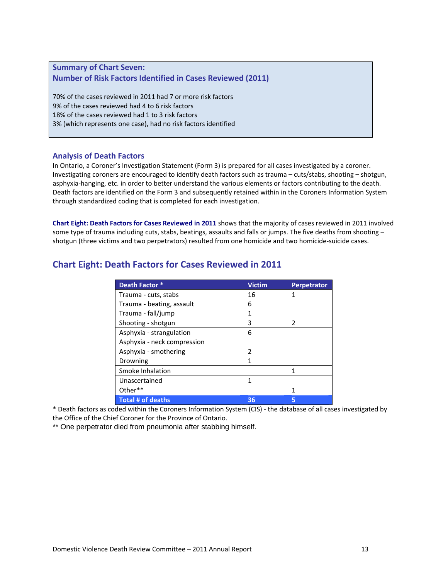#### **Summary of Chart Seven: Number of Risk Factors Identified in Cases Reviewed (2011)**

70% of the cases reviewed in 2011 had 7 or more risk factors 9% of the cases reviewed had 4 to 6 risk factors 18% of the cases reviewed had 1 to 3 risk factors 3% (which represents one case), had no risk factors identified

#### **Analysis of Death Factors**

In Ontario, a Coroner's Investigation Statement (Form 3) is prepared for all cases investigated by a coroner. Investigating coroners are encouraged to identify death factors such as trauma – cuts/stabs, shooting – shotgun, asphyxia‐hanging, etc. in order to better understand the various elements or factors contributing to the death. Death factors are identified on the Form 3 and subsequently retained within in the Coroners Information System through standardized coding that is completed for each investigation.

**Chart Eight: Death Factors for Cases Reviewed in 2011** shows that the majority of cases reviewed in 2011 involved some type of trauma including cuts, stabs, beatings, assaults and falls or jumps. The five deaths from shooting shotgun (three victims and two perpetrators) resulted from one homicide and two homicide‐suicide cases.

| Death Factor *              | <b>Victim</b> | <b>Perpetrator</b> |
|-----------------------------|---------------|--------------------|
| Trauma - cuts, stabs        | 16            |                    |
| Trauma - beating, assault   | 6             |                    |
| Trauma - fall/jump          |               |                    |
| Shooting - shotgun          | 3             | 2                  |
| Asphyxia - strangulation    | 6             |                    |
| Asphyxia - neck compression |               |                    |
| Asphyxia - smothering       | 2             |                    |
| Drowning                    | 1             |                    |
| Smoke Inhalation            |               |                    |
| Unascertained               | 1             |                    |
| Other**                     |               |                    |
| <b>Total # of deaths</b>    | 36            |                    |

#### **Chart Eight: Death Factors for Cases Reviewed in 2011**

\* Death factors as coded within the Coroners Information System (CIS) ‐ the database of all cases investigated by the Office of the Chief Coroner for the Province of Ontario.

\*\* One perpetrator died from pneumonia after stabbing himself.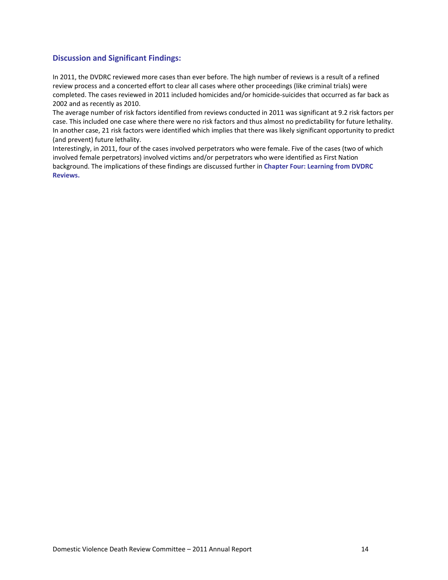#### **Discussion and Significant Findings:**

In 2011, the DVDRC reviewed more cases than ever before. The high number of reviews is a result of a refined review process and a concerted effort to clear all cases where other proceedings (like criminal trials) were completed. The cases reviewed in 2011 included homicides and/or homicide-suicides that occurred as far back as 2002 and as recently as 2010.

The average number of risk factors identified from reviews conducted in 2011 was significant at 9.2 risk factors per case. This included one case where there were no risk factors and thus almost no predictability for future lethality. In another case, 21 risk factors were identified which implies that there was likely significant opportunity to predict (and prevent) future lethality.

Interestingly, in 2011, four of the cases involved perpetrators who were female. Five of the cases (two of which involved female perpetrators) involved victims and/or perpetrators who were identified as First Nation background. The implications of these findings are discussed further in **Chapter Four: Learning from DVDRC Reviews.**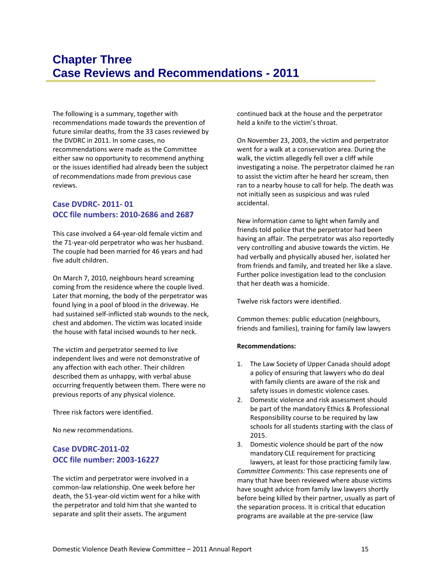<span id="page-20-0"></span>The following is a summary, together with recommendations made towards the prevention of future similar deaths, from the 33 cases reviewed by the DVDRC in 2011. In some cases, no recommendations were made as the Committee either saw no opportunity to recommend anything or the issues identified had already been the subject of recommendations made from previous case reviews.

#### **Case DVDRC‐ 2011‐ 01 OCC file numbers: 2010‐2686 and 2687**

This case involved a 64‐year‐old female victim and the 71‐year‐old perpetrator who was her husband. The couple had been married for 46 years and had five adult children.

On March 7, 2010, neighbours heard screaming coming from the residence where the couple lived. Later that morning, the body of the perpetrator was found lying in a pool of blood in the driveway. He had sustained self-inflicted stab wounds to the neck, chest and abdomen. The victim was located inside the house with fatal incised wounds to her neck.

The victim and perpetrator seemed to live independent lives and were not demonstrative of any affection with each other. Their children described them as unhappy, with verbal abuse occurring frequently between them. There were no previous reports of any physical violence.

Three risk factors were identified.

No new recommendations.

#### **Case DVDRC‐2011‐02 OCC file number: 2003‐16227**

The victim and perpetrator were involved in a common‐law relationship. One week before her death, the 51‐year‐old victim went for a hike with the perpetrator and told him that she wanted to separate and split their assets. The argument

continued back at the house and the perpetrator held a knife to the victim's throat.

On November 23, 2003, the victim and perpetrator went for a walk at a conservation area. During the walk, the victim allegedly fell over a cliff while investigating a noise. The perpetrator claimed he ran to assist the victim after he heard her scream, then ran to a nearby house to call for help. The death was not initially seen as suspicious and was ruled accidental.

New information came to light when family and friends told police that the perpetrator had been having an affair. The perpetrator was also reportedly very controlling and abusive towards the victim. He had verbally and physically abused her, isolated her from friends and family, and treated her like a slave. Further police investigation lead to the conclusion that her death was a homicide.

Twelve risk factors were identified.

Common themes: public education (neighbours, friends and families), training for family law lawyers

#### **Recommendations:**

- 1. The Law Society of Upper Canada should adopt a policy of ensuring that lawyers who do deal with family clients are aware of the risk and safety issues in domestic violence cases.
- 2. Domestic violence and risk assessment should be part of the mandatory Ethics & Professional Responsibility course to be required by law schools for all students starting with the class of 2015.
- 3. Domestic violence should be part of the now mandatory CLE requirement for practicing lawyers, at least for those practicing family law. *Committee Comments:* This case represents one of many that have been reviewed where abuse victims have sought advice from family law lawyers shortly before being killed by their partner, usually as part of the separation process. It is critical that education programs are available at the pre‐service (law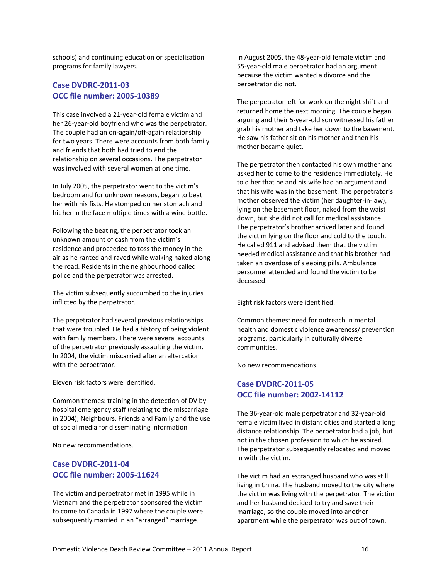schools) and continuing education or specialization programs for family lawyers.

#### **Case DVDRC‐2011‐03 OCC file number: 2005‐10389**

This case involved a 21‐year‐old female victim and her 26‐year‐old boyfriend who was the perpetrator. The couple had an on‐again/off‐again relationship for two years. There were accounts from both family and friends that both had tried to end the relationship on several occasions. The perpetrator was involved with several women at one time.

In July 2005, the perpetrator went to the victim's bedroom and for unknown reasons, began to beat her with his fists. He stomped on her stomach and hit her in the face multiple times with a wine bottle.

Following the beating, the perpetrator took an unknown amount of cash from the victim's residence and proceeded to toss the money in the air as he ranted and raved while walking naked along the road. Residents in the neighbourhood called police and the perpetrator was arrested.

The victim subsequently succumbed to the injuries inflicted by the perpetrator.

The perpetrator had several previous relationships that were troubled. He had a history of being violent with family members. There were several accounts of the perpetrator previously assaulting the victim. In 2004, the victim miscarried after an altercation with the perpetrator.

Eleven risk factors were identified.

Common themes: training in the detection of DV by hospital emergency staff (relating to the miscarriage in 2004); Neighbours, Friends and Family and the use of social media for disseminating information

No new recommendations.

#### **Case DVDRC‐2011‐04 OCC file number: 2005‐11624**

The victim and perpetrator met in 1995 while in Vietnam and the perpetrator sponsored the victim to come to Canada in 1997 where the couple were subsequently married in an "arranged" marriage.

In August 2005, the 48‐year‐old female victim and 55‐year‐old male perpetrator had an argument because the victim wanted a divorce and the perpetrator did not.

The perpetrator left for work on the night shift and returned home the next morning. The couple began arguing and their 5‐year‐old son witnessed his father grab his mother and take her down to the basement. He saw his father sit on his mother and then his mother became quiet.

The perpetrator then contacted his own mother and asked her to come to the residence immediately. He told her that he and his wife had an argument and that his wife was in the basement. The perpetrator's mother observed the victim (her daughter‐in‐law), lying on the basement floor, naked from the waist down, but she did not call for medical assistance. The perpetrator's brother arrived later and found the victim lying on the floor and cold to the touch. He called 911 and advised them that the victim needed medical assistance and that his brother had taken an overdose of sleeping pills. Ambulance personnel attended and found the victim to be deceased.

Eight risk factors were identified.

Common themes: need for outreach in mental health and domestic violence awareness/ prevention programs, particularly in culturally diverse communities.

No new recommendations.

#### **Case DVDRC‐2011‐05 OCC file number: 2002‐14112**

The 36‐year‐old male perpetrator and 32‐year‐old female victim lived in distant cities and started a long distance relationship. The perpetrator had a job, but not in the chosen profession to which he aspired. The perpetrator subsequently relocated and moved in with the victim.

The victim had an estranged husband who was still living in China. The husband moved to the city where the victim was living with the perpetrator. The victim and her husband decided to try and save their marriage, so the couple moved into another apartment while the perpetrator was out of town.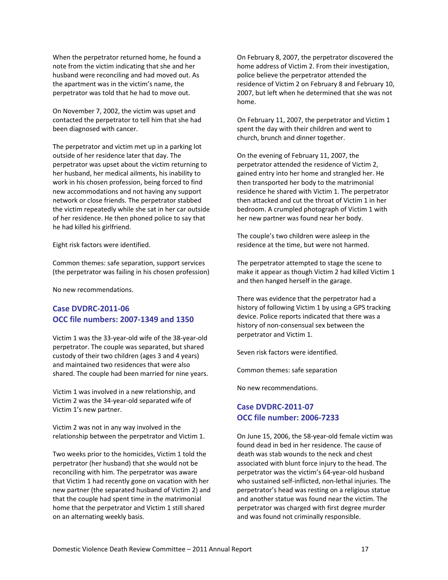When the perpetrator returned home, he found a note from the victim indicating that she and her husband were reconciling and had moved out. As the apartment was in the victim's name, the perpetrator was told that he had to move out.

On November 7, 2002, the victim was upset and contacted the perpetrator to tell him that she had been diagnosed with cancer.

The perpetrator and victim met up in a parking lot outside of her residence later that day. The perpetrator was upset about the victim returning to her husband, her medical ailments, his inability to work in his chosen profession, being forced to find new accommodations and not having any support network or close friends. The perpetrator stabbed the victim repeatedly while she sat in her car outside of her residence. He then phoned police to say that he had killed his girlfriend.

Eight risk factors were identified.

Common themes: safe separation, support services (the perpetrator was failing in his chosen profession)

No new recommendations.

#### **Case DVDRC‐2011‐06 OCC file numbers: 2007‐1349 and 1350**

Victim 1 was the 33‐year‐old wife of the 38‐year‐old perpetrator. The couple was separated, but shared custody of their two children (ages 3 and 4 years) and maintained two residences that were also shared. The couple had been married for nine years.

Victim 1 was involved in a new relationship, and Victim 2 was the 34‐year‐old separated wife of Victim 1's new partner.

Victim 2 was not in any way involved in the relationship between the perpetrator and Victim 1.

Two weeks prior to the homicides, Victim 1 told the perpetrator (her husband) that she would not be reconciling with him. The perpetrator was aware that Victim 1 had recently gone on vacation with her new partner (the separated husband of Victim 2) and that the couple had spent time in the matrimonial home that the perpetrator and Victim 1 still shared on an alternating weekly basis.

On February 8, 2007, the perpetrator discovered the home address of Victim 2. From their investigation, police believe the perpetrator attended the residence of Victim 2 on February 8 and February 10, 2007, but left when he determined that she was not home.

On February 11, 2007, the perpetrator and Victim 1 spent the day with their children and went to church, brunch and dinner together.

On the evening of February 11, 2007, the perpetrator attended the residence of Victim 2, gained entry into her home and strangled her. He then transported her body to the matrimonial residence he shared with Victim 1. The perpetrator then attacked and cut the throat of Victim 1 in her bedroom. A crumpled photograph of Victim 1 with her new partner was found near her body.

The couple's two children were asleep in the residence at the time, but were not harmed.

The perpetrator attempted to stage the scene to make it appear as though Victim 2 had killed Victim 1 and then hanged herself in the garage.

There was evidence that the perpetrator had a history of following Victim 1 by using a GPS tracking device. Police reports indicated that there was a history of non‐consensual sex between the perpetrator and Victim 1.

Seven risk factors were identified.

Common themes: safe separation

No new recommendations.

#### **Case DVDRC‐2011‐07 OCC file number: 2006‐7233**

On June 15, 2006, the 58‐year‐old female victim was found dead in bed in her residence. The cause of death was stab wounds to the neck and chest associated with blunt force injury to the head. The perpetrator was the victim's 64‐year‐old husband who sustained self-inflicted, non-lethal injuries. The perpetrator's head was resting on a religious statue and another statue was found near the victim. The perpetrator was charged with first degree murder and was found not criminally responsible.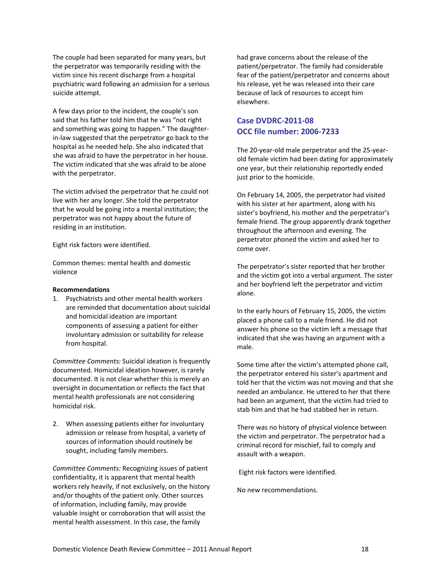The couple had been separated for many years, but the perpetrator was temporarily residing with the victim since his recent discharge from a hospital psychiatric ward following an admission for a serious suicide attempt.

A few days prior to the incident, the couple's son said that his father told him that he was "not right and something was going to happen." The daughter‐ in‐law suggested that the perpetrator go back to the hospital as he needed help. She also indicated that she was afraid to have the perpetrator in her house. The victim indicated that she was afraid to be alone with the perpetrator.

The victim advised the perpetrator that he could not live with her any longer. She told the perpetrator that he would be going into a mental institution; the perpetrator was not happy about the future of residing in an institution.

Eight risk factors were identified.

Common themes: mental health and domestic violence

#### **Recommendations**

1. Psychiatrists and other mental health workers are reminded that documentation about suicidal and homicidal ideation are important components of assessing a patient for either involuntary admission or suitability for release from hospital.

*Committee Comments:* Suicidal ideation is frequently documented. Homicidal ideation however, is rarely documented. It is not clear whether this is merely an oversight in documentation or reflects the fact that mental health professionals are not considering homicidal risk.

2. When assessing patients either for involuntary admission or release from hospital, a variety of sources of information should routinely be sought, including family members.

*Committee Comments:* Recognizing issues of patient confidentiality, it is apparent that mental health workers rely heavily, if not exclusively, on the history and/or thoughts of the patient only. Other sources of information, including family, may provide valuable insight or corroboration that will assist the mental health assessment. In this case, the family

had grave concerns about the release of the patient/perpetrator. The family had considerable fear of the patient/perpetrator and concerns about his release, yet he was released into their care because of lack of resources to accept him elsewhere.

#### **Case DVDRC‐2011‐08 OCC file number: 2006‐7233**

The 20‐year‐old male perpetrator and the 25‐year‐ old female victim had been dating for approximately one year, but their relationship reportedly ended just prior to the homicide.

On February 14, 2005, the perpetrator had visited with his sister at her apartment, along with his sister's boyfriend, his mother and the perpetrator's female friend. The group apparently drank together throughout the afternoon and evening. The perpetrator phoned the victim and asked her to come over.

The perpetrator's sister reported that her brother and the victim got into a verbal argument. The sister and her boyfriend left the perpetrator and victim alone.

In the early hours of February 15, 2005, the victim placed a phone call to a male friend. He did not answer his phone so the victim left a message that indicated that she was having an argument with a male.

Some time after the victim's attempted phone call, the perpetrator entered his sister's apartment and told her that the victim was not moving and that she needed an ambulance. He uttered to her that there had been an argument, that the victim had tried to stab him and that he had stabbed her in return.

There was no history of physical violence between the victim and perpetrator. The perpetrator had a criminal record for mischief, fail to comply and assault with a weapon.

Eight risk factors were identified.

No new recommendations.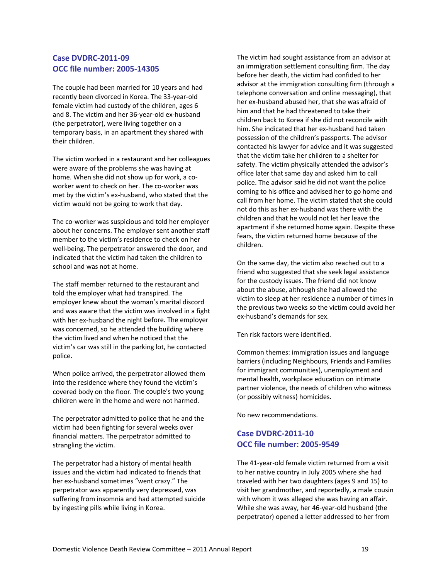#### **Case DVDRC‐2011‐09 OCC file number: 2005‐14305**

The couple had been married for 10 years and had recently been divorced in Korea. The 33‐year‐old female victim had custody of the children, ages 6 and 8. The victim and her 36‐year‐old ex‐husband (the perpetrator), were living together on a temporary basis, in an apartment they shared with their children.

The victim worked in a restaurant and her colleagues were aware of the problems she was having at home. When she did not show up for work, a coworker went to check on her. The co-worker was met by the victim's ex‐husband, who stated that the victim would not be going to work that day.

The co-worker was suspicious and told her employer about her concerns. The employer sent another staff member to the victim's residence to check on her well-being. The perpetrator answered the door, and indicated that the victim had taken the children to school and was not at home.

The staff member returned to the restaurant and told the employer what had transpired. The employer knew about the woman's marital discord and was aware that the victim was involved in a fight with her ex-husband the night before. The employer was concerned, so he attended the building where the victim lived and when he noticed that the victim's car was still in the parking lot, he contacted police.

When police arrived, the perpetrator allowed them into the residence where they found the victim's covered body on the floor. The couple's two young children were in the home and were not harmed.

The perpetrator admitted to police that he and the victim had been fighting for several weeks over financial matters. The perpetrator admitted to strangling the victim.

The perpetrator had a history of mental health issues and the victim had indicated to friends that her ex‐husband sometimes "went crazy." The perpetrator was apparently very depressed, was suffering from insomnia and had attempted suicide by ingesting pills while living in Korea.

The victim had sought assistance from an advisor at an immigration settlement consulting firm. The day before her death, the victim had confided to her advisor at the immigration consulting firm (through a telephone conversation and online messaging), that her ex‐husband abused her, that she was afraid of him and that he had threatened to take their children back to Korea if she did not reconcile with him. She indicated that her ex‐husband had taken possession of the children's passports. The advisor contacted his lawyer for advice and it was suggested that the victim take her children to a shelter for safety. The victim physically attended the advisor's office later that same day and asked him to call police. The advisor said he did not want the police coming to his office and advised her to go home and call from her home. The victim stated that she could not do this as her ex‐husband was there with the children and that he would not let her leave the apartment if she returned home again. Despite these fears, the victim returned home because of the children.

On the same day, the victim also reached out to a friend who suggested that she seek legal assistance for the custody issues. The friend did not know about the abuse, although she had allowed the victim to sleep at her residence a number of times in the previous two weeks so the victim could avoid her ex‐husband's demands for sex.

Ten risk factors were identified.

Common themes: immigration issues and language barriers (including Neighbours, Friends and Families for immigrant communities), unemployment and mental health, workplace education on intimate partner violence, the needs of children who witness (or possibly witness) homicides.

No new recommendations.

#### **Case DVDRC‐2011‐10 OCC file number: 2005‐9549**

The 41‐year‐old female victim returned from a visit to her native country in July 2005 where she had traveled with her two daughters (ages 9 and 15) to visit her grandmother, and reportedly, a male cousin with whom it was alleged she was having an affair. While she was away, her 46‐year‐old husband (the perpetrator) opened a letter addressed to her from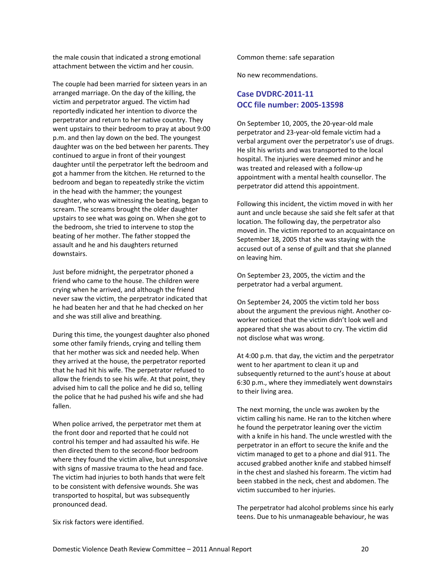the male cousin that indicated a strong emotional attachment between the victim and her cousin.

The couple had been married for sixteen years in an arranged marriage. On the day of the killing, the victim and perpetrator argued. The victim had reportedly indicated her intention to divorce the perpetrator and return to her native country. They went upstairs to their bedroom to pray at about 9:00 p.m. and then lay down on the bed. The youngest daughter was on the bed between her parents. They continued to argue in front of their youngest daughter until the perpetrator left the bedroom and got a hammer from the kitchen. He returned to the bedroom and began to repeatedly strike the victim in the head with the hammer; the youngest daughter, who was witnessing the beating, began to scream. The screams brought the older daughter upstairs to see what was going on. When she got to the bedroom, she tried to intervene to stop the beating of her mother. The father stopped the assault and he and his daughters returned downstairs.

Just before midnight, the perpetrator phoned a friend who came to the house. The children were crying when he arrived, and although the friend never saw the victim, the perpetrator indicated that he had beaten her and that he had checked on her and she was still alive and breathing.

During this time, the youngest daughter also phoned some other family friends, crying and telling them that her mother was sick and needed help. When they arrived at the house, the perpetrator reported that he had hit his wife. The perpetrator refused to allow the friends to see his wife. At that point, they advised him to call the police and he did so, telling the police that he had pushed his wife and she had fallen.

When police arrived, the perpetrator met them at the front door and reported that he could not control his temper and had assaulted his wife. He then directed them to the second‐floor bedroom where they found the victim alive, but unresponsive with signs of massive trauma to the head and face. The victim had injuries to both hands that were felt to be consistent with defensive wounds. She was transported to hospital, but was subsequently pronounced dead.

Common theme: safe separation

No new recommendations.

#### **Case DVDRC‐2011‐11 OCC file number: 2005‐13598**

On September 10, 2005, the 20‐year‐old male perpetrator and 23‐year‐old female victim had a verbal argument over the perpetrator's use of drugs. He slit his wrists and was transported to the local hospital. The injuries were deemed minor and he was treated and released with a follow‐up appointment with a mental health counsellor. The perpetrator did attend this appointment.

Following this incident, the victim moved in with her aunt and uncle because she said she felt safer at that location. The following day, the perpetrator also moved in. The victim reported to an acquaintance on September 18, 2005 that she was staying with the accused out of a sense of guilt and that she planned on leaving him.

On September 23, 2005, the victim and the perpetrator had a verbal argument.

On September 24, 2005 the victim told her boss about the argument the previous night. Another co‐ worker noticed that the victim didn't look well and appeared that she was about to cry. The victim did not disclose what was wrong.

At 4:00 p.m. that day, the victim and the perpetrator went to her apartment to clean it up and subsequently returned to the aunt's house at about 6:30 p.m., where they immediately went downstairs to their living area.

The next morning, the uncle was awoken by the victim calling his name. He ran to the kitchen where he found the perpetrator leaning over the victim with a knife in his hand. The uncle wrestled with the perpetrator in an effort to secure the knife and the victim managed to get to a phone and dial 911. The accused grabbed another knife and stabbed himself in the chest and slashed his forearm. The victim had been stabbed in the neck, chest and abdomen. The victim succumbed to her injuries.

The perpetrator had alcohol problems since his early teens. Due to his unmanageable behaviour, he was

Six risk factors were identified.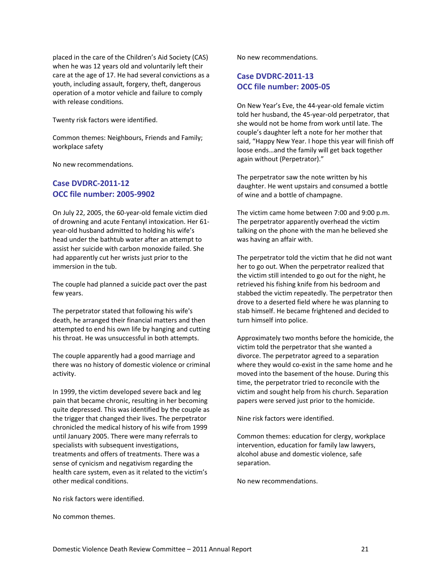placed in the care of the Children's Aid Society (CAS) when he was 12 years old and voluntarily left their care at the age of 17. He had several convictions as a youth, including assault, forgery, theft, dangerous operation of a motor vehicle and failure to comply with release conditions.

Twenty risk factors were identified.

Common themes: Neighbours, Friends and Family; workplace safety

No new recommendations.

#### **Case DVDRC‐2011‐12 OCC file number: 2005‐9902**

On July 22, 2005, the 60‐year‐old female victim died of drowning and acute Fentanyl intoxication. Her 61‐ year‐old husband admitted to holding his wife's head under the bathtub water after an attempt to assist her suicide with carbon monoxide failed. She had apparently cut her wrists just prior to the immersion in the tub.

The couple had planned a suicide pact over the past few years.

The perpetrator stated that following his wife's death, he arranged their financial matters and then attempted to end his own life by hanging and cutting his throat. He was unsuccessful in both attempts.

The couple apparently had a good marriage and there was no history of domestic violence or criminal activity.

In 1999, the victim developed severe back and leg pain that became chronic, resulting in her becoming quite depressed. This was identified by the couple as the trigger that changed their lives. The perpetrator chronicled the medical history of his wife from 1999 until January 2005. There were many referrals to specialists with subsequent investigations, treatments and offers of treatments. There was a sense of cynicism and negativism regarding the health care system, even as it related to the victim's other medical conditions.

No risk factors were identified.

No common themes.

No new recommendations.

#### **Case DVDRC‐2011‐13 OCC file number: 2005‐05**

On New Year's Eve, the 44‐year‐old female victim told her husband, the 45‐year‐old perpetrator, that she would not be home from work until late. The couple's daughter left a note for her mother that said, "Happy New Year. I hope this year will finish off loose ends…and the family will get back together again without (Perpetrator)."

The perpetrator saw the note written by his daughter. He went upstairs and consumed a bottle of wine and a bottle of champagne.

The victim came home between 7:00 and 9:00 p.m. The perpetrator apparently overhead the victim talking on the phone with the man he believed she was having an affair with.

The perpetrator told the victim that he did not want her to go out. When the perpetrator realized that the victim still intended to go out for the night, he retrieved his fishing knife from his bedroom and stabbed the victim repeatedly. The perpetrator then drove to a deserted field where he was planning to stab himself. He became frightened and decided to turn himself into police.

Approximately two months before the homicide, the victim told the perpetrator that she wanted a divorce. The perpetrator agreed to a separation where they would co-exist in the same home and he moved into the basement of the house. During this time, the perpetrator tried to reconcile with the victim and sought help from his church. Separation papers were served just prior to the homicide.

Nine risk factors were identified.

Common themes: education for clergy, workplace intervention, education for family law lawyers, alcohol abuse and domestic violence, safe separation.

No new recommendations.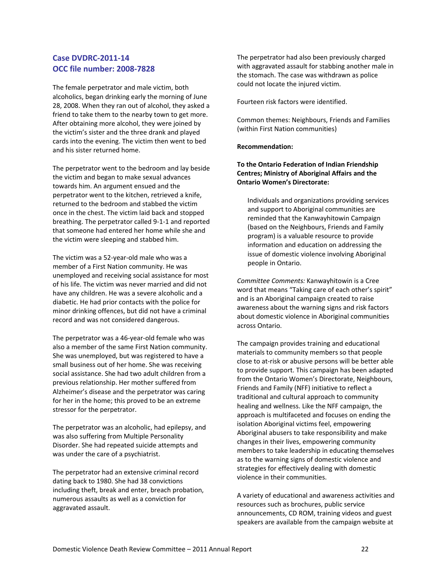#### **Case DVDRC‐2011‐14 OCC file number: 2008‐7828**

The female perpetrator and male victim, both alcoholics, began drinking early the morning of June 28, 2008. When they ran out of alcohol, they asked a friend to take them to the nearby town to get more. After obtaining more alcohol, they were joined by the victim's sister and the three drank and played cards into the evening. The victim then went to bed and his sister returned home.

The perpetrator went to the bedroom and lay beside the victim and began to make sexual advances towards him. An argument ensued and the perpetrator went to the kitchen, retrieved a knife, returned to the bedroom and stabbed the victim once in the chest. The victim laid back and stopped breathing. The perpetrator called 9‐1‐1 and reported that someone had entered her home while she and the victim were sleeping and stabbed him.

The victim was a 52‐year‐old male who was a member of a First Nation community. He was unemployed and receiving social assistance for most of his life. The victim was never married and did not have any children. He was a severe alcoholic and a diabetic. He had prior contacts with the police for minor drinking offences, but did not have a criminal record and was not considered dangerous.

The perpetrator was a 46‐year‐old female who was also a member of the same First Nation community. She was unemployed, but was registered to have a small business out of her home. She was receiving social assistance. She had two adult children from a previous relationship. Her mother suffered from Alzheimer's disease and the perpetrator was caring for her in the home; this proved to be an extreme stressor for the perpetrator.

The perpetrator was an alcoholic, had epilepsy, and was also suffering from Multiple Personality Disorder. She had repeated suicide attempts and was under the care of a psychiatrist.

The perpetrator had an extensive criminal record dating back to 1980. She had 38 convictions including theft, break and enter, breach probation, numerous assaults as well as a conviction for aggravated assault.

The perpetrator had also been previously charged with aggravated assault for stabbing another male in the stomach. The case was withdrawn as police could not locate the injured victim.

Fourteen risk factors were identified.

Common themes: Neighbours, Friends and Families (within First Nation communities)

#### **Recommendation:**

**To the Ontario Federation of Indian Friendship Centres; Ministry of Aboriginal Affairs and the Ontario Women's Directorate:**

Individuals and organizations providing services and support to Aboriginal communities are reminded that the Kanwayhitowin Campaign (based on the Neighbours, Friends and Family program) is a valuable resource to provide information and education on addressing the issue of domestic violence involving Aboriginal people in Ontario.

*Committee Comments:* Kanwayhitowin is a Cree word that means "Taking care of each other's spirit" and is an Aboriginal campaign created to raise awareness about the warning signs and risk factors about domestic violence in Aboriginal communities across Ontario.

The campaign provides training and educational materials to community members so that people close to at‐risk or abusive persons will be better able to provide support. This campaign has been adapted from the Ontario Women's Directorate, Neighbours, Friends and Family (NFF) initiative to reflect a traditional and cultural approach to community healing and wellness. Like the NFF campaign, the approach is multifaceted and focuses on ending the isolation Aboriginal victims feel, empowering Aboriginal abusers to take responsibility and make changes in their lives, empowering community members to take leadership in educating themselves as to the warning signs of domestic violence and strategies for effectively dealing with domestic violence in their communities.

A variety of educational and awareness activities and resources such as brochures, public service announcements, CD ROM, training videos and guest speakers are available from the campaign website at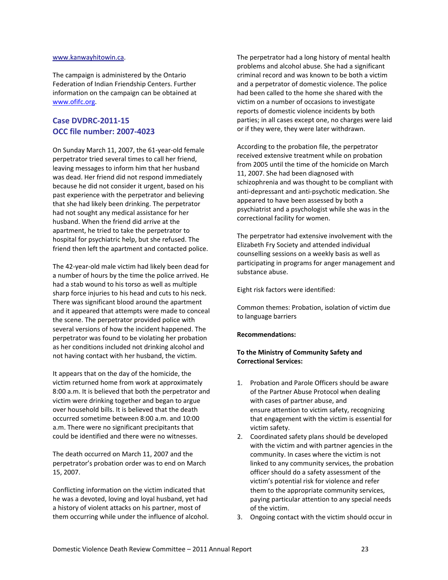#### [www.kanwayhitowin.ca.](http://www.kanwayhitowin.ca/)

The campaign is administered by the Ontario Federation of Indian Friendship Centers. Further information on the campaign can be obtained at [www.ofifc.org.](http://www.ofifc.org/)

#### **Case DVDRC‐2011‐15 OCC file number: 2007‐4023**

On Sunday March 11, 2007, the 61‐year‐old female perpetrator tried several times to call her friend, leaving messages to inform him that her husband was dead. Her friend did not respond immediately because he did not consider it urgent, based on his past experience with the perpetrator and believing that she had likely been drinking. The perpetrator had not sought any medical assistance for her husband. When the friend did arrive at the apartment, he tried to take the perpetrator to hospital for psychiatric help, but she refused. The friend then left the apartment and contacted police.

The 42‐year‐old male victim had likely been dead for a number of hours by the time the police arrived. He had a stab wound to his torso as well as multiple sharp force injuries to his head and cuts to his neck. There was significant blood around the apartment and it appeared that attempts were made to conceal the scene. The perpetrator provided police with several versions of how the incident happened. The perpetrator was found to be violating her probation as her conditions included not drinking alcohol and not having contact with her husband, the victim.

It appears that on the day of the homicide, the victim returned home from work at approximately 8:00 a.m. It is believed that both the perpetrator and victim were drinking together and began to argue over household bills. It is believed that the death occurred sometime between 8:00 a.m. and 10:00 a.m. There were no significant precipitants that could be identified and there were no witnesses.

The death occurred on March 11, 2007 and the perpetrator's probation order was to end on March 15, 2007.

Conflicting information on the victim indicated that he was a devoted, loving and loyal husband, yet had a history of violent attacks on his partner, most of them occurring while under the influence of alcohol. The perpetrator had a long history of mental health problems and alcohol abuse. She had a significant criminal record and was known to be both a victim and a perpetrator of domestic violence. The police had been called to the home she shared with the victim on a number of occasions to investigate reports of domestic violence incidents by both parties; in all cases except one, no charges were laid or if they were, they were later withdrawn.

According to the probation file, the perpetrator received extensive treatment while on probation from 2005 until the time of the homicide on March 11, 2007. She had been diagnosed with schizophrenia and was thought to be compliant with anti‐depressant and anti‐psychotic medication. She appeared to have been assessed by both a psychiatrist and a psychologist while she was in the correctional facility for women.

The perpetrator had extensive involvement with the Elizabeth Fry Society and attended individual counselling sessions on a weekly basis as well as participating in programs for anger management and substance abuse.

Eight risk factors were identified:

Common themes: Probation, isolation of victim due to language barriers

#### **Recommendations:**

#### **To the Ministry of Community Safety and Correctional Services:**

- 1. Probation and Parole Officers should be aware of the Partner Abuse Protocol when dealing with cases of partner abuse, and ensure attention to victim safety, recognizing that engagement with the victim is essential for victim safety.
- 2. Coordinated safety plans should be developed with the victim and with partner agencies in the community. In cases where the victim is not linked to any community services, the probation officer should do a safety assessment of the victim's potential risk for violence and refer them to the appropriate community services, paying particular attention to any special needs of the victim.
- 3. Ongoing contact with the victim should occur in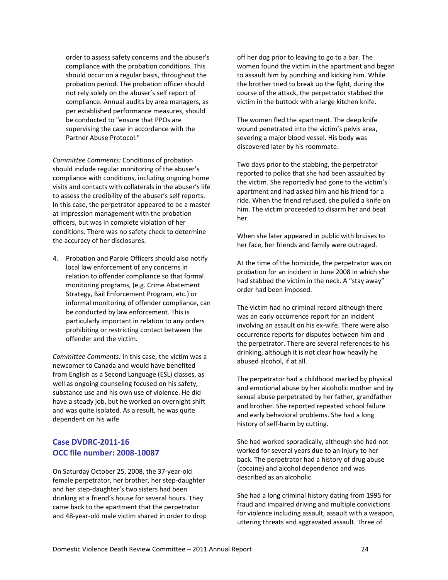order to assess safety concerns and the abuser's compliance with the probation conditions. This should occur on a regular basis, throughout the probation period. The probation officer should not rely solely on the abuser's self report of compliance. Annual audits by area managers, as per established performance measures, should be conducted to "ensure that PPOs are supervising the case in accordance with the Partner Abuse Protocol."

*Committee Comments:* Conditions of probation should include regular monitoring of the abuser's compliance with conditions, including ongoing home visits and contacts with collaterals in the abuser's life to assess the credibility of the abuser's self reports. In this case, the perpetrator appeared to be a master at impression management with the probation officers, but was in complete violation of her conditions. There was no safety check to determine the accuracy of her disclosures.

4. Probation and Parole Officers should also notify local law enforcement of any concerns in relation to offender compliance so that formal monitoring programs, (e.g. Crime Abatement Strategy, Bail Enforcement Program, etc.) or informal monitoring of offender compliance, can be conducted by law enforcement. This is particularly important in relation to any orders prohibiting or restricting contact between the offender and the victim.

*Committee Comments:* In this case, the victim was a newcomer to Canada and would have benefited from English as a Second Language (ESL) classes, as well as ongoing counseling focused on his safety, substance use and his own use of violence. He did have a steady job, but he worked an overnight shift and was quite isolated. As a result, he was quite dependent on his wife.

#### **Case DVDRC‐2011‐16 OCC file number: 2008‐10087**

On Saturday October 25, 2008, the 37‐year‐old female perpetrator, her brother, her step‐daughter and her step‐daughter's two sisters had been drinking at a friend's house for several hours. They came back to the apartment that the perpetrator and 48‐year‐old male victim shared in order to drop off her dog prior to leaving to go to a bar. The women found the victim in the apartment and began to assault him by punching and kicking him. While the brother tried to break up the fight, during the course of the attack, the perpetrator stabbed the victim in the buttock with a large kitchen knife.

The women fled the apartment. The deep knife wound penetrated into the victim's pelvis area, severing a major blood vessel. His body was discovered later by his roommate.

Two days prior to the stabbing, the perpetrator reported to police that she had been assaulted by the victim. She reportedly had gone to the victim's apartment and had asked him and his friend for a ride. When the friend refused, she pulled a knife on him. The victim proceeded to disarm her and beat her.

When she later appeared in public with bruises to her face, her friends and family were outraged.

At the time of the homicide, the perpetrator was on probation for an incident in June 2008 in which she had stabbed the victim in the neck. A "stay away" order had been imposed.

The victim had no criminal record although there was an early occurrence report for an incident involving an assault on his ex-wife. There were also occurrence reports for disputes between him and the perpetrator. There are several references to his drinking, although it is not clear how heavily he abused alcohol, if at all.

The perpetrator had a childhood marked by physical and emotional abuse by her alcoholic mother and by sexual abuse perpetrated by her father, grandfather and brother. She reported repeated school failure and early behavioral problems. She had a long history of self‐harm by cutting.

She had worked sporadically, although she had not worked for several years due to an injury to her back. The perpetrator had a history of drug abuse (cocaine) and alcohol dependence and was described as an alcoholic.

She had a long criminal history dating from 1995 for fraud and impaired driving and multiple convictions for violence including assault, assault with a weapon, uttering threats and aggravated assault. Three of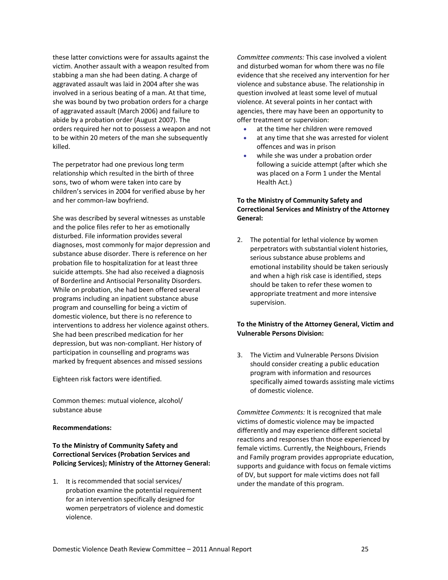these latter convictions were for assaults against the victim. Another assault with a weapon resulted from stabbing a man she had been dating. A charge of aggravated assault was laid in 2004 after she was involved in a serious beating of a man. At that time, she was bound by two probation orders for a charge of aggravated assault (March 2006) and failure to abide by a probation order (August 2007). The orders required her not to possess a weapon and not to be within 20 meters of the man she subsequently killed.

The perpetrator had one previous long term relationship which resulted in the birth of three sons, two of whom were taken into care by children's services in 2004 for verified abuse by her and her common‐law boyfriend.

She was described by several witnesses as unstable and the police files refer to her as emotionally disturbed. File information provides several diagnoses, most commonly for major depression and substance abuse disorder. There is reference on her probation file to hospitalization for at least three suicide attempts. She had also received a diagnosis of Borderline and Antisocial Personality Disorders. While on probation, she had been offered several programs including an inpatient substance abuse program and counselling for being a victim of domestic violence, but there is no reference to interventions to address her violence against others. She had been prescribed medication for her depression, but was non‐compliant. Her history of participation in counselling and programs was marked by frequent absences and missed sessions

Eighteen risk factors were identified.

Common themes: mutual violence, alcohol/ substance abuse

#### **Recommendations:**

#### **To the Ministry of Community Safety and Correctional Services (Probation Services and Policing Services); Ministry of the Attorney General:**

1. It is recommended that social services/ probation examine the potential requirement for an intervention specifically designed for women perpetrators of violence and domestic violence.

*Committee comments:* This case involved a violent and disturbed woman for whom there was no file evidence that she received any intervention for her violence and substance abuse. The relationship in question involved at least some level of mutual violence. At several points in her contact with agencies, there may have been an opportunity to offer treatment or supervision:

- at the time her children were removed
- at any time that she was arrested for violent offences and was in prison
- while she was under a probation order following a suicide attempt (after which she was placed on a Form 1 under the Mental Health Act.)

#### **To the Ministry of Community Safety and Correctional Services and Ministry of the Attorney General:**

2. The potential for lethal violence by women perpetrators with substantial violent histories, serious substance abuse problems and emotional instability should be taken seriously and when a high risk case is identified, steps should be taken to refer these women to appropriate treatment and more intensive supervision.

#### **To the Ministry of the Attorney General, Victim and Vulnerable Persons Division:**

3. The Victim and Vulnerable Persons Division should consider creating a public education program with information and resources specifically aimed towards assisting male victims of domestic violence.

*Committee Comments:* It is recognized that male victims of domestic violence may be impacted differently and may experience different societal reactions and responses than those experienced by female victims. Currently, the Neighbours, Friends and Family program provides appropriate education, supports and guidance with focus on female victims of DV, but support for male victims does not fall under the mandate of this program.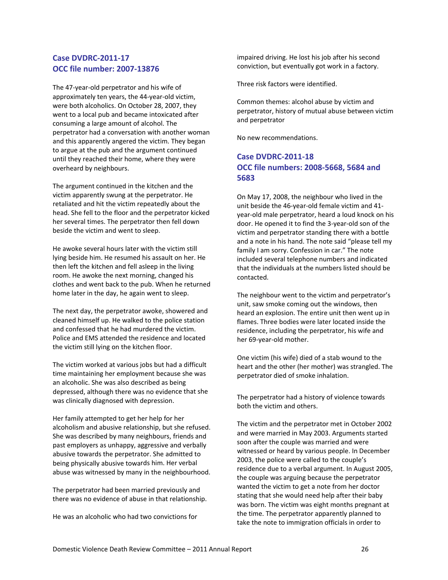#### **Case DVDRC‐2011‐17 OCC file number: 2007‐13876**

The 47‐year‐old perpetrator and his wife of approximately ten years, the 44‐year‐old victim, were both alcoholics. On October 28, 2007, they went to a local pub and became intoxicated after consuming a large amount of alcohol. The perpetrator had a conversation with another woman and this apparently angered the victim. They began to argue at the pub and the argument continued until they reached their home, where they were overheard by neighbours.

The argument continued in the kitchen and the victim apparently swung at the perpetrator. He retaliated and hit the victim repeatedly about the head. She fell to the floor and the perpetrator kicked her several times. The perpetrator then fell down beside the victim and went to sleep.

He awoke several hours later with the victim still lying beside him. He resumed his assault on her. He then left the kitchen and fell asleep in the living room. He awoke the next morning, changed his clothes and went back to the pub. When he returned home later in the day, he again went to sleep.

The next day, the perpetrator awoke, showered and cleaned himself up. He walked to the police station and confessed that he had murdered the victim. Police and EMS attended the residence and located the victim still lying on the kitchen floor.

The victim worked at various jobs but had a difficult time maintaining her employment because she was an alcoholic. She was also described as being depressed, although there was no evidence that she was clinically diagnosed with depression.

Her family attempted to get her help for her alcoholism and abusive relationship, but she refused. She was described by many neighbours, friends and past employers as unhappy, aggressive and verbally abusive towards the perpetrator. She admitted to being physically abusive towards him. Her verbal abuse was witnessed by many in the neighbourhood.

The perpetrator had been married previously and there was no evidence of abuse in that relationship.

He was an alcoholic who had two convictions for

impaired driving. He lost his job after his second conviction, but eventually got work in a factory.

Three risk factors were identified.

Common themes: alcohol abuse by victim and perpetrator, history of mutual abuse between victim and perpetrator

No new recommendations.

#### **Case DVDRC‐2011‐18 OCC file numbers: 2008‐5668, 5684 and 5683**

On May 17, 2008, the neighbour who lived in the unit beside the 46‐year‐old female victim and 41‐ year‐old male perpetrator, heard a loud knock on his door. He opened it to find the 3‐year‐old son of the victim and perpetrator standing there with a bottle and a note in his hand. The note said "please tell my family I am sorry. Confession in car." The note included several telephone numbers and indicated that the individuals at the numbers listed should be contacted.

The neighbour went to the victim and perpetrator's unit, saw smoke coming out the windows, then heard an explosion. The entire unit then went up in flames. Three bodies were later located inside the residence, including the perpetrator, his wife and her 69‐year‐old mother.

One victim (his wife) died of a stab wound to the heart and the other (her mother) was strangled. The perpetrator died of smoke inhalation.

The perpetrator had a history of violence towards both the victim and others.

The victim and the perpetrator met in October 2002 and were married in May 2003. Arguments started soon after the couple was married and were witnessed or heard by various people. In December 2003, the police were called to the couple's residence due to a verbal argument. In August 2005, the couple was arguing because the perpetrator wanted the victim to get a note from her doctor stating that she would need help after their baby was born. The victim was eight months pregnant at the time. The perpetrator apparently planned to take the note to immigration officials in order to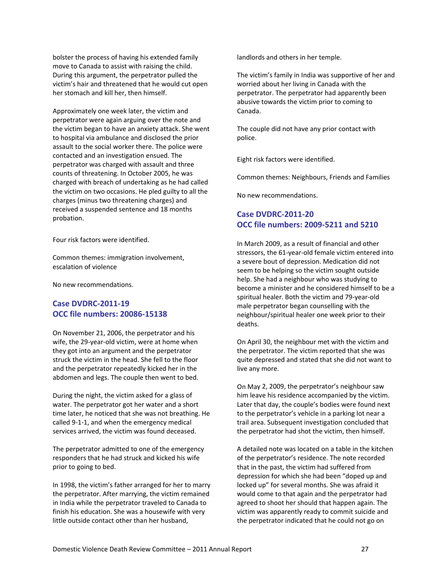bolster the process of having his extended family move to Canada to assist with raising the child. During this argument, the perpetrator pulled the victim's hair and threatened that he would cut open her stomach and kill her, then himself.

Approximately one week later, the victim and perpetrator were again arguing over the note and the victim began to have an anxiety attack. She went to hospital via ambulance and disclosed the prior assault to the social worker there. The police were contacted and an investigation ensued. The perpetrator was charged with assault and three counts of threatening. In October 2005, he was charged with breach of undertaking as he had called the victim on two occasions. He pled guilty to all the charges (minus two threatening charges) and received a suspended sentence and 18 months probation.

Four risk factors were identified.

Common themes: immigration involvement, escalation of violence

No new recommendations.

#### **Case DVDRC‐2011‐19 OCC file numbers: 20086‐15138**

On November 21, 2006, the perpetrator and his wife, the 29-year-old victim, were at home when they got into an argument and the perpetrator struck the victim in the head. She fell to the floor and the perpetrator repeatedly kicked her in the abdomen and legs. The couple then went to bed.

During the night, the victim asked for a glass of water. The perpetrator got her water and a short time later, he noticed that she was not breathing. He called 9‐1‐1, and when the emergency medical services arrived, the victim was found deceased.

The perpetrator admitted to one of the emergency responders that he had struck and kicked his wife prior to going to bed.

In 1998, the victim's father arranged for her to marry the perpetrator. After marrying, the victim remained in India while the perpetrator traveled to Canada to finish his education. She was a housewife with very little outside contact other than her husband,

landlords and others in her temple.

The victim's family in India was supportive of her and worried about her living in Canada with the perpetrator. The perpetrator had apparently been abusive towards the victim prior to coming to Canada.

The couple did not have any prior contact with police.

Eight risk factors were identified.

Common themes: Neighbours, Friends and Families

No new recommendations.

#### **Case DVDRC‐2011‐20 OCC file numbers: 2009‐5211 and 5210**

In March 2009, as a result of financial and other stressors, the 61‐year‐old female victim entered into a severe bout of depression. Medication did not seem to be helping so the victim sought outside help. She had a neighbour who was studying to become a minister and he considered himself to be a spiritual healer. Both the victim and 79‐year‐old male perpetrator began counselling with the neighbour/spiritual healer one week prior to their deaths.

On April 30, the neighbour met with the victim and the perpetrator. The victim reported that she was quite depressed and stated that she did not want to live any more.

On May 2, 2009, the perpetrator's neighbour saw him leave his residence accompanied by the victim. Later that day, the couple's bodies were found next to the perpetrator's vehicle in a parking lot near a trail area. Subsequent investigation concluded that the perpetrator had shot the victim, then himself.

A detailed note was located on a table in the kitchen of the perpetrator's residence. The note recorded that in the past, the victim had suffered from depression for which she had been "doped up and locked up" for several months. She was afraid it would come to that again and the perpetrator had agreed to shoot her should that happen again. The victim was apparently ready to commit suicide and the perpetrator indicated that he could not go on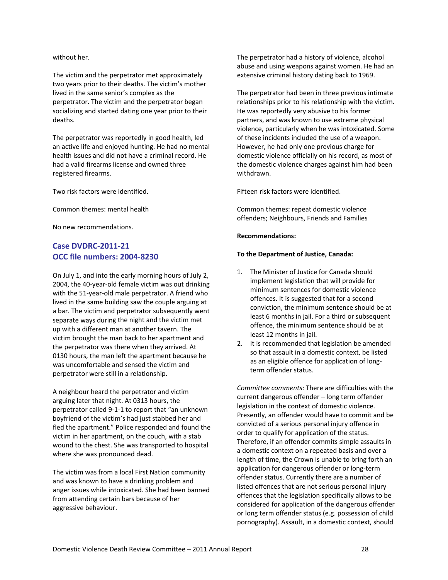without her.

The victim and the perpetrator met approximately two years prior to their deaths. The victim's mother lived in the same senior's complex as the perpetrator. The victim and the perpetrator began socializing and started dating one year prior to their deaths.

The perpetrator was reportedly in good health, led an active life and enjoyed hunting. He had no mental health issues and did not have a criminal record. He had a valid firearms license and owned three registered firearms.

Two risk factors were identified.

Common themes: mental health

No new recommendations.

#### **Case DVDRC‐2011‐21 OCC file numbers: 2004‐8230**

On July 1, and into the early morning hours of July 2, 2004, the 40‐year‐old female victim was out drinking with the 51-year-old male perpetrator. A friend who lived in the same building saw the couple arguing at a bar. The victim and perpetrator subsequently went separate ways during the night and the victim met up with a different man at another tavern. The victim brought the man back to her apartment and the perpetrator was there when they arrived. At 0130 hours, the man left the apartment because he was uncomfortable and sensed the victim and perpetrator were still in a relationship.

A neighbour heard the perpetrator and victim arguing later that night. At 0313 hours, the perpetrator called 9‐1‐1 to report that "an unknown boyfriend of the victim's had just stabbed her and fled the apartment." Police responded and found the victim in her apartment, on the couch, with a stab wound to the chest. She was transported to hospital where she was pronounced dead.

The victim was from a local First Nation community and was known to have a drinking problem and anger issues while intoxicated. She had been banned from attending certain bars because of her aggressive behaviour.

The perpetrator had a history of violence, alcohol abuse and using weapons against women. He had an extensive criminal history dating back to 1969.

The perpetrator had been in three previous intimate relationships prior to his relationship with the victim. He was reportedly very abusive to his former partners, and was known to use extreme physical violence, particularly when he was intoxicated. Some of these incidents included the use of a weapon. However, he had only one previous charge for domestic violence officially on his record, as most of the domestic violence charges against him had been withdrawn.

Fifteen risk factors were identified.

Common themes: repeat domestic violence offenders; Neighbours, Friends and Families

#### **Recommendations:**

#### **To the Department of Justice, Canada:**

- 1. The Minister of Justice for Canada should implement legislation that will provide for minimum sentences for domestic violence offences. It is suggested that for a second conviction, the minimum sentence should be at least 6 months in jail. For a third or subsequent offence, the minimum sentence should be at least 12 months in jail.
- 2. It is recommended that legislation be amended so that assault in a domestic context, be listed as an eligible offence for application of long‐ term offender status.

*Committee comments:* There are difficulties with the current dangerous offender – long term offender legislation in the context of domestic violence. Presently, an offender would have to commit and be convicted of a serious personal injury offence in order to qualify for application of the status. Therefore, if an offender commits simple assaults in a domestic context on a repeated basis and over a length of time, the Crown is unable to bring forth an application for dangerous offender or long‐term offender status. Currently there are a number of listed offences that are not serious personal injury offences that the legislation specifically allows to be considered for application of the dangerous offender or long term offender status (e.g. possession of child pornography). Assault, in a domestic context, should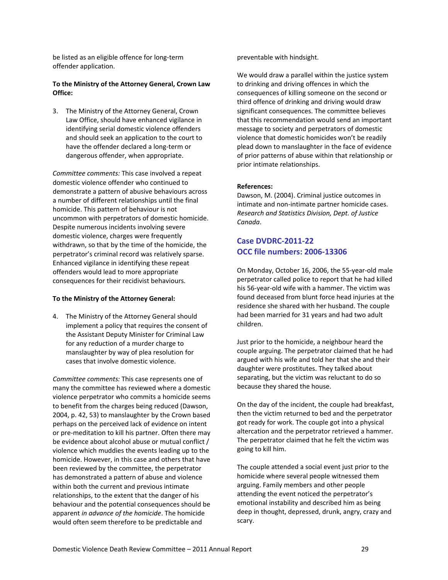be listed as an eligible offence for long‐term offender application.

#### **To the Ministry of the Attorney General, Crown Law Office:**

3. The Ministry of the Attorney General, Crown Law Office, should have enhanced vigilance in identifying serial domestic violence offenders and should seek an application to the court to have the offender declared a long‐term or dangerous offender, when appropriate.

*Committee comments:* This case involved a repeat domestic violence offender who continued to demonstrate a pattern of abusive behaviours across a number of different relationships until the final homicide. This pattern of behaviour is not uncommon with perpetrators of domestic homicide. Despite numerous incidents involving severe domestic violence, charges were frequently withdrawn, so that by the time of the homicide, the perpetrator's criminal record was relatively sparse. Enhanced vigilance in identifying these repeat offenders would lead to more appropriate consequences for their recidivist behaviours.

#### **To the Ministry of the Attorney General:**

4. The Ministry of the Attorney General should implement a policy that requires the consent of the Assistant Deputy Minister for Criminal Law for any reduction of a murder charge to manslaughter by way of plea resolution for cases that involve domestic violence.

*Committee comments:* This case represents one of many the committee has reviewed where a domestic violence perpetrator who commits a homicide seems to benefit from the charges being reduced (Dawson, 2004, p. 42, 53) to manslaughter by the Crown based perhaps on the perceived lack of evidence on intent or pre‐meditation to kill his partner. Often there may be evidence about alcohol abuse or mutual conflict / violence which muddies the events leading up to the homicide. However, in this case and others that have been reviewed by the committee, the perpetrator has demonstrated a pattern of abuse and violence within both the current and previous intimate relationships, to the extent that the danger of his behaviour and the potential consequences should be apparent *in advance of the homicide*. The homicide would often seem therefore to be predictable and

preventable with hindsight.

We would draw a parallel within the justice system to drinking and driving offences in which the consequences of killing someone on the second or third offence of drinking and driving would draw significant consequences. The committee believes that this recommendation would send an important message to society and perpetrators of domestic violence that domestic homicides won't be readily plead down to manslaughter in the face of evidence of prior patterns of abuse within that relationship or prior intimate relationships.

#### **References:**

Dawson, M. (2004). Criminal justice outcomes in intimate and non‐intimate partner homicide cases. *Research and Statistics Division, Dept. of Justice Canada*.

#### **Case DVDRC‐2011‐22 OCC file numbers: 2006‐13306**

On Monday, October 16, 2006, the 55‐year‐old male perpetrator called police to report that he had killed his 56‐year‐old wife with a hammer. The victim was found deceased from blunt force head injuries at the residence she shared with her husband. The couple had been married for 31 years and had two adult children.

Just prior to the homicide, a neighbour heard the couple arguing. The perpetrator claimed that he had argued with his wife and told her that she and their daughter were prostitutes. They talked about separating, but the victim was reluctant to do so because they shared the house.

On the day of the incident, the couple had breakfast, then the victim returned to bed and the perpetrator got ready for work. The couple got into a physical altercation and the perpetrator retrieved a hammer. The perpetrator claimed that he felt the victim was going to kill him.

The couple attended a social event just prior to the homicide where several people witnessed them arguing. Family members and other people attending the event noticed the perpetrator's emotional instability and described him as being deep in thought, depressed, drunk, angry, crazy and scary.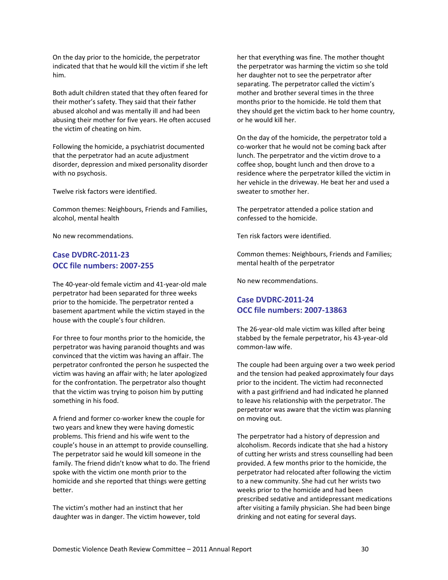On the day prior to the homicide, the perpetrator indicated that that he would kill the victim if she left him.

Both adult children stated that they often feared for their mother's safety. They said that their father abused alcohol and was mentally ill and had been abusing their mother for five years. He often accused the victim of cheating on him.

Following the homicide, a psychiatrist documented that the perpetrator had an acute adjustment disorder, depression and mixed personality disorder with no psychosis.

Twelve risk factors were identified.

Common themes: Neighbours, Friends and Families, alcohol, mental health

No new recommendations.

#### **Case DVDRC‐2011‐23 OCC file numbers: 2007‐255**

The 40‐year‐old female victim and 41‐year‐old male perpetrator had been separated for three weeks prior to the homicide. The perpetrator rented a basement apartment while the victim stayed in the house with the couple's four children.

For three to four months prior to the homicide, the perpetrator was having paranoid thoughts and was convinced that the victim was having an affair. The perpetrator confronted the person he suspected the victim was having an affair with; he later apologized for the confrontation. The perpetrator also thought that the victim was trying to poison him by putting something in his food.

A friend and former co‐worker knew the couple for two years and knew they were having domestic problems. This friend and his wife went to the couple's house in an attempt to provide counselling. The perpetrator said he would kill someone in the family. The friend didn't know what to do. The friend spoke with the victim one month prior to the homicide and she reported that things were getting better.

The victim's mother had an instinct that her daughter was in danger. The victim however, told her that everything was fine. The mother thought the perpetrator was harming the victim so she told her daughter not to see the perpetrator after separating. The perpetrator called the victim's mother and brother several times in the three months prior to the homicide. He told them that they should get the victim back to her home country, or he would kill her.

On the day of the homicide, the perpetrator told a co‐worker that he would not be coming back after lunch. The perpetrator and the victim drove to a coffee shop, bought lunch and then drove to a residence where the perpetrator killed the victim in her vehicle in the driveway. He beat her and used a sweater to smother her.

The perpetrator attended a police station and confessed to the homicide.

Ten risk factors were identified.

Common themes: Neighbours, Friends and Families; mental health of the perpetrator

No new recommendations.

#### **Case DVDRC‐2011‐24 OCC file numbers: 2007‐13863**

The 26‐year‐old male victim was killed after being stabbed by the female perpetrator, his 43‐year‐old common‐law wife.

The couple had been arguing over a two week period and the tension had peaked approximately four days prior to the incident. The victim had reconnected with a past girlfriend and had indicated he planned to leave his relationship with the perpetrator. The perpetrator was aware that the victim was planning on moving out.

The perpetrator had a history of depression and alcoholism. Records indicate that she had a history of cutting her wrists and stress counselling had been provided. A few months prior to the homicide, the perpetrator had relocated after following the victim to a new community. She had cut her wrists two weeks prior to the homicide and had been prescribed sedative and antidepressant medications after visiting a family physician. She had been binge drinking and not eating for several days.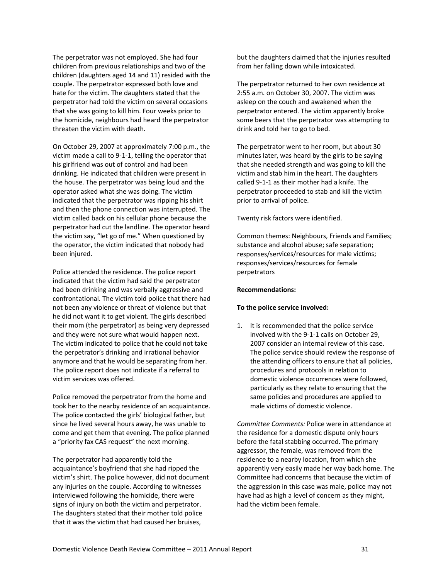The perpetrator was not employed. She had four children from previous relationships and two of the children (daughters aged 14 and 11) resided with the couple. The perpetrator expressed both love and hate for the victim. The daughters stated that the perpetrator had told the victim on several occasions that she was going to kill him. Four weeks prior to the homicide, neighbours had heard the perpetrator threaten the victim with death.

On October 29, 2007 at approximately 7:00 p.m., the victim made a call to 9‐1‐1, telling the operator that his girlfriend was out of control and had been drinking. He indicated that children were present in the house. The perpetrator was being loud and the operator asked what she was doing. The victim indicated that the perpetrator was ripping his shirt and then the phone connection was interrupted. The victim called back on his cellular phone because the perpetrator had cut the landline. The operator heard the victim say, "let go of me." When questioned by the operator, the victim indicated that nobody had been injured.

Police attended the residence. The police report indicated that the victim had said the perpetrator had been drinking and was verbally aggressive and confrontational. The victim told police that there had not been any violence or threat of violence but that he did not want it to get violent. The girls described their mom (the perpetrator) as being very depressed and they were not sure what would happen next. The victim indicated to police that he could not take the perpetrator's drinking and irrational behavior anymore and that he would be separating from her. The police report does not indicate if a referral to victim services was offered.

Police removed the perpetrator from the home and took her to the nearby residence of an acquaintance. The police contacted the girls' biological father, but since he lived several hours away, he was unable to come and get them that evening. The police planned a "priority fax CAS request" the next morning.

The perpetrator had apparently told the acquaintance's boyfriend that she had ripped the victim's shirt. The police however, did not document any injuries on the couple. According to witnesses interviewed following the homicide, there were signs of injury on both the victim and perpetrator. The daughters stated that their mother told police that it was the victim that had caused her bruises,

but the daughters claimed that the injuries resulted from her falling down while intoxicated.

The perpetrator returned to her own residence at 2:55 a.m. on October 30, 2007. The victim was asleep on the couch and awakened when the perpetrator entered. The victim apparently broke some beers that the perpetrator was attempting to drink and told her to go to bed.

The perpetrator went to her room, but about 30 minutes later, was heard by the girls to be saying that she needed strength and was going to kill the victim and stab him in the heart. The daughters called 9‐1‐1 as their mother had a knife. The perpetrator proceeded to stab and kill the victim prior to arrival of police.

Twenty risk factors were identified.

Common themes: Neighbours, Friends and Families; substance and alcohol abuse; safe separation; responses/services/resources for male victims; responses/services/resources for female perpetrators

#### **Recommendations:**

#### **To the police service involved:**

1. It is recommended that the police service involved with the 9‐1‐1 calls on October 29, 2007 consider an internal review of this case. The police service should review the response of the attending officers to ensure that all policies, procedures and protocols in relation to domestic violence occurrences were followed, particularly as they relate to ensuring that the same policies and procedures are applied to male victims of domestic violence.

*Committee Comments:* Police were in attendance at the residence for a domestic dispute only hours before the fatal stabbing occurred. The primary aggressor, the female, was removed from the residence to a nearby location, from which she apparently very easily made her way back home. The Committee had concerns that because the victim of the aggression in this case was male, police may not have had as high a level of concern as they might, had the victim been female.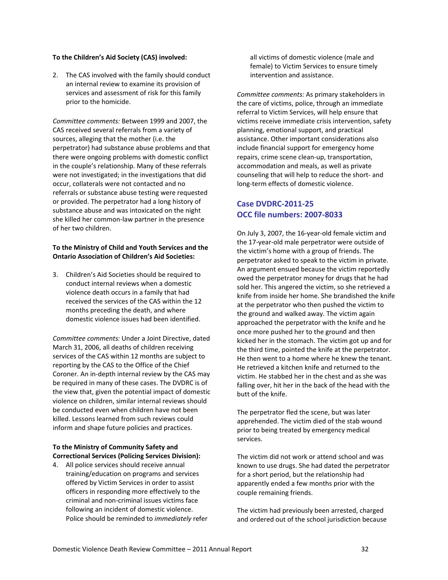#### **To the Children's Aid Society (CAS) involved:**

2. The CAS involved with the family should conduct an internal review to examine its provision of services and assessment of risk for this family prior to the homicide.

*Committee comments:* Between 1999 and 2007, the CAS received several referrals from a variety of sources, alleging that the mother (i.e. the perpetrator) had substance abuse problems and that there were ongoing problems with domestic conflict in the couple's relationship. Many of these referrals were not investigated; in the investigations that did occur, collaterals were not contacted and no referrals or substance abuse testing were requested or provided. The perpetrator had a long history of substance abuse and was intoxicated on the night she killed her common‐law partner in the presence of her two children.

#### **To the Ministry of Child and Youth Services and the Ontario Association of Children's Aid Societies:**

3. Children's Aid Societies should be required to conduct internal reviews when a domestic violence death occurs in a family that had received the services of the CAS within the 12 months preceding the death, and where domestic violence issues had been identified.

*Committee comments:* Under a Joint Directive, dated March 31, 2006, all deaths of children receiving services of the CAS within 12 months are subject to reporting by the CAS to the Office of the Chief Coroner. An in‐depth internal review by the CAS may be required in many of these cases. The DVDRC is of the view that, given the potential impact of domestic violence on children, similar internal reviews should be conducted even when children have not been killed. Lessons learned from such reviews could inform and shape future policies and practices.

#### **To the Ministry of Community Safety and Correctional Services (Policing Services Division):**

4. All police services should receive annual training/education on programs and services offered by Victim Services in order to assist officers in responding more effectively to the criminal and non‐criminal issues victims face following an incident of domestic violence. Police should be reminded to *immediately* refer all victims of domestic violence (male and female) to Victim Services to ensure timely intervention and assistance.

*Committee comments:* As primary stakeholders in the care of victims, police, through an immediate referral to Victim Services, will help ensure that victims receive immediate crisis intervention, safety planning, emotional support, and practical assistance. Other important considerations also include financial support for emergency home repairs, crime scene clean‐up, transportation, accommodation and meals, as well as private counseling that will help to reduce the short‐ and long‐term effects of domestic violence.

#### **Case DVDRC‐2011‐25 OCC file numbers: 2007‐8033**

On July 3, 2007, the 16‐year‐old female victim and the 17‐year‐old male perpetrator were outside of the victim's home with a group of friends. The perpetrator asked to speak to the victim in private. An argument ensued because the victim reportedly owed the perpetrator money for drugs that he had sold her. This angered the victim, so she retrieved a knife from inside her home. She brandished the knife at the perpetrator who then pushed the victim to the ground and walked away. The victim again approached the perpetrator with the knife and he once more pushed her to the ground and then kicked her in the stomach. The victim got up and for the third time, pointed the knife at the perpetrator. He then went to a home where he knew the tenant. He retrieved a kitchen knife and returned to the victim. He stabbed her in the chest and as she was falling over, hit her in the back of the head with the butt of the knife.

The perpetrator fled the scene, but was later apprehended. The victim died of the stab wound prior to being treated by emergency medical services.

The victim did not work or attend school and was known to use drugs. She had dated the perpetrator for a short period, but the relationship had apparently ended a few months prior with the couple remaining friends.

The victim had previously been arrested, charged and ordered out of the school jurisdiction because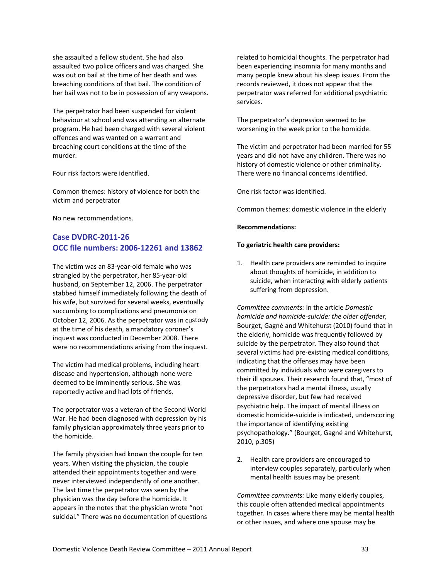she assaulted a fellow student. She had also assaulted two police officers and was charged. She was out on bail at the time of her death and was breaching conditions of that bail. The condition of her bail was not to be in possession of any weapons.

The perpetrator had been suspended for violent behaviour at school and was attending an alternate program. He had been charged with several violent offences and was wanted on a warrant and breaching court conditions at the time of the murder.

Four risk factors were identified.

Common themes: history of violence for both the victim and perpetrator

No new recommendations.

#### **Case DVDRC‐2011‐26 OCC file numbers: 2006‐12261 and 13862**

The victim was an 83‐year‐old female who was strangled by the perpetrator, her 85‐year‐old husband, on September 12, 2006. The perpetrator stabbed himself immediately following the death of his wife, but survived for several weeks, eventually succumbing to complications and pneumonia on October 12, 2006. As the perpetrator was in custody at the time of his death, a mandatory coroner's inquest was conducted in December 2008. There were no recommendations arising from the inquest.

The victim had medical problems, including heart disease and hypertension, although none were deemed to be imminently serious. She was reportedly active and had lots of friends.

The perpetrator was a veteran of the Second World War. He had been diagnosed with depression by his family physician approximately three years prior to the homicide.

The family physician had known the couple for ten years. When visiting the physician, the couple attended their appointments together and were never interviewed independently of one another. The last time the perpetrator was seen by the physician was the day before the homicide. It appears in the notes that the physician wrote "not suicidal." There was no documentation of questions related to homicidal thoughts. The perpetrator had been experiencing insomnia for many months and many people knew about his sleep issues. From the records reviewed, it does not appear that the perpetrator was referred for additional psychiatric services.

The perpetrator's depression seemed to be worsening in the week prior to the homicide.

The victim and perpetrator had been married for 55 years and did not have any children. There was no history of domestic violence or other criminality. There were no financial concerns identified.

One risk factor was identified.

Common themes: domestic violence in the elderly

#### **Recommendations:**

#### **To geriatric health care providers:**

1. Health care providers are reminded to inquire about thoughts of homicide, in addition to suicide, when interacting with elderly patients suffering from depression.

*Committee comments:* In the article *Domestic homicide and homicide‐suicide: the older offender,* Bourget, Gagné and Whitehurst (2010) found that in the elderly, homicide was frequently followed by suicide by the perpetrator. They also found that several victims had pre‐existing medical conditions, indicating that the offenses may have been committed by individuals who were caregivers to their ill spouses. Their research found that, "most of the perpetrators had a mental illness, usually depressive disorder, but few had received psychiatric help. The impact of mental illness on domestic homicide‐suicide is indicated, underscoring the importance of identifying existing psychopathology." (Bourget, Gagné and Whitehurst, 2010, p.305)

2. Health care providers are encouraged to interview couples separately, particularly when mental health issues may be present.

*Committee comments:* Like many elderly couples, this couple often attended medical appointments together. In cases where there may be mental health or other issues, and where one spouse may be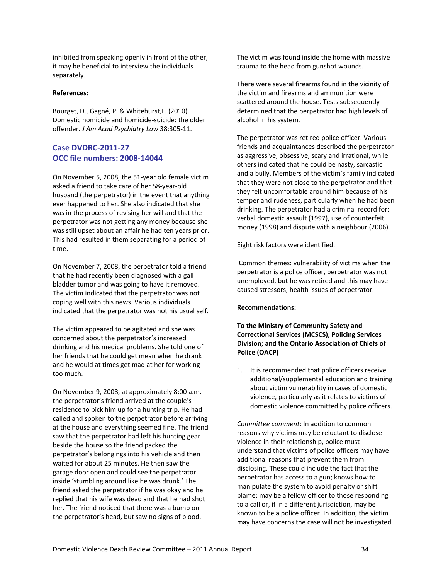inhibited from speaking openly in front of the other, it may be beneficial to interview the individuals separately.

#### **References:**

Bourget, D., Gagné, P. & Whitehurst,L. (2010). Domestic homicide and homicide‐suicide: the older offender. *J Am Acad Psychiatry Law* 38:305‐11.

#### **Case DVDRC‐2011‐27 OCC file numbers: 2008‐14044**

On November 5, 2008, the 51‐year old female victim asked a friend to take care of her 58‐year‐old husband (the perpetrator) in the event that anything ever happened to her. She also indicated that she was in the process of revising her will and that the perpetrator was not getting any money because she was still upset about an affair he had ten years prior. This had resulted in them separating for a period of time.

On November 7, 2008, the perpetrator told a friend that he had recently been diagnosed with a gall bladder tumor and was going to have it removed. The victim indicated that the perpetrator was not coping well with this news. Various individuals indicated that the perpetrator was not his usual self.

The victim appeared to be agitated and she was concerned about the perpetrator's increased drinking and his medical problems. She told one of her friends that he could get mean when he drank and he would at times get mad at her for working too much.

On November 9, 2008, at approximately 8:00 a.m. the perpetrator's friend arrived at the couple's residence to pick him up for a hunting trip. He had called and spoken to the perpetrator before arriving at the house and everything seemed fine. The friend saw that the perpetrator had left his hunting gear beside the house so the friend packed the perpetrator's belongings into his vehicle and then waited for about 25 minutes. He then saw the garage door open and could see the perpetrator inside 'stumbling around like he was drunk.' The friend asked the perpetrator if he was okay and he replied that his wife was dead and that he had shot her. The friend noticed that there was a bump on the perpetrator's head, but saw no signs of blood.

The victim was found inside the home with massive trauma to the head from gunshot wounds.

There were several firearms found in the vicinity of the victim and firearms and ammunition were scattered around the house. Tests subsequently determined that the perpetrator had high levels of alcohol in his system.

The perpetrator was retired police officer. Various friends and acquaintances described the perpetrator as aggressive, obsessive, scary and irrational, while others indicated that he could be nasty, sarcastic and a bully. Members of the victim's family indicated that they were not close to the perpetrator and that they felt uncomfortable around him because of his temper and rudeness, particularly when he had been drinking. The perpetrator had a criminal record for: verbal domestic assault (1997), use of counterfeit money (1998) and dispute with a neighbour (2006).

Eight risk factors were identified.

Common themes: vulnerability of victims when the perpetrator is a police officer, perpetrator was not unemployed, but he was retired and this may have caused stressors; health issues of perpetrator.

#### **Recommendations:**

#### **To the Ministry of Community Safety and Correctional Services (MCSCS), Policing Services Division; and the Ontario Association of Chiefs of Police (OACP)**

1. It is recommended that police officers receive additional/supplemental education and training about victim vulnerability in cases of domestic violence, particularly as it relates to victims of domestic violence committed by police officers.

*Committee comment*: In addition to common reasons why victims may be reluctant to disclose violence in their relationship, police must understand that victims of police officers may have additional reasons that prevent them from disclosing. These could include the fact that the perpetrator has access to a gun; knows how to manipulate the system to avoid penalty or shift blame; may be a fellow officer to those responding to a call or, if in a different jurisdiction, may be known to be a police officer. In addition, the victim may have concerns the case will not be investigated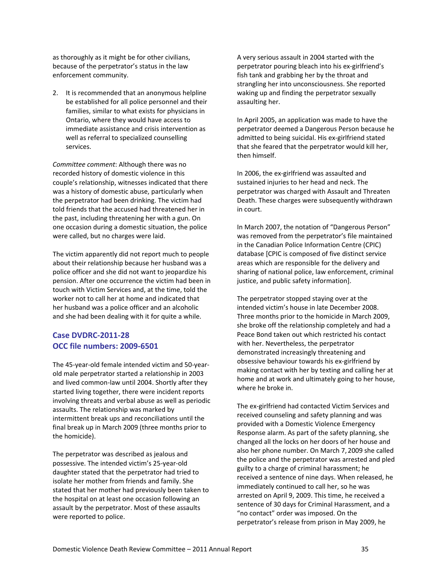as thoroughly as it might be for other civilians, because of the perpetrator's status in the law enforcement community.

2. It is recommended that an anonymous helpline be established for all police personnel and their families, similar to what exists for physicians in Ontario, where they would have access to immediate assistance and crisis intervention as well as referral to specialized counselling services.

*Committee comment*: Although there was no recorded history of domestic violence in this couple's relationship, witnesses indicated that there was a history of domestic abuse, particularly when the perpetrator had been drinking. The victim had told friends that the accused had threatened her in the past, including threatening her with a gun. On one occasion during a domestic situation, the police were called, but no charges were laid.

The victim apparently did not report much to people about their relationship because her husband was a police officer and she did not want to jeopardize his pension. After one occurrence the victim had been in touch with Victim Services and, at the time, told the worker not to call her at home and indicated that her husband was a police officer and an alcoholic and she had been dealing with it for quite a while.

#### **Case DVDRC‐2011‐28 OCC file numbers: 2009‐6501**

The 45‐year‐old female intended victim and 50‐year‐ old male perpetrator started a relationship in 2003 and lived common‐law until 2004. Shortly after they started living together, there were incident reports involving threats and verbal abuse as well as periodic assaults. The relationship was marked by intermittent break ups and reconciliations until the final break up in March 2009 (three months prior to the homicide).

The perpetrator was described as jealous and possessive. The intended victim's 25‐year‐old daughter stated that the perpetrator had tried to isolate her mother from friends and family. She stated that her mother had previously been taken to the hospital on at least one occasion following an assault by the perpetrator. Most of these assaults were reported to police.

A very serious assault in 2004 started with the perpetrator pouring bleach into his ex‐girlfriend's fish tank and grabbing her by the throat and strangling her into unconsciousness. She reported waking up and finding the perpetrator sexually assaulting her.

In April 2005, an application was made to have the perpetrator deemed a Dangerous Person because he admitted to being suicidal. His ex‐girlfriend stated that she feared that the perpetrator would kill her, then himself.

In 2006, the ex‐girlfriend was assaulted and sustained injuries to her head and neck. The perpetrator was charged with Assault and Threaten Death. These charges were subsequently withdrawn in court.

In March 2007, the notation of "Dangerous Person" was removed from the perpetrator's file maintained in the Canadian Police Information Centre (CPIC) database [CPIC is composed of five distinct service areas which are responsible for the delivery and sharing of national police, law enforcement, criminal justice, and public safety information].

The perpetrator stopped staying over at the intended victim's house in late December 2008. Three months prior to the homicide in March 2009, she broke off the relationship completely and had a Peace Bond taken out which restricted his contact with her. Nevertheless, the perpetrator demonstrated increasingly threatening and obsessive behaviour towards his ex‐girlfriend by making contact with her by texting and calling her at home and at work and ultimately going to her house, where he broke in.

The ex‐girlfriend had contacted Victim Services and received counseling and safety planning and was provided with a Domestic Violence Emergency Response alarm. As part of the safety planning, she changed all the locks on her doors of her house and also her phone number. On March 7, 2009 she called the police and the perpetrator was arrested and pled guilty to a charge of criminal harassment; he received a sentence of nine days. When released, he immediately continued to call her, so he was arrested on April 9, 2009. This time, he received a sentence of 30 days for Criminal Harassment, and a "no contact" order was imposed. On the perpetrator's release from prison in May 2009, he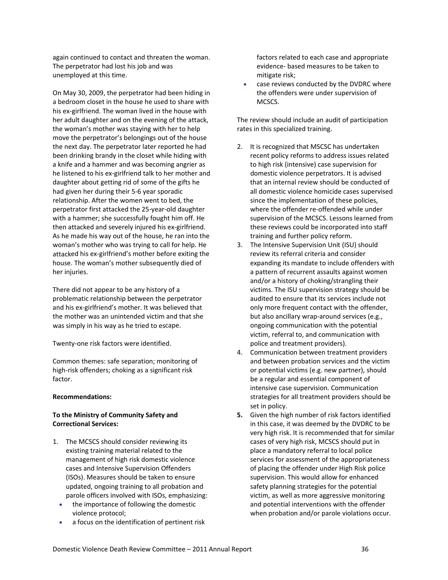again continued to contact and threaten the woman. The perpetrator had lost his job and was unemployed at this time.

On May 30, 2009, the perpetrator had been hiding in a bedroom closet in the house he used to share with his ex‐girlfriend. The woman lived in the house with her adult daughter and on the evening of the attack, the woman's mother was staying with her to help move the perpetrator's belongings out of the house the next day. The perpetrator later reported he had been drinking brandy in the closet while hiding with a knife and a hammer and was becoming angrier as he listened to his ex‐girlfriend talk to her mother and daughter about getting rid of some of the gifts he had given her during their 5‐6 year sporadic relationship. After the women went to bed, the perpetrator first attacked the 25‐year‐old daughter with a hammer; she successfully fought him off. He then attacked and severely injured his ex‐girlfriend. As he made his way out of the house, he ran into the woman's mother who was trying to call for help. He attacked his ex‐girlfriend's mother before exiting the house. The woman's mother subsequently died of her injuries.

There did not appear to be any history of a problematic relationship between the perpetrator and his ex‐girlfriend's mother. It was believed that the mother was an unintended victim and that she was simply in his way as he tried to escape.

Twenty‐one risk factors were identified.

Common themes: safe separation; monitoring of high‐risk offenders; choking as a significant risk factor.

#### **Recommendations:**

#### **To the Ministry of Community Safety and Correctional Services:**

- 1. The MCSCS should consider reviewing its existing training material related to the management of high risk domestic violence cases and Intensive Supervision Offenders (ISOs). Measures should be taken to ensure updated, ongoing training to all probation and parole officers involved with ISOs, emphasizing:
	- the importance of following the domestic violence protocol;
	- a focus on the identification of pertinent risk

factors related to each case and appropriate evidence‐ based measures to be taken to mitigate risk;

 case reviews conducted by the DVDRC where the offenders were under supervision of MCSCS.

The review should include an audit of participation rates in this specialized training.

- 2. It is recognized that MSCSC has undertaken recent policy reforms to address issues related to high risk (intensive) case supervision for domestic violence perpetrators. It is advised that an internal review should be conducted of all domestic violence homicide cases supervised since the implementation of these policies, where the offender re-offended while under supervision of the MCSCS. Lessons learned from these reviews could be incorporated into staff training and further policy reform.
- 3. The Intensive Supervision Unit (ISU) should review its referral criteria and consider expanding its mandate to include offenders with a pattern of recurrent assaults against women and/or a history of choking/strangling their victims. The ISU supervision strategy should be audited to ensure that its services include not only more frequent contact with the offender, but also ancillary wrap‐around services (e.g., ongoing communication with the potential victim, referral to, and communication with police and treatment providers).
- 4. Communication between treatment providers and between probation services and the victim or potential victims (e.g. new partner), should be a regular and essential component of intensive case supervision. Communication strategies for all treatment providers should be set in policy.
- **5.** Given the high number of risk factors identified in this case, it was deemed by the DVDRC to be very high risk. It is recommended that for similar cases of very high risk, MCSCS should put in place a mandatory referral to local police services for assessment of the appropriateness of placing the offender under High Risk police supervision. This would allow for enhanced safety planning strategies for the potential victim, as well as more aggressive monitoring and potential interventions with the offender when probation and/or parole violations occur.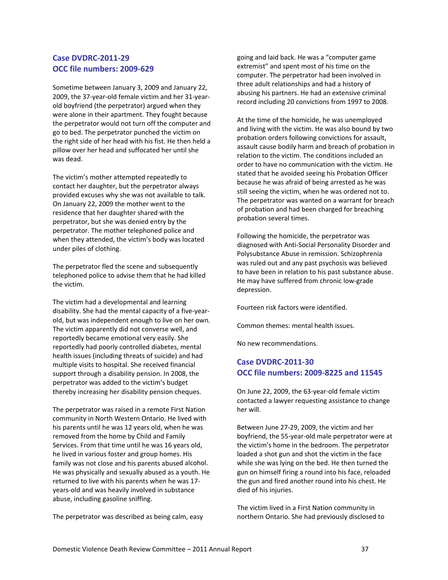#### **Case DVDRC‐2011‐29 OCC file numbers: 2009‐629**

Sometime between January 3, 2009 and January 22, 2009, the 37‐year‐old female victim and her 31‐year‐ old boyfriend (the perpetrator) argued when they were alone in their apartment. They fought because the perpetrator would not turn off the computer and go to bed. The perpetrator punched the victim on the right side of her head with his fist. He then held a pillow over her head and suffocated her until she was dead.

The victim's mother attempted repeatedly to contact her daughter, but the perpetrator always provided excuses why she was not available to talk. On January 22, 2009 the mother went to the residence that her daughter shared with the perpetrator, but she was denied entry by the perpetrator. The mother telephoned police and when they attended, the victim's body was located under piles of clothing.

The perpetrator fled the scene and subsequently telephoned police to advise them that he had killed the victim.

The victim had a developmental and learning disability. She had the mental capacity of a five‐year‐ old, but was independent enough to live on her own. The victim apparently did not converse well, and reportedly became emotional very easily. She reportedly had poorly controlled diabetes, mental health issues (including threats of suicide) and had multiple visits to hospital. She received financial support through a disability pension. In 2008, the perpetrator was added to the victim's budget thereby increasing her disability pension cheques.

The perpetrator was raised in a remote First Nation community in North Western Ontario. He lived with his parents until he was 12 years old, when he was removed from the home by Child and Family Services. From that time until he was 16 years old, he lived in various foster and group homes. His family was not close and his parents abused alcohol. He was physically and sexually abused as a youth. He returned to live with his parents when he was 17‐ years‐old and was heavily involved in substance abuse, including gasoline sniffing.

The perpetrator was described as being calm, easy

going and laid back. He was a "computer game extremist" and spent most of his time on the computer. The perpetrator had been involved in three adult relationships and had a history of abusing his partners. He had an extensive criminal record including 20 convictions from 1997 to 2008.

At the time of the homicide, he was unemployed and living with the victim. He was also bound by two probation orders following convictions for assault, assault cause bodily harm and breach of probation in relation to the victim. The conditions included an order to have no communication with the victim. He stated that he avoided seeing his Probation Officer because he was afraid of being arrested as he was still seeing the victim, when he was ordered not to. The perpetrator was wanted on a warrant for breach of probation and had been charged for breaching probation several times.

Following the homicide, the perpetrator was diagnosed with Anti‐Social Personality Disorder and Polysubstance Abuse in remission. Schizophrenia was ruled out and any past psychosis was believed to have been in relation to his past substance abuse. He may have suffered from chronic low‐grade depression.

Fourteen risk factors were identified.

Common themes: mental health issues.

No new recommendations.

#### **Case DVDRC‐2011‐30 OCC file numbers: 2009‐8225 and 11545**

On June 22, 2009, the 63‐year‐old female victim contacted a lawyer requesting assistance to change her will.

Between June 27‐29, 2009, the victim and her boyfriend, the 55‐year‐old male perpetrator were at the victim's home in the bedroom. The perpetrator loaded a shot gun and shot the victim in the face while she was lying on the bed. He then turned the gun on himself firing a round into his face, reloaded the gun and fired another round into his chest. He died of his injuries.

The victim lived in a First Nation community in northern Ontario. She had previously disclosed to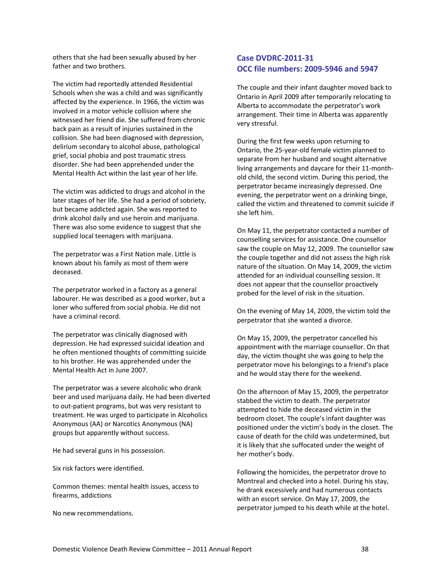others that she had been sexually abused by her father and two brothers.

The victim had reportedly attended Residential Schools when she was a child and was significantly affected by the experience. In 1966, the victim was involved in a motor vehicle collision where she witnessed her friend die. She suffered from chronic back pain as a result of injuries sustained in the collision. She had been diagnosed with depression, delirium secondary to alcohol abuse, pathological grief, social phobia and post traumatic stress disorder. She had been apprehended under the Mental Health Act within the last year of her life.

The victim was addicted to drugs and alcohol in the later stages of her life. She had a period of sobriety, but became addicted again. She was reported to drink alcohol daily and use heroin and marijuana. There was also some evidence to suggest that she supplied local teenagers with marijuana.

The perpetrator was a First Nation male. Little is known about his family as most of them were deceased.

The perpetrator worked in a factory as a general labourer. He was described as a good worker, but a loner who suffered from social phobia. He did not have a criminal record.

The perpetrator was clinically diagnosed with depression. He had expressed suicidal ideation and he often mentioned thoughts of committing suicide to his brother. He was apprehended under the Mental Health Act in June 2007.

The perpetrator was a severe alcoholic who drank beer and used marijuana daily. He had been diverted to out‐patient programs, but was very resistant to treatment. He was urged to participate in Alcoholics Anonymous (AA) or Narcotics Anonymous (NA) groups but apparently without success.

He had several guns in his possession.

Six risk factors were identified.

Common themes: mental health issues, access to firearms, addictions

No new recommendations.

#### **Case DVDRC‐2011‐31 OCC file numbers: 2009‐5946 and 5947**

The couple and their infant daughter moved back to Ontario in April 2009 after temporarily relocating to Alberta to accommodate the perpetrator's work arrangement. Their time in Alberta was apparently very stressful.

During the first few weeks upon returning to Ontario, the 25‐year‐old female victim planned to separate from her husband and sought alternative living arrangements and daycare for their 11‐month‐ old child, the second victim. During this period, the perpetrator became increasingly depressed. One evening, the perpetrator went on a drinking binge, called the victim and threatened to commit suicide if she left him.

On May 11, the perpetrator contacted a number of counselling services for assistance. One counsellor saw the couple on May 12, 2009. The counsellor saw the couple together and did not assess the high risk nature of the situation. On May 14, 2009, the victim attended for an individual counselling session. It does not appear that the counsellor proactively probed for the level of risk in the situation.

On the evening of May 14, 2009, the victim told the perpetrator that she wanted a divorce.

On May 15, 2009, the perpetrator cancelled his appointment with the marriage counsellor. On that day, the victim thought she was going to help the perpetrator move his belongings to a friend's place and he would stay there for the weekend.

On the afternoon of May 15, 2009, the perpetrator stabbed the victim to death. The perpetrator attempted to hide the deceased victim in the bedroom closet. The couple's infant daughter was positioned under the victim's body in the closet. The cause of death for the child was undetermined, but it is likely that she suffocated under the weight of her mother's body.

Following the homicides, the perpetrator drove to Montreal and checked into a hotel. During his stay, he drank excessively and had numerous contacts with an escort service. On May 17, 2009, the perpetrator jumped to his death while at the hotel.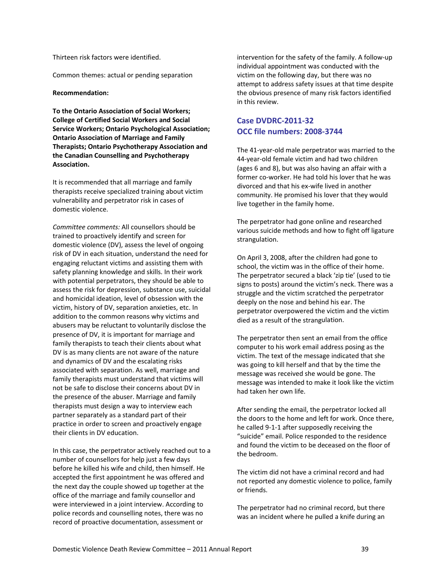Common themes: actual or pending separation

#### **Recommendation:**

**To the Ontario Association of Social Workers; College of Certified Social Workers and Social Service Workers; Ontario Psychological Association; Ontario Association of Marriage and Family Therapists; Ontario Psychotherapy Association and the Canadian Counselling and Psychotherapy Association.**

It is recommended that all marriage and family therapists receive specialized training about victim vulnerability and perpetrator risk in cases of domestic violence.

*Committee comments:* All counsellors should be trained to proactively identify and screen for domestic violence (DV), assess the level of ongoing risk of DV in each situation, understand the need for engaging reluctant victims and assisting them with safety planning knowledge and skills. In their work with potential perpetrators, they should be able to assess the risk for depression, substance use, suicidal and homicidal ideation, level of obsession with the victim, history of DV, separation anxieties, etc. In addition to the common reasons why victims and abusers may be reluctant to voluntarily disclose the presence of DV, it is important for marriage and family therapists to teach their clients about what DV is as many clients are not aware of the nature and dynamics of DV and the escalating risks associated with separation. As well, marriage and family therapists must understand that victims will not be safe to disclose their concerns about DV in the presence of the abuser. Marriage and family therapists must design a way to interview each partner separately as a standard part of their practice in order to screen and proactively engage their clients in DV education.

In this case, the perpetrator actively reached out to a number of counsellors for help just a few days before he killed his wife and child, then himself. He accepted the first appointment he was offered and the next day the couple showed up together at the office of the marriage and family counsellor and were interviewed in a joint interview. According to police records and counselling notes, there was no record of proactive documentation, assessment or

intervention for the safety of the family. A follow‐up individual appointment was conducted with the victim on the following day, but there was no attempt to address safety issues at that time despite the obvious presence of many risk factors identified in this review.

#### **Case DVDRC‐2011‐32 OCC file numbers: 2008‐3744**

The 41‐year‐old male perpetrator was married to the 44‐year‐old female victim and had two children (ages 6 and 8), but was also having an affair with a former co-worker. He had told his lover that he was divorced and that his ex‐wife lived in another community. He promised his lover that they would live together in the family home.

The perpetrator had gone online and researched various suicide methods and how to fight off ligature strangulation.

On April 3, 2008, after the children had gone to school, the victim was in the office of their home. The perpetrator secured a black 'zip tie' (used to tie signs to posts) around the victim's neck. There was a struggle and the victim scratched the perpetrator deeply on the nose and behind his ear. The perpetrator overpowered the victim and the victim died as a result of the strangulation.

The perpetrator then sent an email from the office computer to his work email address posing as the victim. The text of the message indicated that she was going to kill herself and that by the time the message was received she would be gone. The message was intended to make it look like the victim had taken her own life.

After sending the email, the perpetrator locked all the doors to the home and left for work. Once there, he called 9‐1‐1 after supposedly receiving the "suicide" email. Police responded to the residence and found the victim to be deceased on the floor of the bedroom.

The victim did not have a criminal record and had not reported any domestic violence to police, family or friends.

The perpetrator had no criminal record, but there was an incident where he pulled a knife during an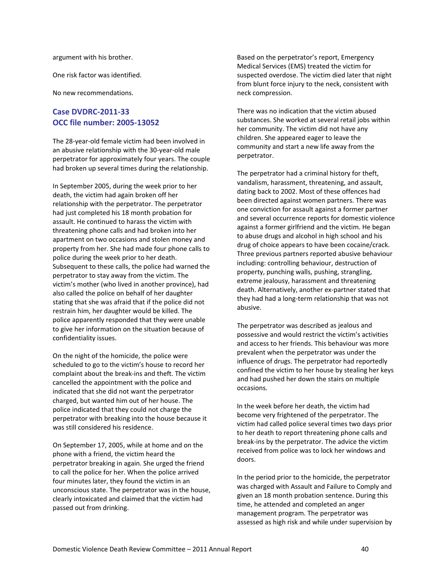argument with his brother.

One risk factor was identified.

No new recommendations.

#### **Case DVDRC‐2011‐33 OCC file number: 2005‐13052**

The 28‐year‐old female victim had been involved in an abusive relationship with the 30‐year‐old male perpetrator for approximately four years. The couple had broken up several times during the relationship.

In September 2005, during the week prior to her death, the victim had again broken off her relationship with the perpetrator. The perpetrator had just completed his 18 month probation for assault. He continued to harass the victim with threatening phone calls and had broken into her apartment on two occasions and stolen money and property from her. She had made four phone calls to police during the week prior to her death. Subsequent to these calls, the police had warned the perpetrator to stay away from the victim. The victim's mother (who lived in another province), had also called the police on behalf of her daughter stating that she was afraid that if the police did not restrain him, her daughter would be killed. The police apparently responded that they were unable to give her information on the situation because of confidentiality issues.

On the night of the homicide, the police were scheduled to go to the victim's house to record her complaint about the break‐ins and theft. The victim cancelled the appointment with the police and indicated that she did not want the perpetrator charged, but wanted him out of her house. The police indicated that they could not charge the perpetrator with breaking into the house because it was still considered his residence.

On September 17, 2005, while at home and on the phone with a friend, the victim heard the perpetrator breaking in again. She urged the friend to call the police for her. When the police arrived four minutes later, they found the victim in an unconscious state. The perpetrator was in the house, clearly intoxicated and claimed that the victim had passed out from drinking.

Based on the perpetrator's report, Emergency Medical Services (EMS) treated the victim for suspected overdose. The victim died later that night from blunt force injury to the neck, consistent with neck compression.

There was no indication that the victim abused substances. She worked at several retail jobs within her community. The victim did not have any children. She appeared eager to leave the community and start a new life away from the perpetrator.

The perpetrator had a criminal history for theft, vandalism, harassment, threatening, and assault, dating back to 2002. Most of these offences had been directed against women partners. There was one conviction for assault against a former partner and several occurrence reports for domestic violence against a former girlfriend and the victim. He began to abuse drugs and alcohol in high school and his drug of choice appears to have been cocaine/crack. Three previous partners reported abusive behaviour including: controlling behaviour, destruction of property, punching walls, pushing, strangling, extreme jealousy, harassment and threatening death. Alternatively, another ex‐partner stated that they had had a long‐term relationship that was not abusive.

The perpetrator was described as jealous and possessive and would restrict the victim's activities and access to her friends. This behaviour was more prevalent when the perpetrator was under the influence of drugs. The perpetrator had reportedly confined the victim to her house by stealing her keys and had pushed her down the stairs on multiple occasions.

In the week before her death, the victim had become very frightened of the perpetrator. The victim had called police several times two days prior to her death to report threatening phone calls and break‐ins by the perpetrator. The advice the victim received from police was to lock her windows and doors.

In the period prior to the homicide, the perpetrator was charged with Assault and Failure to Comply and given an 18 month probation sentence. During this time, he attended and completed an anger management program. The perpetrator was assessed as high risk and while under supervision by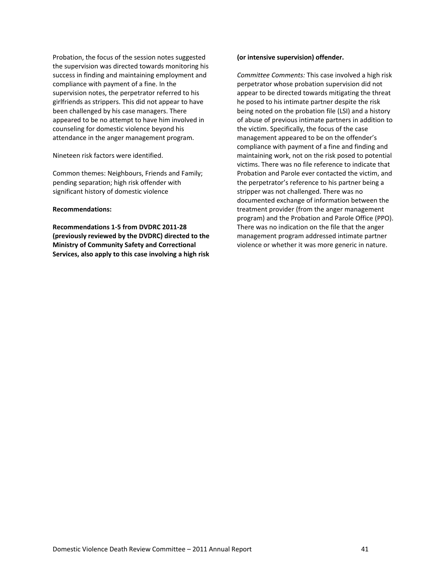Probation, the focus of the session notes suggested the supervision was directed towards monitoring his success in finding and maintaining employment and compliance with payment of a fine. In the supervision notes, the perpetrator referred to his girlfriends as strippers. This did not appear to have been challenged by his case managers. There appeared to be no attempt to have him involved in counseling for domestic violence beyond his attendance in the anger management program.

Nineteen risk factors were identified.

Common themes: Neighbours, Friends and Family; pending separation; high risk offender with significant history of domestic violence

#### **Recommendations:**

**Recommendations 1‐5 from DVDRC 2011‐28 (previously reviewed by the DVDRC) directed to the Ministry of Community Safety and Correctional Services, also apply to this case involving a high risk**

#### **(or intensive supervision) offender.**

*Committee Comments:* This case involved a high risk perpetrator whose probation supervision did not appear to be directed towards mitigating the threat he posed to his intimate partner despite the risk being noted on the probation file (LSI) and a history of abuse of previous intimate partners in addition to the victim. Specifically, the focus of the case management appeared to be on the offender's compliance with payment of a fine and finding and maintaining work, not on the risk posed to potential victims. There was no file reference to indicate that Probation and Parole ever contacted the victim, and the perpetrator's reference to his partner being a stripper was not challenged. There was no documented exchange of information between the treatment provider (from the anger management program) and the Probation and Parole Office (PPO). There was no indication on the file that the anger management program addressed intimate partner violence or whether it was more generic in nature.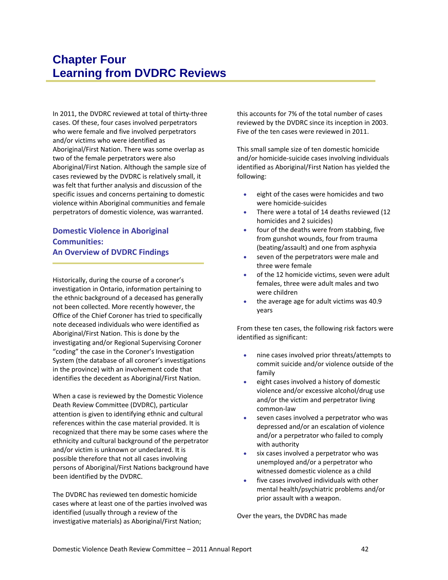<span id="page-47-0"></span>In 2011, the DVDRC reviewed at total of thirty‐three cases. Of these, four cases involved perpetrators who were female and five involved perpetrators and/or victims who were identified as Aboriginal/First Nation. There was some overlap as two of the female perpetrators were also Aboriginal/First Nation. Although the sample size of cases reviewed by the DVDRC is relatively small, it was felt that further analysis and discussion of the specific issues and concerns pertaining to domestic violence within Aboriginal communities and female perpetrators of domestic violence, was warranted.

#### **Domestic Violence in Aboriginal Communities: An Overview of DVDRC Findings**

Historically, during the course of a coroner's investigation in Ontario, information pertaining to the ethnic background of a deceased has generally not been collected. More recently however, the Office of the Chief Coroner has tried to specifically note deceased individuals who were identified as Aboriginal/First Nation. This is done by the investigating and/or Regional Supervising Coroner "coding" the case in the Coroner's Investigation System (the database of all coroner's investigations in the province) with an involvement code that identifies the decedent as Aboriginal/First Nation.

When a case is reviewed by the Domestic Violence Death Review Committee (DVDRC), particular attention is given to identifying ethnic and cultural references within the case material provided. It is recognized that there may be some cases where the ethnicity and cultural background of the perpetrator and/or victim is unknown or undeclared. It is possible therefore that not all cases involving persons of Aboriginal/First Nations background have been identified by the DVDRC.

The DVDRC has reviewed ten domestic homicide cases where at least one of the parties involved was identified (usually through a review of the investigative materials) as Aboriginal/First Nation;

this accounts for 7% of the total number of cases reviewed by the DVDRC since its inception in 2003. Five of the ten cases were reviewed in 2011.

This small sample size of ten domestic homicide and/or homicide‐suicide cases involving individuals identified as Aboriginal/First Nation has yielded the following:

- eight of the cases were homicides and two were homicide‐suicides
- There were a total of 14 deaths reviewed (12 homicides and 2 suicides)
- four of the deaths were from stabbing, five from gunshot wounds, four from trauma (beating/assault) and one from asphyxia
- seven of the perpetrators were male and three were female
- of the 12 homicide victims, seven were adult females, three were adult males and two were children
- the average age for adult victims was 40.9 years

From these ten cases, the following risk factors were identified as significant:

- nine cases involved prior threats/attempts to commit suicide and/or violence outside of the family
- eight cases involved a history of domestic violence and/or excessive alcohol/drug use and/or the victim and perpetrator living common‐law
- seven cases involved a perpetrator who was depressed and/or an escalation of violence and/or a perpetrator who failed to comply with authority
- six cases involved a perpetrator who was unemployed and/or a perpetrator who witnessed domestic violence as a child
- five cases involved individuals with other mental health/psychiatric problems and/or prior assault with a weapon.

Over the years, the DVDRC has made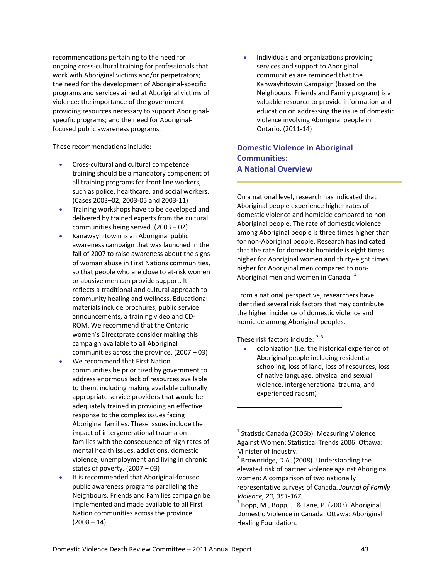recommendations pertaining to the need for ongoing cross‐cultural training for professionals that work with Aboriginal victims and/or perpetrators; the need for the development of Aboriginal‐specific programs and services aimed at Aboriginal victims of violence; the importance of the government providing resources necessary to support Aboriginal‐ specific programs; and the need for Aboriginal‐ focused public awareness programs.

These recommendations include:

- Cross‐cultural and cultural competence training should be a mandatory component of all training programs for front line workers, such as police, healthcare, and social workers. (Cases 2003–02, 2003‐05 and 2003‐11)
- Training workshops have to be developed and delivered by trained experts from the cultural communities being served. (2003 – 02)
- Kanawayhitowin is an Aboriginal public awareness campaign that was launched in the fall of 2007 to raise awareness about the signs of woman abuse in First Nations communities, so that people who are close to at‐risk women or abusive men can provide support. It reflects a traditional and cultural approach to community healing and wellness. Educational materials include brochures, public service announcements, a training video and CD‐ ROM. We recommend that the Ontario women's Directprate consider making this campaign available to all Aboriginal communities across the province. (2007 – 03)
- We recommend that First Nation communities be prioritized by government to address enormous lack of resources available to them, including making available culturally appropriate service providers that would be adequately trained in providing an effective response to the complex issues facing Aboriginal families. These issues include the impact of intergenerational trauma on families with the consequence of high rates of mental health issues, addictions, domestic violence, unemployment and living in chronic states of poverty. (2007 – 03)
- <span id="page-48-2"></span><span id="page-48-1"></span><span id="page-48-0"></span> It is recommended that Aboriginal‐focused public awareness programs paralleling the Neighbours, Friends and Families campaign be implemented and made available to all First Nation communities across the province.  $(2008 - 14)$

 Individuals and organizations providing services and support to Aboriginal communities are reminded that the Kanwayhitowin Campaign (based on the Neighbours, Friends and Family program) is a valuable resource to provide information and education on addressing the issue of domestic violence involving Aboriginal people in Ontario. (2011‐14)

#### **Domestic Violence in Aboriginal Communities: A National Overview**

On a national level, research has indicated that Aboriginal people experience higher rates of domestic violence and homicide compared to non‐ Aboriginal people. The rate of domestic violence among Aboriginal people is three times higher than for non‐Aboriginal people. Research has indicated that the rate for domestic homicide is eight times higher for Aboriginal women and thirty‐eight times higher for Aboriginal men compared to non‐ Aboriginal men and women in Canada.  $<sup>1</sup>$  $<sup>1</sup>$  $<sup>1</sup>$ </sup>

From a national perspective, researchers have identified several risk factors that may contribute the higher incidence of domestic violence and homicide among Aboriginal peoples.

These risk factors include:  $2^3$  $2^3$  $2^3$ 

 colonization (i.e. the historical experience of Aboriginal people including residential schooling, loss of land, loss of resources, loss of native language, physical and sexual violence, intergenerational trauma, and experienced racism)

<sup>&</sup>lt;sup>1</sup> Statistic Canada (2006b). Measuring Violence Against Women: Statistical Trends 2006. Ottawa: Minister of Industry.<br><sup>2</sup> Brownridge, D.A. (2008). Understanding the

elevated risk of partner violence against Aboriginal women: A comparison of two nationally representative surveys of Canada. *Journal of Family*

*Violence*, *23, <sup>353</sup>‐367.* <sup>3</sup> Bopp, M., Bopp, J. & Lane, P. (2003). Aboriginal Domestic Violence in Canada. Ottawa: Aboriginal Healing Foundation.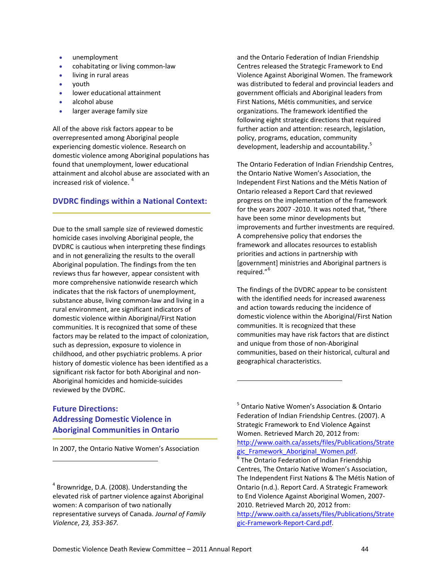- unemployment
- cohabitating or living common‐law
- living in rural areas
- vouth
- lower educational attainment
- alcohol abuse
- larger average family size

All of the above risk factors appear to be overrepresented among Aboriginal people experiencing domestic violence. Research on domestic violence among Aboriginal populations has found that unemployment, lower educational attainment and alcohol abuse are associated with an increased risk of violence. [4](#page-49-0)

#### **DVDRC findings within a National Context:**

Due to the small sample size of reviewed domestic homicide cases involving Aboriginal people, the DVDRC is cautious when interpreting these findings and in not generalizing the results to the overall Aboriginal population. The findings from the ten reviews thus far however, appear consistent with more comprehensive nationwide research which indicates that the risk factors of unemployment, substance abuse, living common‐law and living in a rural environment, are significant indicators of domestic violence within Aboriginal/First Nation communities. It is recognized that some of these factors may be related to the impact of colonization, such as depression, exposure to violence in childhood, and other psychiatric problems. A prior history of domestic violence has been identified as a significant risk factor for both Aboriginal and non‐ Aboriginal homicides and homicide‐suicides reviewed by the DVDRC.

and the Ontario Federation of Indian Friendship Centres released the Strategic Framework to End Violence Against Aboriginal Women. The framework was distributed to federal and provincial leaders and government officials and Aboriginal leaders from First Nations, Métis communities, and service organizations. The framework identified the following eight strategic directions that required further action and attention: research, legislation, policy, programs, education, community development, leadership and accountability.<sup>[5](#page-49-1)</sup>

The Ontario Federation of Indian Friendship Centres, the Ontario Native Women's Association, the Independent First Nations and the Métis Nation of Ontario released a Report Card that reviewed progress on the implementation of the framework for the years 2007 ‐2010. It was noted that, "there have been some minor developments but improvements and further investments are required. A comprehensive policy that endorses the framework and allocates resources to establish priorities and actions in partnership with [government] ministries and Aboriginal partners is required."<sup>[6](#page-49-2)</sup>

The findings of the DVDRC appear to be consistent with the identified needs for increased awareness and action towards reducing the incidence of domestic violence within the Aboriginal/First Nation communities. It is recognized that these communities may have risk factors that are distinct and unique from those of non‐Aboriginal communities, based on their historical, cultural and geographical characteristics.

#### <span id="page-49-1"></span>**Future Directions: Addressing Domestic Violence in Aboriginal Communities in Ontario**

<span id="page-49-2"></span>In 2007, the Ontario Native Women's Association

<sup>5</sup> Ontario Native Women's Association & Ontario Federation of Indian Friendship Centres. (2007). A Strategic Framework to End Violence Against Women. Retrieved March 20, 2012 from: [http://www.oaith.ca/assets/files/Publications/Strate](http://www.oaith.ca/assets/files/Publications/Strategic_Framework_Aboriginal_Women.pdf)<br>gic Framework Aboriginal Women.pdf.  $\overline{\text{F}}$ The Ontario Federation of Indian Friendship Centres, The Ontario Native Women's Association, The Independent First Nations & The Métis Nation of Ontario (n.d.). Report Card. A Strategic Framework

2010. Retrieved March 20, 2012 from: [http://www.oaith.ca/assets/files/Publications/Strate](http://www.oaith.ca/assets/files/Publications/Strategic-Framework-Report-Card.pdf) gic‐[Framework](http://www.oaith.ca/assets/files/Publications/Strategic-Framework-Report-Card.pdf)‐Report‐Card.pdf.

to End Violence Against Aboriginal Women, 2007‐

<span id="page-49-0"></span> $4$  Brownridge, D.A. (2008). Understanding the elevated risk of partner violence against Aboriginal women: A comparison of two nationally representative surveys of Canada. *Journal of Family Violence*, *23, 353‐367.*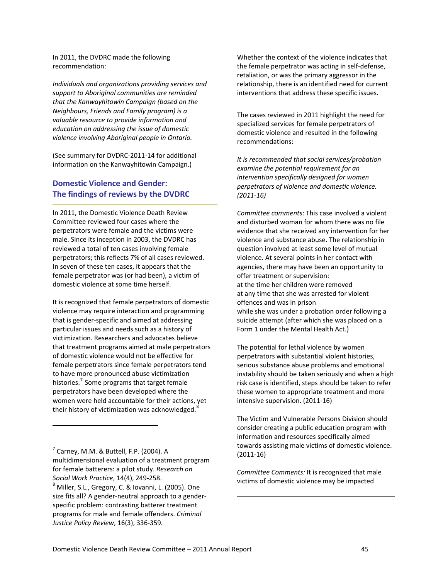In 2011, the DVDRC made the following recommendation:

*Individuals and organizations providing services and support to Aboriginal communities are reminded that the Kanwayhitowin Campaign (based on the Neighbours, Friends and Family program) is a valuable resource to provide information and education on addressing the issue of domestic violence involving Aboriginal people in Ontario.* 

(See summary for DVDRC‐2011‐14 for additional information on the Kanwayhitowin Campaign.)

#### **Domestic Violence and Gender: The findings of reviews by the DVDRC**

In 2011, the Domestic Violence Death Review Committee reviewed four cases where the perpetrators were female and the victims were male. Since its inception in 2003, the DVDRC has reviewed a total of ten cases involving female perpetrators; this reflects 7% of all cases reviewed. In seven of these ten cases, it appears that the female perpetrator was (or had been), a victim of domestic violence at some time herself.

It is recognized that female perpetrators of domestic violence may require interaction and programming that is gender‐specific and aimed at addressing particular issues and needs such as a history of victimization. Researchers and advocates believe that treatment programs aimed at male perpetrators of domestic violence would not be effective for female perpetrators since female perpetrators tend to have more pronounced abuse victimization histories.<sup>[7](#page-50-0)</sup> Some programs that target female perpetrators have been developed where the women were held accountable for their actions, yet their history of victimization was acknowledged.

<span id="page-50-1"></span><span id="page-50-0"></span> $<sup>7</sup>$  Carney, M.M. & Buttell, F.P. (2004). A</sup> multidimensional evaluation of a treatment program for female batterers: a pilot study. *Research on Social Work Practice*, 14(4), <sup>249</sup>‐258. <sup>8</sup> Miller, S.L., Gregory, C. & Iovanni, L. (2005). One size fits all? A gender‐neutral approach to a gender‐ specific problem: contrasting batterer treatment programs for male and female offenders. *Criminal Justice Policy Review*, 16(3), 336‐359.

Whether the context of the violence indicates that the female perpetrator was acting in self‐defense, retaliation, or was the primary aggressor in the relationship, there is an identified need for current interventions that address these specific issues.

The cases reviewed in 2011 highlight the need for specialized services for female perpetrators of domestic violence and resulted in the following recommendations:

*It is recommended that social services/probation examine the potential requirement for an intervention specifically designed for women perpetrators of violence and domestic violence. (2011‐16)*

*Committee comments*: This case involved a violent and disturbed woman for whom there was no file evidence that she received any intervention for her violence and substance abuse. The relationship in question involved at least some level of mutual violence. At several points in her contact with agencies, there may have been an opportunity to offer treatment or supervision: at the time her children were removed at any time that she was arrested for violent offences and was in prison while she was under a probation order following a suicide attempt (after which she was placed on a Form 1 under the Mental Health Act.)

The potential for lethal violence by women perpetrators with substantial violent histories, serious substance abuse problems and emotional instability should be taken seriously and when a high risk case is identified, steps should be taken to refer these women to appropriate treatment and more intensive supervision. (2011‐16)

The Victim and Vulnerable Persons Division should consider creating a public education program with information and resources specifically aimed towards assisting male victims of domestic violence. (2011‐16)

*Committee Comments:* It is recognized that male victims of domestic violence may be impacted

<u> 1989 - Johann Barn, amerikansk politiker (d. 1989)</u>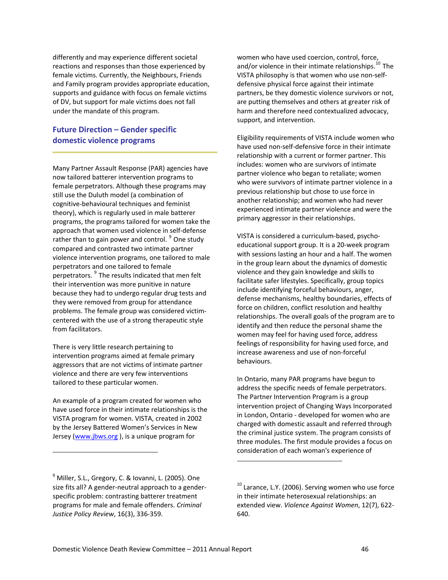differently and may experience different societal reactions and responses than those experienced by female victims. Currently, the Neighbours, Friends and Family program provides appropriate education, supports and guidance with focus on female victims of DV, but support for male victims does not fall under the mandate of this program.

#### **Future Direction – Gender specific domestic violence programs**

Many Partner Assault Response (PAR) agencies have now tailored batterer intervention programs to female perpetrators. Although these programs may still use the Duluth model (a combination of cognitive‐behavioural techniques and feminist theory), which is regularly used in male batterer programs, the programs tailored for women take the approach that women used violence in self‐defense rather than to gain power and control.<sup>[9](#page-51-0)</sup> One study compared and contrasted two intimate partner violence intervention programs, one tailored to male perpetrators and one tailored to female perpetrators.<sup>[9](#page-51-1)</sup> The results indicated that men felt their intervention was more punitive in nature because they had to undergo regular drug tests and they were removed from group for attendance problems. The female group was considered victim‐ centered with the use of a strong therapeutic style from facilitators.

There is very little research pertaining to intervention programs aimed at female primary aggressors that are not victims of intimate partner violence and there are very few interventions tailored to these particular women.

An example of a program created for women who have used force in their intimate relationships is the VISTA program for women. VISTA, created in 2002 by the Jersey Battered Women's Services in New Jersey [\(www.jbws.org](http://www.jbws.org/) ), is a unique program for

<u> 1989 - Johann Stein, marwolaethau a bhann an t-Amhair an t-Amhair an t-Amhair an t-Amhair an t-Amhair an t-A</u>

women who have used coercion, control, force, and/or violence in their intimate relationships. $^{10}$  $^{10}$  $^{10}$  The VISTA philosophy is that women who use non‐self‐ defensive physical force against their intimate partners, be they domestic violence survivors or not, are putting themselves and others at greater risk of harm and therefore need contextualized advocacy, support, and intervention.

Eligibility requirements of VISTA include women who have used non‐self‐defensive force in their intimate relationship with a current or former partner. This includes: women who are survivors of intimate partner violence who began to retaliate; women who were survivors of intimate partner violence in a previous relationship but chose to use force in another relationship; and women who had never experienced intimate partner violence and were the primary aggressor in their relationships.

VISTA is considered a curriculum‐based, psycho‐ educational support group. It is a 20‐week program with sessions lasting an hour and a half. The women in the group learn about the dynamics of domestic violence and they gain knowledge and skills to facilitate safer lifestyles. Specifically, group topics include identifying forceful behaviours, anger, defense mechanisms, healthy boundaries, effects of force on children, conflict resolution and healthy relationships. The overall goals of the program are to identify and then reduce the personal shame the women may feel for having used force, address feelings of responsibility for having used force, and increase awareness and use of non‐forceful behaviours.

In Ontario, many PAR programs have begun to address the specific needs of female perpetrators. The Partner Intervention Program is a group intervention project of Changing Ways Incorporated in London, Ontario ‐ developed for women who are charged with domestic assault and referred through the criminal justice system. The program consists of three modules. The first module provides a focus on consideration of each woman's experience of

<span id="page-51-2"></span><span id="page-51-1"></span><span id="page-51-0"></span><sup>&</sup>lt;sup>9</sup> Miller, S.L., Gregory, C. & Iovanni, L. (2005). One size fits all? A gender‐neutral approach to a gender‐ specific problem: contrasting batterer treatment programs for male and female offenders. *Criminal Justice Policy Review*, 16(3), 336‐359.

 $10$  Larance, L.Y. (2006). Serving women who use force in their intimate heterosexual relationships: an extended view. *Violence Against Women*, 12(7), 622‐ 640.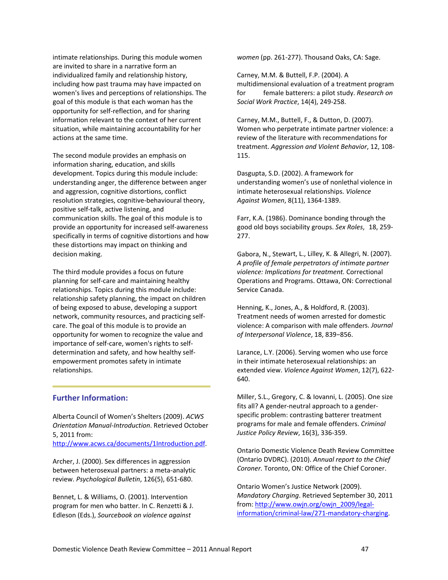intimate relationships. During this module women are invited to share in a narrative form an individualized family and relationship history, including how past trauma may have impacted on women's lives and perceptions of relationships. The goal of this module is that each woman has the opportunity for self‐reflection, and for sharing information relevant to the context of her current situation, while maintaining accountability for her actions at the same time.

The second module provides an emphasis on information sharing, education, and skills development. Topics during this module include: understanding anger, the difference between anger and aggression, cognitive distortions, conflict resolution strategies, cognitive‐behavioural theory, positive self‐talk, active listening, and communication skills. The goal of this module is to provide an opportunity for increased self‐awareness specifically in terms of cognitive distortions and how these distortions may impact on thinking and decision making.

The third module provides a focus on future planning for self‐care and maintaining healthy relationships. Topics during this module include: relationship safety planning, the impact on children of being exposed to abuse, developing a support network, community resources, and practicing self‐ care. The goal of this module is to provide an opportunity for women to recognize the value and importance of self‐care, women's rights to self‐ determination and safety, and how healthy self‐ empowerment promotes safety in intimate relationships.

#### **Further Information:**

Alberta Council of Women's Shelters (2009). *ACWS Orientation Manual‐Introduction*. Retrieved October 5, 2011 from:

<http://www.acws.ca/documents/1Introduction.pdf>.

Archer, J. (2000). Sex differences in aggression between heterosexual partners: a meta‐analytic review. *Psychological Bulletin*, 126(5), 651‐680.

Bennet, L. & Williams, O. (2001). Intervention program for men who batter. In C. Renzetti & J. Edleson (Eds.), *Sourcebook on violence against*

*women* (pp. 261‐277). Thousand Oaks, CA: Sage.

Carney, M.M. & Buttell, F.P. (2004). A multidimensional evaluation of a treatment program for female batterers: a pilot study. *Research on Social Work Practice*, 14(4), 249‐258.

Carney, M.M., Buttell, F., & Dutton, D. (2007). Women who perpetrate intimate partner violence: a review of the literature with recommendations for treatment. *Aggression and Violent Behavior*, 12, 108‐ 115.

Dasgupta, S.D. (2002). A framework for understanding women's use of nonlethal violence in intimate heterosexual relationships. *Violence Against Women*, 8(11), 1364‐1389.

Farr, K.A. (1986). Dominance bonding through the good old boys sociability groups. *Sex Roles*, 18, 259‐ 277.

Gabora, N., Stewart, L., Lilley, K. & Allegri, N. (2007). *A profile of female perpetrators of intimate partner violence: Implications for treatment.* Correctional Operations and Programs. Ottawa, ON: Correctional Service Canada.

Henning, K., Jones, A., & Holdford, R. (2003). Treatment needs of women arrested for domestic violence: A comparison with male offenders. *Journal of Interpersonal Violence*, 18, 839−856.

Larance, L.Y. (2006). Serving women who use force in their intimate heterosexual relationships: an extended view. *Violence Against Women*, 12(7), 622‐ 640.

Miller, S.L., Gregory, C. & Iovanni, L. (2005). One size fits all? A gender‐neutral approach to a gender‐ specific problem: contrasting batterer treatment programs for male and female offenders. *Criminal Justice Policy Review*, 16(3), 336‐359.

Ontario Domestic Violence Death Review Committee (Ontario DVDRC). (2010). *Annual report to the Chief Coroner.* Toronto, ON: Office of the Chief Coroner.

Ontario Women's Justice Network (2009). *Mandatory Charging*. Retrieved September 30, 2011 from: [http://www.owjn.org/owjn\\_2009/legal](http://www.owjn.org/owjn_2009/legal-information/criminal-law/271-mandatory-charging)‐ [information/criminal](http://www.owjn.org/owjn_2009/legal-information/criminal-law/271-mandatory-charging)-law/271-mandatory-charging.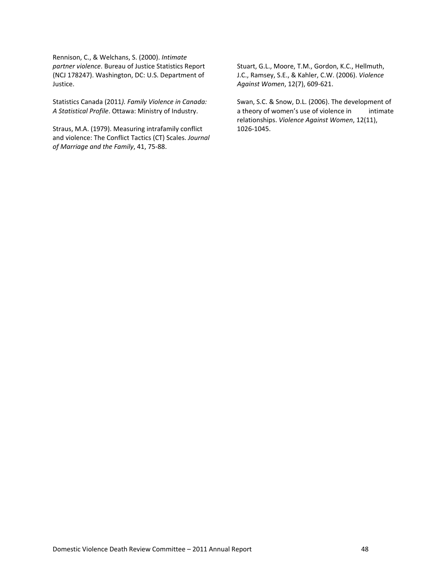Rennison, C., & Welchans, S. (2000). *Intimate partner violence*. Bureau of Justice Statistics Report (NCJ 178247). Washington, DC: U.S. Department of Justice.

Statistics Canada (2011*). Family Violence in Canada: A Statistical Profile*. Ottawa: Ministry of Industry.

Straus, M.A. (1979). Measuring intrafamily conflict and violence: The Conflict Tactics (CT) Scales. *Journal of Marriage and the Family*, 41, 75‐88.

Stuart, G.L., Moore, T.M., Gordon, K.C., Hellmuth, J.C., Ramsey, S.E., & Kahler, C.W. (2006). *Violence Against Women*, 12(7), 609‐621.

Swan, S.C. & Snow, D.L. (2006). The development of a theory of women's use of violence in intimate relationships. *Violence Against Women*, 12(11), 1026‐1045.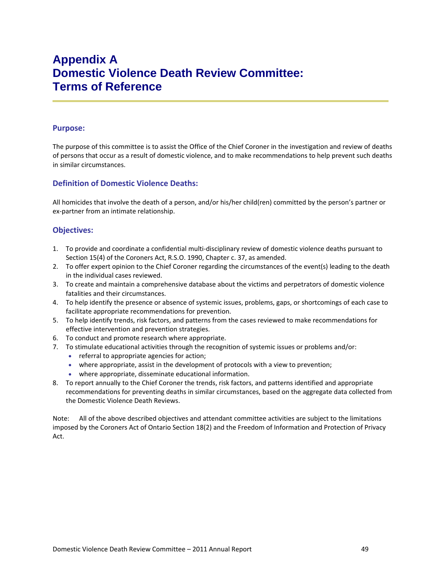# <span id="page-54-0"></span>**Appendix A Domestic Violence Death Review Committee: Terms of Reference**

#### **Purpose:**

The purpose of this committee is to assist the Office of the Chief Coroner in the investigation and review of deaths of persons that occur as a result of domestic violence, and to make recommendations to help prevent such deaths in similar circumstances.

#### **Definition of Domestic Violence Deaths:**

All homicides that involve the death of a person, and/or his/her child(ren) committed by the person's partner or ex‐partner from an intimate relationship.

#### **Objectives:**

- 1. To provide and coordinate a confidential multi‐disciplinary review of domestic violence deaths pursuant to Section 15(4) of the Coroners Act, R.S.O. 1990, Chapter c. 37, as amended.
- 2. To offer expert opinion to the Chief Coroner regarding the circumstances of the event(s) leading to the death in the individual cases reviewed.
- 3. To create and maintain a comprehensive database about the victims and perpetrators of domestic violence fatalities and their circumstances.
- 4. To help identify the presence or absence of systemic issues, problems, gaps, or shortcomings of each case to facilitate appropriate recommendations for prevention.
- 5. To help identify trends, risk factors, and patterns from the cases reviewed to make recommendations for effective intervention and prevention strategies.
- 6. To conduct and promote research where appropriate.
- 7. To stimulate educational activities through the recognition of systemic issues or problems and/or:
	- referral to appropriate agencies for action;
	- where appropriate, assist in the development of protocols with a view to prevention;
	- where appropriate, disseminate educational information.
- 8. To report annually to the Chief Coroner the trends, risk factors, and patterns identified and appropriate recommendations for preventing deaths in similar circumstances, based on the aggregate data collected from the Domestic Violence Death Reviews.

Note: All of the above described objectives and attendant committee activities are subject to the limitations imposed by the Coroners Act of Ontario Section 18(2) and the Freedom of Information and Protection of Privacy Act.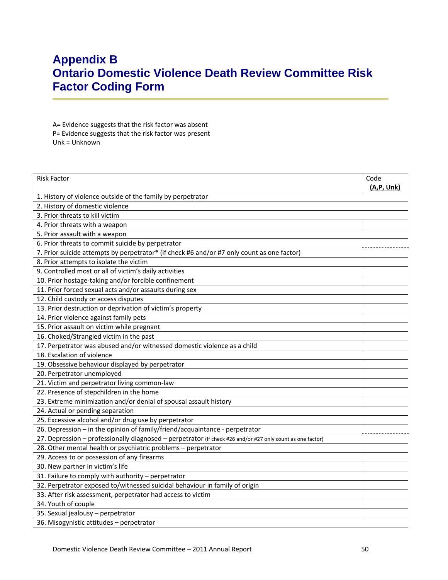# <span id="page-55-0"></span>**Appendix B Ontario Domestic Violence Death Review Committee Risk Factor Coding Form**

A= Evidence suggests that the risk factor was absent P= Evidence suggests that the risk factor was present Unk = Unknown

| <b>Risk Factor</b>                                                                                         | Code        |
|------------------------------------------------------------------------------------------------------------|-------------|
|                                                                                                            | (A, P, Unk) |
| 1. History of violence outside of the family by perpetrator                                                |             |
| 2. History of domestic violence                                                                            |             |
| 3. Prior threats to kill victim                                                                            |             |
| 4. Prior threats with a weapon                                                                             |             |
| 5. Prior assault with a weapon                                                                             |             |
| 6. Prior threats to commit suicide by perpetrator                                                          |             |
| 7. Prior suicide attempts by perpetrator* (if check #6 and/or #7 only count as one factor)                 |             |
| 8. Prior attempts to isolate the victim                                                                    |             |
| 9. Controlled most or all of victim's daily activities                                                     |             |
| 10. Prior hostage-taking and/or forcible confinement                                                       |             |
| 11. Prior forced sexual acts and/or assaults during sex                                                    |             |
| 12. Child custody or access disputes                                                                       |             |
| 13. Prior destruction or deprivation of victim's property                                                  |             |
| 14. Prior violence against family pets                                                                     |             |
| 15. Prior assault on victim while pregnant                                                                 |             |
| 16. Choked/Strangled victim in the past                                                                    |             |
| 17. Perpetrator was abused and/or witnessed domestic violence as a child                                   |             |
| 18. Escalation of violence                                                                                 |             |
| 19. Obsessive behaviour displayed by perpetrator                                                           |             |
| 20. Perpetrator unemployed                                                                                 |             |
| 21. Victim and perpetrator living common-law                                                               |             |
| 22. Presence of stepchildren in the home                                                                   |             |
| 23. Extreme minimization and/or denial of spousal assault history                                          |             |
| 24. Actual or pending separation                                                                           |             |
| 25. Excessive alcohol and/or drug use by perpetrator                                                       |             |
| 26. Depression - in the opinion of family/friend/acquaintance - perpetrator                                |             |
| 27. Depression - professionally diagnosed - perpetrator (If check #26 and/or #27 only count as one factor) |             |
| 28. Other mental health or psychiatric problems - perpetrator                                              |             |
| 29. Access to or possession of any firearms                                                                |             |
| 30. New partner in victim's life                                                                           |             |
| 31. Failure to comply with authority - perpetrator                                                         |             |
| 32. Perpetrator exposed to/witnessed suicidal behaviour in family of origin                                |             |
| 33. After risk assessment, perpetrator had access to victim                                                |             |
| 34. Youth of couple                                                                                        |             |
| 35. Sexual jealousy - perpetrator                                                                          |             |
| 36. Misogynistic attitudes - perpetrator                                                                   |             |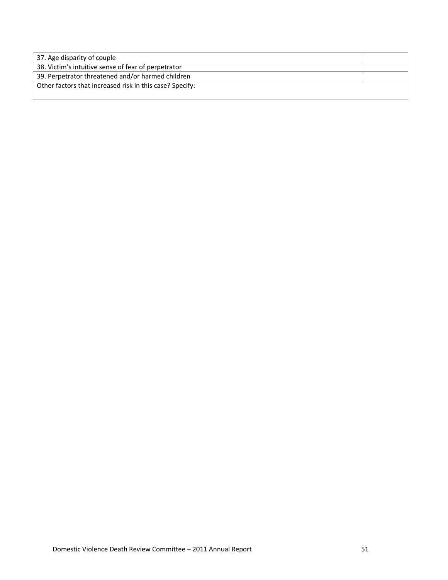| 37. Age disparity of couple                              |  |
|----------------------------------------------------------|--|
| 38. Victim's intuitive sense of fear of perpetrator      |  |
| 39. Perpetrator threatened and/or harmed children        |  |
| Other factors that increased risk in this case? Specify: |  |
|                                                          |  |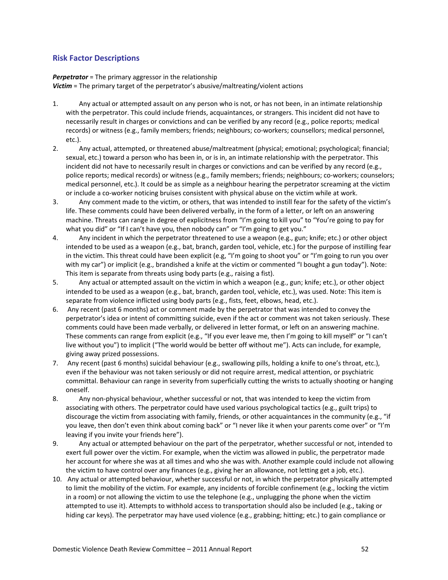#### **Risk Factor Descriptions**

*Perpetrator* = The primary aggressor in the relationship *Victim* = The primary target of the perpetrator's abusive/maltreating/violent actions

- 1. Any actual or attempted assault on any person who is not, or has not been, in an intimate relationship with the perpetrator. This could include friends, acquaintances, or strangers. This incident did not have to necessarily result in charges or convictions and can be verified by any record (e.g., police reports; medical records) or witness (e.g., family members; friends; neighbours; co-workers; counsellors; medical personnel, etc.).
- 2. Any actual, attempted, or threatened abuse/maltreatment (physical; emotional; psychological; financial; sexual, etc.) toward a person who has been in, or is in, an intimate relationship with the perpetrator. This incident did not have to necessarily result in charges or convictions and can be verified by any record (e.g., police reports; medical records) or witness (e.g., family members; friends; neighbours; co-workers; counselors; medical personnel, etc.). It could be as simple as a neighbour hearing the perpetrator screaming at the victim or include a co-worker noticing bruises consistent with physical abuse on the victim while at work.
- 3. Any comment made to the victim, or others, that was intended to instill fear for the safety of the victim's life. These comments could have been delivered verbally, in the form of a letter, or left on an answering machine. Threats can range in degree of explicitness from "I'm going to kill you" to "You're going to pay for what you did" or "If I can't have you, then nobody can" or "I'm going to get you."
- 4. Any incident in which the perpetrator threatened to use a weapon (e.g., gun; knife; etc.) or other object intended to be used as a weapon (e.g., bat, branch, garden tool, vehicle, etc.) for the purpose of instilling fear in the victim. This threat could have been explicit (e.g, "I'm going to shoot you" or "I'm going to run you over with my car") or implicit (e.g., brandished a knife at the victim or commented "I bought a gun today"). Note: This item is separate from threats using body parts (e.g., raising a fist).
- 5. Any actual or attempted assault on the victim in which a weapon (e.g., gun; knife; etc.), or other object intended to be used as a weapon (e.g., bat, branch, garden tool, vehicle, etc.), was used. Note: This item is separate from violence inflicted using body parts (e.g., fists, feet, elbows, head, etc.).
- 6. Any recent (past 6 months) act or comment made by the perpetrator that was intended to convey the perpetrator's idea or intent of committing suicide, even if the act or comment was not taken seriously. These comments could have been made verbally, or delivered in letter format, or left on an answering machine. These comments can range from explicit (e.g., "If you ever leave me, then I'm going to kill myself" or "I can't live without you") to implicit ("The world would be better off without me"). Acts can include, for example, giving away prized possessions.
- 7. Any recent (past 6 months) suicidal behaviour (e.g., swallowing pills, holding a knife to one's throat, etc.), even if the behaviour was not taken seriously or did not require arrest, medical attention, or psychiatric committal. Behaviour can range in severity from superficially cutting the wrists to actually shooting or hanging oneself.
- 8. Any non-physical behaviour, whether successful or not, that was intended to keep the victim from associating with others. The perpetrator could have used various psychological tactics (e.g., guilt trips) to discourage the victim from associating with family, friends, or other acquaintances in the community (e.g., "if you leave, then don't even think about coming back" or "I never like it when your parents come over" or "I'm leaving if you invite your friends here").
- 9. Any actual or attempted behaviour on the part of the perpetrator, whether successful or not, intended to exert full power over the victim. For example, when the victim was allowed in public, the perpetrator made her account for where she was at all times and who she was with. Another example could include not allowing the victim to have control over any finances (e.g., giving her an allowance, not letting get a job, etc.).
- 10. Any actual or attempted behaviour, whether successful or not, in which the perpetrator physically attempted to limit the mobility of the victim. For example, any incidents of forcible confinement (e.g., locking the victim in a room) or not allowing the victim to use the telephone (e.g., unplugging the phone when the victim attempted to use it). Attempts to withhold access to transportation should also be included (e.g., taking or hiding car keys). The perpetrator may have used violence (e.g., grabbing; hitting; etc.) to gain compliance or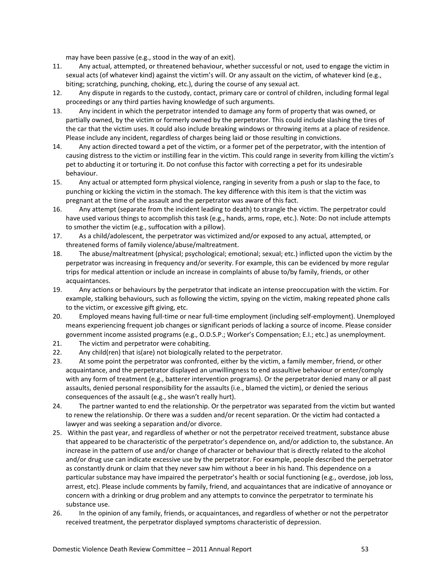may have been passive (e.g., stood in the way of an exit).

- 11. Any actual, attempted, or threatened behaviour, whether successful or not, used to engage the victim in sexual acts (of whatever kind) against the victim's will. Or any assault on the victim, of whatever kind (e.g., biting; scratching, punching, choking, etc.), during the course of any sexual act.
- 12. Any dispute in regards to the custody, contact, primary care or control of children, including formal legal proceedings or any third parties having knowledge of such arguments.
- 13. Any incident in which the perpetrator intended to damage any form of property that was owned, or partially owned, by the victim or formerly owned by the perpetrator. This could include slashing the tires of the car that the victim uses. It could also include breaking windows or throwing items at a place of residence. Please include any incident, regardless of charges being laid or those resulting in convictions.
- 14. Any action directed toward a pet of the victim, or a former pet of the perpetrator, with the intention of causing distress to the victim or instilling fear in the victim. This could range in severity from killing the victim's pet to abducting it or torturing it. Do not confuse this factor with correcting a pet for its undesirable behaviour.
- 15. Any actual or attempted form physical violence, ranging in severity from a push or slap to the face, to punching or kicking the victim in the stomach. The key difference with this item is that the victim was pregnant at the time of the assault and the perpetrator was aware of this fact.
- 16. Any attempt (separate from the incident leading to death) to strangle the victim. The perpetrator could have used various things to accomplish this task (e.g., hands, arms, rope, etc.). Note: Do not include attempts to smother the victim (e.g., suffocation with a pillow).
- 17. As a child/adolescent, the perpetrator was victimized and/or exposed to any actual, attempted, or threatened forms of family violence/abuse/maltreatment.
- 18. The abuse/maltreatment (physical; psychological; emotional; sexual; etc.) inflicted upon the victim by the perpetrator was increasing in frequency and/or severity. For example, this can be evidenced by more regular trips for medical attention or include an increase in complaints of abuse to/by family, friends, or other acquaintances.
- 19. Any actions or behaviours by the perpetrator that indicate an intense preoccupation with the victim. For example, stalking behaviours, such as following the victim, spying on the victim, making repeated phone calls to the victim, or excessive gift giving, etc.
- 20. Employed means having full‐time or near full‐time employment (including self‐employment). Unemployed means experiencing frequent job changes or significant periods of lacking a source of income. Please consider government income assisted programs (e.g., O.D.S.P.; Worker's Compensation; E.I.; etc.) as unemployment.
- 21. The victim and perpetrator were cohabiting.
- 22. Any child(ren) that is(are) not biologically related to the perpetrator.
- 23. At some point the perpetrator was confronted, either by the victim, a family member, friend, or other acquaintance, and the perpetrator displayed an unwillingness to end assaultive behaviour or enter/comply with any form of treatment (e.g., batterer intervention programs). Or the perpetrator denied many or all past assaults, denied personal responsibility for the assaults (i.e., blamed the victim), or denied the serious consequences of the assault (e.g., she wasn't really hurt).
- 24. The partner wanted to end the relationship. Or the perpetrator was separated from the victim but wanted to renew the relationship. Or there was a sudden and/or recent separation. Or the victim had contacted a lawyer and was seeking a separation and/or divorce.
- 25. Within the past year, and regardless of whether or not the perpetrator received treatment, substance abuse that appeared to be characteristic of the perpetrator's dependence on, and/or addiction to, the substance. An increase in the pattern of use and/or change of character or behaviour that is directly related to the alcohol and/or drug use can indicate excessive use by the perpetrator. For example, people described the perpetrator as constantly drunk or claim that they never saw him without a beer in his hand. This dependence on a particular substance may have impaired the perpetrator's health or social functioning (e.g., overdose, job loss, arrest, etc). Please include comments by family, friend, and acquaintances that are indicative of annoyance or concern with a drinking or drug problem and any attempts to convince the perpetrator to terminate his substance use.
- 26. In the opinion of any family, friends, or acquaintances, and regardless of whether or not the perpetrator received treatment, the perpetrator displayed symptoms characteristic of depression.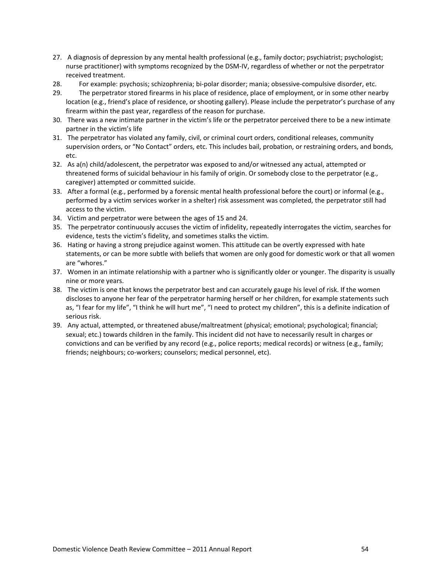- 27. A diagnosis of depression by any mental health professional (e.g., family doctor; psychiatrist; psychologist; nurse practitioner) with symptoms recognized by the DSM‐IV, regardless of whether or not the perpetrator received treatment.
- 28. For example: psychosis; schizophrenia; bi‐polar disorder; mania; obsessive‐compulsive disorder, etc.
- 29. The perpetrator stored firearms in his place of residence, place of employment, or in some other nearby location (e.g., friend's place of residence, or shooting gallery). Please include the perpetrator's purchase of any firearm within the past year, regardless of the reason for purchase.
- 30. There was a new intimate partner in the victim's life or the perpetrator perceived there to be a new intimate partner in the victim's life
- 31. The perpetrator has violated any family, civil, or criminal court orders, conditional releases, community supervision orders, or "No Contact" orders, etc. This includes bail, probation, or restraining orders, and bonds, etc.
- 32. As a(n) child/adolescent, the perpetrator was exposed to and/or witnessed any actual, attempted or threatened forms of suicidal behaviour in his family of origin. Or somebody close to the perpetrator (e.g., caregiver) attempted or committed suicide.
- 33. After a formal (e.g., performed by a forensic mental health professional before the court) or informal (e.g., performed by a victim services worker in a shelter) risk assessment was completed, the perpetrator still had access to the victim.
- 34. Victim and perpetrator were between the ages of 15 and 24.
- 35. The perpetrator continuously accuses the victim of infidelity, repeatedly interrogates the victim, searches for evidence, tests the victim's fidelity, and sometimes stalks the victim.
- 36. Hating or having a strong prejudice against women. This attitude can be overtly expressed with hate statements, or can be more subtle with beliefs that women are only good for domestic work or that all women are "whores."
- 37. Women in an intimate relationship with a partner who is significantly older or younger. The disparity is usually nine or more years.
- 38. The victim is one that knows the perpetrator best and can accurately gauge his level of risk. If the women discloses to anyone her fear of the perpetrator harming herself or her children, for example statements such as, "I fear for my life", "I think he will hurt me", "I need to protect my children", this is a definite indication of serious risk.
- 39. Any actual, attempted, or threatened abuse/maltreatment (physical; emotional; psychological; financial; sexual; etc.) towards children in the family. This incident did not have to necessarily result in charges or convictions and can be verified by any record (e.g., police reports; medical records) or witness (e.g., family; friends; neighbours; co-workers; counselors; medical personnel, etc).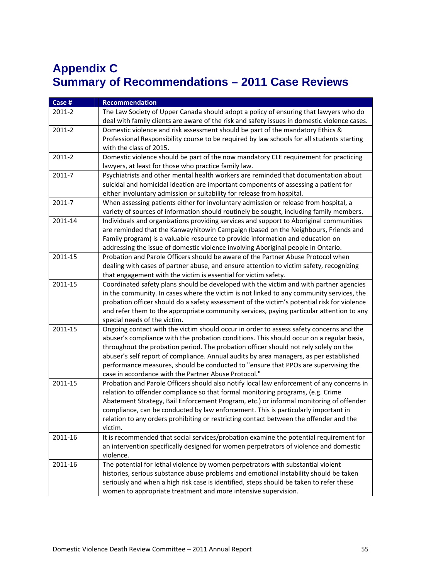# <span id="page-60-0"></span>**Appendix C Summary of Recommendations – 2011 Case Reviews**

| Case #  | <b>Recommendation</b>                                                                        |
|---------|----------------------------------------------------------------------------------------------|
| 2011-2  | The Law Society of Upper Canada should adopt a policy of ensuring that lawyers who do        |
|         | deal with family clients are aware of the risk and safety issues in domestic violence cases. |
| 2011-2  | Domestic violence and risk assessment should be part of the mandatory Ethics &               |
|         | Professional Responsibility course to be required by law schools for all students starting   |
|         | with the class of 2015.                                                                      |
| 2011-2  | Domestic violence should be part of the now mandatory CLE requirement for practicing         |
|         | lawyers, at least for those who practice family law.                                         |
| 2011-7  | Psychiatrists and other mental health workers are reminded that documentation about          |
|         | suicidal and homicidal ideation are important components of assessing a patient for          |
|         | either involuntary admission or suitability for release from hospital.                       |
| 2011-7  | When assessing patients either for involuntary admission or release from hospital, a         |
|         | variety of sources of information should routinely be sought, including family members.      |
| 2011-14 | Individuals and organizations providing services and support to Aboriginal communities       |
|         | are reminded that the Kanwayhitowin Campaign (based on the Neighbours, Friends and           |
|         | Family program) is a valuable resource to provide information and education on               |
|         | addressing the issue of domestic violence involving Aboriginal people in Ontario.            |
| 2011-15 | Probation and Parole Officers should be aware of the Partner Abuse Protocol when             |
|         | dealing with cases of partner abuse, and ensure attention to victim safety, recognizing      |
|         | that engagement with the victim is essential for victim safety.                              |
| 2011-15 | Coordinated safety plans should be developed with the victim and with partner agencies       |
|         | in the community. In cases where the victim is not linked to any community services, the     |
|         | probation officer should do a safety assessment of the victim's potential risk for violence  |
|         | and refer them to the appropriate community services, paying particular attention to any     |
|         | special needs of the victim.                                                                 |
| 2011-15 | Ongoing contact with the victim should occur in order to assess safety concerns and the      |
|         | abuser's compliance with the probation conditions. This should occur on a regular basis,     |
|         | throughout the probation period. The probation officer should not rely solely on the         |
|         | abuser's self report of compliance. Annual audits by area managers, as per established       |
|         | performance measures, should be conducted to "ensure that PPOs are supervising the           |
|         | case in accordance with the Partner Abuse Protocol."                                         |
| 2011-15 | Probation and Parole Officers should also notify local law enforcement of any concerns in    |
|         | relation to offender compliance so that formal monitoring programs, (e.g. Crime              |
|         | Abatement Strategy, Bail Enforcement Program, etc.) or informal monitoring of offender       |
|         | compliance, can be conducted by law enforcement. This is particularly important in           |
|         | relation to any orders prohibiting or restricting contact between the offender and the       |
|         | victim.                                                                                      |
| 2011-16 | It is recommended that social services/probation examine the potential requirement for       |
|         | an intervention specifically designed for women perpetrators of violence and domestic        |
|         | violence.                                                                                    |
| 2011-16 | The potential for lethal violence by women perpetrators with substantial violent             |
|         | histories, serious substance abuse problems and emotional instability should be taken        |
|         | seriously and when a high risk case is identified, steps should be taken to refer these      |
|         | women to appropriate treatment and more intensive supervision.                               |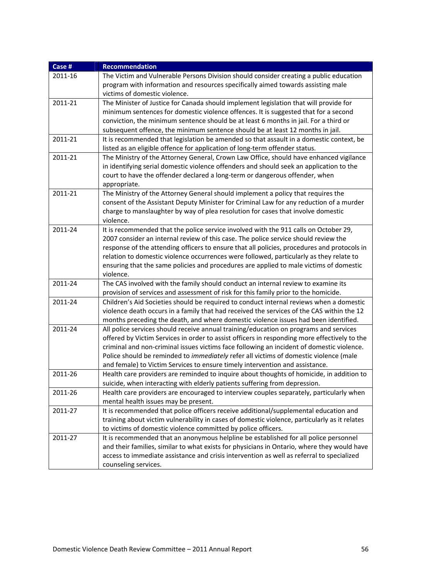| Case #  | <b>Recommendation</b>                                                                                                                                                    |
|---------|--------------------------------------------------------------------------------------------------------------------------------------------------------------------------|
| 2011-16 | The Victim and Vulnerable Persons Division should consider creating a public education                                                                                   |
|         | program with information and resources specifically aimed towards assisting male                                                                                         |
|         | victims of domestic violence.                                                                                                                                            |
| 2011-21 | The Minister of Justice for Canada should implement legislation that will provide for                                                                                    |
|         | minimum sentences for domestic violence offences. It is suggested that for a second                                                                                      |
|         | conviction, the minimum sentence should be at least 6 months in jail. For a third or                                                                                     |
|         | subsequent offence, the minimum sentence should be at least 12 months in jail.                                                                                           |
| 2011-21 | It is recommended that legislation be amended so that assault in a domestic context, be                                                                                  |
|         | listed as an eligible offence for application of long-term offender status.                                                                                              |
| 2011-21 | The Ministry of the Attorney General, Crown Law Office, should have enhanced vigilance                                                                                   |
|         | in identifying serial domestic violence offenders and should seek an application to the                                                                                  |
|         | court to have the offender declared a long-term or dangerous offender, when                                                                                              |
|         | appropriate.                                                                                                                                                             |
| 2011-21 | The Ministry of the Attorney General should implement a policy that requires the                                                                                         |
|         | consent of the Assistant Deputy Minister for Criminal Law for any reduction of a murder                                                                                  |
|         | charge to manslaughter by way of plea resolution for cases that involve domestic                                                                                         |
|         | violence.                                                                                                                                                                |
| 2011-24 | It is recommended that the police service involved with the 911 calls on October 29,                                                                                     |
|         | 2007 consider an internal review of this case. The police service should review the                                                                                      |
|         | response of the attending officers to ensure that all policies, procedures and protocols in                                                                              |
|         | relation to domestic violence occurrences were followed, particularly as they relate to                                                                                  |
|         | ensuring that the same policies and procedures are applied to male victims of domestic                                                                                   |
|         | violence.                                                                                                                                                                |
| 2011-24 | The CAS involved with the family should conduct an internal review to examine its                                                                                        |
|         | provision of services and assessment of risk for this family prior to the homicide.                                                                                      |
| 2011-24 | Children's Aid Societies should be required to conduct internal reviews when a domestic                                                                                  |
|         | violence death occurs in a family that had received the services of the CAS within the 12                                                                                |
|         | months preceding the death, and where domestic violence issues had been identified.                                                                                      |
| 2011-24 | All police services should receive annual training/education on programs and services                                                                                    |
|         | offered by Victim Services in order to assist officers in responding more effectively to the                                                                             |
|         | criminal and non-criminal issues victims face following an incident of domestic violence.                                                                                |
|         | Police should be reminded to immediately refer all victims of domestic violence (male                                                                                    |
| 2011-26 | and female) to Victim Services to ensure timely intervention and assistance.<br>Health care providers are reminded to inquire about thoughts of homicide, in addition to |
|         | suicide, when interacting with elderly patients suffering from depression.                                                                                               |
| 2011-26 |                                                                                                                                                                          |
|         | Health care providers are encouraged to interview couples separately, particularly when<br>mental health issues may be present.                                          |
| 2011-27 | It is recommended that police officers receive additional/supplemental education and                                                                                     |
|         | training about victim vulnerability in cases of domestic violence, particularly as it relates                                                                            |
|         | to victims of domestic violence committed by police officers.                                                                                                            |
| 2011-27 | It is recommended that an anonymous helpline be established for all police personnel                                                                                     |
|         | and their families, similar to what exists for physicians in Ontario, where they would have                                                                              |
|         | access to immediate assistance and crisis intervention as well as referral to specialized                                                                                |
|         |                                                                                                                                                                          |
|         | counseling services.                                                                                                                                                     |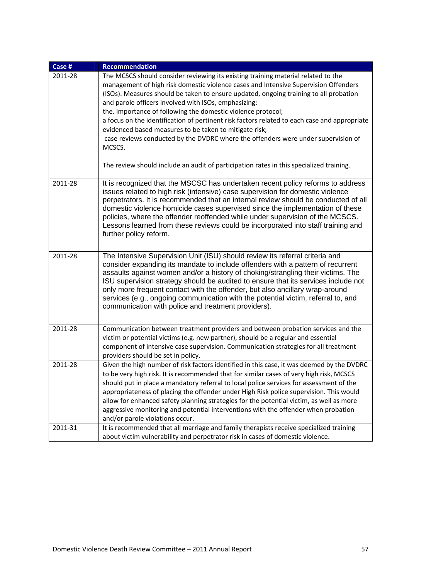| Case #  | <b>Recommendation</b>                                                                                                                                                                                                                                                                                                                                                                                                                                                                                                                                                                                                                                                                                                                         |
|---------|-----------------------------------------------------------------------------------------------------------------------------------------------------------------------------------------------------------------------------------------------------------------------------------------------------------------------------------------------------------------------------------------------------------------------------------------------------------------------------------------------------------------------------------------------------------------------------------------------------------------------------------------------------------------------------------------------------------------------------------------------|
| 2011-28 | The MCSCS should consider reviewing its existing training material related to the<br>management of high risk domestic violence cases and Intensive Supervision Offenders<br>(ISOs). Measures should be taken to ensure updated, ongoing training to all probation<br>and parole officers involved with ISOs, emphasizing:<br>the. importance of following the domestic violence protocol;<br>a focus on the identification of pertinent risk factors related to each case and appropriate<br>evidenced based measures to be taken to mitigate risk;<br>case reviews conducted by the DVDRC where the offenders were under supervision of<br>MCSCS.<br>The review should include an audit of participation rates in this specialized training. |
| 2011-28 | It is recognized that the MSCSC has undertaken recent policy reforms to address<br>issues related to high risk (intensive) case supervision for domestic violence<br>perpetrators. It is recommended that an internal review should be conducted of all<br>domestic violence homicide cases supervised since the implementation of these<br>policies, where the offender reoffended while under supervision of the MCSCS.<br>Lessons learned from these reviews could be incorporated into staff training and<br>further policy reform.                                                                                                                                                                                                       |
| 2011-28 | The Intensive Supervision Unit (ISU) should review its referral criteria and<br>consider expanding its mandate to include offenders with a pattern of recurrent<br>assaults against women and/or a history of choking/strangling their victims. The<br>ISU supervision strategy should be audited to ensure that its services include not<br>only more frequent contact with the offender, but also ancillary wrap-around<br>services (e.g., ongoing communication with the potential victim, referral to, and<br>communication with police and treatment providers).                                                                                                                                                                         |
| 2011-28 | Communication between treatment providers and between probation services and the<br>victim or potential victims (e.g. new partner), should be a regular and essential<br>component of intensive case supervision. Communication strategies for all treatment<br>providers should be set in policy.                                                                                                                                                                                                                                                                                                                                                                                                                                            |
| 2011-28 | Given the high number of risk factors identified in this case, it was deemed by the DVDRC<br>to be very high risk. It is recommended that for similar cases of very high risk, MCSCS<br>should put in place a mandatory referral to local police services for assessment of the<br>appropriateness of placing the offender under High Risk police supervision. This would<br>allow for enhanced safety planning strategies for the potential victim, as well as more<br>aggressive monitoring and potential interventions with the offender when probation<br>and/or parole violations occur.                                                                                                                                                 |
| 2011-31 | It is recommended that all marriage and family therapists receive specialized training<br>about victim vulnerability and perpetrator risk in cases of domestic violence.                                                                                                                                                                                                                                                                                                                                                                                                                                                                                                                                                                      |